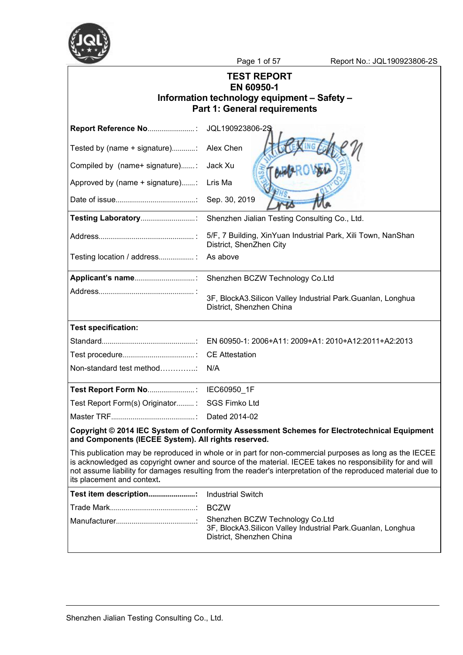

|                                                     | <b>TEST REPORT</b><br>EN 60950-1<br>Information technology equipment - Safety -<br><b>Part 1: General requirements</b>                                                                                                                                                                                                                |
|-----------------------------------------------------|---------------------------------------------------------------------------------------------------------------------------------------------------------------------------------------------------------------------------------------------------------------------------------------------------------------------------------------|
|                                                     |                                                                                                                                                                                                                                                                                                                                       |
| Tested by (name + signature): Alex Chen             |                                                                                                                                                                                                                                                                                                                                       |
| Compiled by (name+ signature): Jack Xu              |                                                                                                                                                                                                                                                                                                                                       |
| Approved by (name + signature): Lris Ma             |                                                                                                                                                                                                                                                                                                                                       |
|                                                     |                                                                                                                                                                                                                                                                                                                                       |
|                                                     | Testing Laboratory: Shenzhen Jialian Testing Consulting Co., Ltd.                                                                                                                                                                                                                                                                     |
|                                                     | District, ShenZhen City                                                                                                                                                                                                                                                                                                               |
|                                                     |                                                                                                                                                                                                                                                                                                                                       |
|                                                     |                                                                                                                                                                                                                                                                                                                                       |
|                                                     | 3F, BlockA3. Silicon Valley Industrial Park. Guanlan, Longhua<br>District, Shenzhen China                                                                                                                                                                                                                                             |
| <b>Test specification:</b>                          |                                                                                                                                                                                                                                                                                                                                       |
|                                                     |                                                                                                                                                                                                                                                                                                                                       |
|                                                     |                                                                                                                                                                                                                                                                                                                                       |
| Non-standard test method                            | N/A                                                                                                                                                                                                                                                                                                                                   |
|                                                     |                                                                                                                                                                                                                                                                                                                                       |
| Test Report Form(s) Originator: SGS Fimko Ltd       |                                                                                                                                                                                                                                                                                                                                       |
|                                                     |                                                                                                                                                                                                                                                                                                                                       |
| and Components (IECEE System). All rights reserved. | Copyright © 2014 IEC System of Conformity Assessment Schemes for Electrotechnical Equipment                                                                                                                                                                                                                                           |
| its placement and context.                          | This publication may be reproduced in whole or in part for non-commercial purposes as long as the IECEE<br>is acknowledged as copyright owner and source of the material. IECEE takes no responsibility for and will<br>not assume liability for damages resulting from the reader's interpretation of the reproduced material due to |
|                                                     |                                                                                                                                                                                                                                                                                                                                       |
|                                                     |                                                                                                                                                                                                                                                                                                                                       |
|                                                     | Shenzhen BCZW Technology Co.Ltd<br>3F, BlockA3. Silicon Valley Industrial Park. Guanlan, Longhua<br>District, Shenzhen China                                                                                                                                                                                                          |
|                                                     |                                                                                                                                                                                                                                                                                                                                       |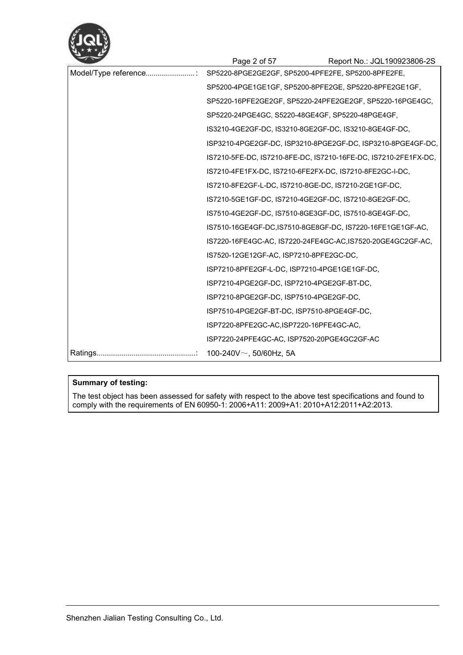| Page 2 of 57<br>Report No.: JQL190923806-2S<br>SP5220-8PGE2GE2GF, SP5200-4PFE2FE, SP5200-8PFE2FE,<br>SP5200-4PGE1GE1GF, SP5200-8PFE2GE, SP5220-8PFE2GE1GF,<br>SP5220-16PFE2GE2GF, SP5220-24PFE2GE2GF, SP5220-16PGE4GC,<br>SP5220-24PGE4GC, S5220-48GE4GF, SP5220-48PGE4GF,<br>IS3210-4GE2GF-DC, IS3210-8GE2GF-DC, IS3210-8GE4GF-DC,<br>ISP3210-4PGE2GF-DC, ISP3210-8PGE2GF-DC, ISP3210-8PGE4GF-DC,<br>IS7210-5FE-DC, IS7210-8FE-DC, IS7210-16FE-DC, IS7210-2FE1FX-DC,<br>IS7210-4FE1FX-DC, IS7210-6FE2FX-DC, IS7210-8FE2GC-I-DC,<br>IS7210-8FE2GF-L-DC, IS7210-8GE-DC, IS7210-2GE1GF-DC,<br>IS7210-5GE1GF-DC, IS7210-4GE2GF-DC, IS7210-8GE2GF-DC,<br>IS7510-4GE2GF-DC, IS7510-8GE3GF-DC, IS7510-8GE4GF-DC,<br>IS7510-16GE4GF-DC,IS7510-8GE8GF-DC, IS7220-16FE1GE1GF-AC,<br>IS7220-16FE4GC-AC, IS7220-24FE4GC-AC, IS7520-20GE4GC2GF-AC,<br>IS7520-12GE12GF-AC, ISP7210-8PFE2GC-DC,<br>ISP7210-8PFE2GF-L-DC, ISP7210-4PGE1GE1GF-DC,<br>ISP7210-4PGE2GF-DC, ISP7210-4PGE2GF-BT-DC,<br>ISP7210-8PGE2GF-DC, ISP7510-4PGE2GF-DC,<br>ISP7510-4PGE2GF-BT-DC, ISP7510-8PGE4GF-DC,<br>ISP7220-8PFE2GC-AC,ISP7220-16PFE4GC-AC, |  |  |
|---------------------------------------------------------------------------------------------------------------------------------------------------------------------------------------------------------------------------------------------------------------------------------------------------------------------------------------------------------------------------------------------------------------------------------------------------------------------------------------------------------------------------------------------------------------------------------------------------------------------------------------------------------------------------------------------------------------------------------------------------------------------------------------------------------------------------------------------------------------------------------------------------------------------------------------------------------------------------------------------------------------------------------------------------------------------------------------------------------------------|--|--|
|                                                                                                                                                                                                                                                                                                                                                                                                                                                                                                                                                                                                                                                                                                                                                                                                                                                                                                                                                                                                                                                                                                                     |  |  |
|                                                                                                                                                                                                                                                                                                                                                                                                                                                                                                                                                                                                                                                                                                                                                                                                                                                                                                                                                                                                                                                                                                                     |  |  |
|                                                                                                                                                                                                                                                                                                                                                                                                                                                                                                                                                                                                                                                                                                                                                                                                                                                                                                                                                                                                                                                                                                                     |  |  |
|                                                                                                                                                                                                                                                                                                                                                                                                                                                                                                                                                                                                                                                                                                                                                                                                                                                                                                                                                                                                                                                                                                                     |  |  |
|                                                                                                                                                                                                                                                                                                                                                                                                                                                                                                                                                                                                                                                                                                                                                                                                                                                                                                                                                                                                                                                                                                                     |  |  |
|                                                                                                                                                                                                                                                                                                                                                                                                                                                                                                                                                                                                                                                                                                                                                                                                                                                                                                                                                                                                                                                                                                                     |  |  |
|                                                                                                                                                                                                                                                                                                                                                                                                                                                                                                                                                                                                                                                                                                                                                                                                                                                                                                                                                                                                                                                                                                                     |  |  |
|                                                                                                                                                                                                                                                                                                                                                                                                                                                                                                                                                                                                                                                                                                                                                                                                                                                                                                                                                                                                                                                                                                                     |  |  |
|                                                                                                                                                                                                                                                                                                                                                                                                                                                                                                                                                                                                                                                                                                                                                                                                                                                                                                                                                                                                                                                                                                                     |  |  |
|                                                                                                                                                                                                                                                                                                                                                                                                                                                                                                                                                                                                                                                                                                                                                                                                                                                                                                                                                                                                                                                                                                                     |  |  |
|                                                                                                                                                                                                                                                                                                                                                                                                                                                                                                                                                                                                                                                                                                                                                                                                                                                                                                                                                                                                                                                                                                                     |  |  |
|                                                                                                                                                                                                                                                                                                                                                                                                                                                                                                                                                                                                                                                                                                                                                                                                                                                                                                                                                                                                                                                                                                                     |  |  |
|                                                                                                                                                                                                                                                                                                                                                                                                                                                                                                                                                                                                                                                                                                                                                                                                                                                                                                                                                                                                                                                                                                                     |  |  |
|                                                                                                                                                                                                                                                                                                                                                                                                                                                                                                                                                                                                                                                                                                                                                                                                                                                                                                                                                                                                                                                                                                                     |  |  |
|                                                                                                                                                                                                                                                                                                                                                                                                                                                                                                                                                                                                                                                                                                                                                                                                                                                                                                                                                                                                                                                                                                                     |  |  |
|                                                                                                                                                                                                                                                                                                                                                                                                                                                                                                                                                                                                                                                                                                                                                                                                                                                                                                                                                                                                                                                                                                                     |  |  |
|                                                                                                                                                                                                                                                                                                                                                                                                                                                                                                                                                                                                                                                                                                                                                                                                                                                                                                                                                                                                                                                                                                                     |  |  |
|                                                                                                                                                                                                                                                                                                                                                                                                                                                                                                                                                                                                                                                                                                                                                                                                                                                                                                                                                                                                                                                                                                                     |  |  |
|                                                                                                                                                                                                                                                                                                                                                                                                                                                                                                                                                                                                                                                                                                                                                                                                                                                                                                                                                                                                                                                                                                                     |  |  |
|                                                                                                                                                                                                                                                                                                                                                                                                                                                                                                                                                                                                                                                                                                                                                                                                                                                                                                                                                                                                                                                                                                                     |  |  |
| ISP7220-24PFE4GC-AC, ISP7520-20PGE4GC2GF-AC                                                                                                                                                                                                                                                                                                                                                                                                                                                                                                                                                                                                                                                                                                                                                                                                                                                                                                                                                                                                                                                                         |  |  |
|                                                                                                                                                                                                                                                                                                                                                                                                                                                                                                                                                                                                                                                                                                                                                                                                                                                                                                                                                                                                                                                                                                                     |  |  |

# **Summary of testing:**

field

The test object has been assessed for safety with respect to the above test specifications and found to comply with the requirements of EN 60950-1: 2006+A11: 2009+A1: 2010+A12:2011+A2:2013.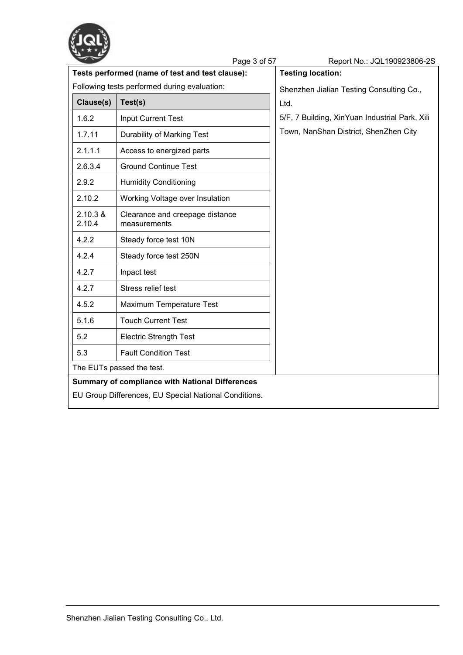| <b>Contract Contract Contract</b> | Page 3 of 57                                           | Report No.: JQL190923806-2S                    |
|-----------------------------------|--------------------------------------------------------|------------------------------------------------|
|                                   | Tests performed (name of test and test clause):        | <b>Testing location:</b>                       |
|                                   | Following tests performed during evaluation:           | Shenzhen Jialian Testing Consulting Co.,       |
| Clause(s)                         | Test(s)                                                | Ltd.                                           |
| 1.6.2                             | Input Current Test                                     | 5/F, 7 Building, XinYuan Industrial Park, Xili |
| 1.7.11                            | Durability of Marking Test                             | Town, NanShan District, ShenZhen City          |
| 2.1.1.1                           | Access to energized parts                              |                                                |
| 2.6.3.4                           | <b>Ground Continue Test</b>                            |                                                |
| 2.9.2                             | <b>Humidity Conditioning</b>                           |                                                |
| 2.10.2                            | Working Voltage over Insulation                        |                                                |
| 2.10.3 &<br>2.10.4                | Clearance and creepage distance<br>measurements        |                                                |
| 4.2.2                             | Steady force test 10N                                  |                                                |
| 4.2.4                             | Steady force test 250N                                 |                                                |
| 4.2.7                             | Inpact test                                            |                                                |
| 4.2.7                             | Stress relief test                                     |                                                |
| 4.5.2                             | Maximum Temperature Test                               |                                                |
| 5.1.6                             | <b>Touch Current Test</b>                              |                                                |
| 5.2                               | <b>Electric Strength Test</b>                          |                                                |
| 5.3                               | <b>Fault Condition Test</b>                            |                                                |
|                                   | The EUTs passed the test.                              |                                                |
|                                   | <b>Summary of compliance with National Differences</b> |                                                |
|                                   | EU Group Differences, EU Special National Conditions.  |                                                |
|                                   |                                                        |                                                |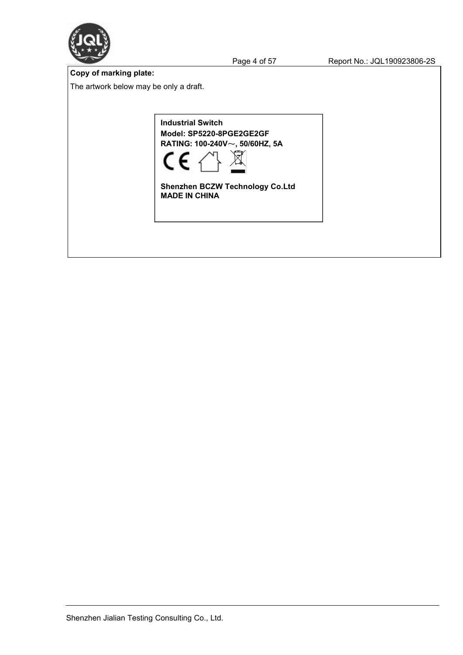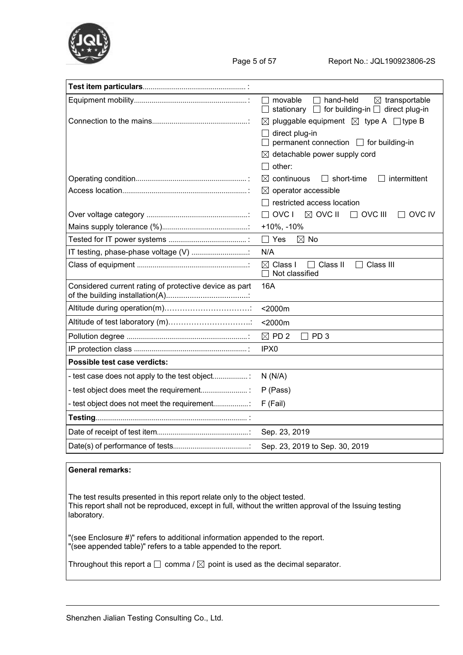

|                                                        | movable<br>hand-held<br>$\boxtimes$ transportable<br>stationary   for building-in   direct plug-in |
|--------------------------------------------------------|----------------------------------------------------------------------------------------------------|
|                                                        | $\boxtimes$ pluggable equipment $\boxtimes$ type A $\Box$ type B                                   |
|                                                        | direct plug-in<br>permanent connection □ for building-in                                           |
|                                                        | $\boxtimes$ detachable power supply cord                                                           |
|                                                        | other:                                                                                             |
|                                                        | $\boxtimes$ continuous<br>$\Box$ short-time<br>$\Box$ intermittent                                 |
|                                                        | $\boxtimes$ operator accessible                                                                    |
|                                                        | restricted access location                                                                         |
|                                                        | $\Box$ OVC I<br>$\boxtimes$ OVC II<br>$\Box$ OVC III<br>$\Box$ OVC IV                              |
|                                                        | $+10\%$ , $-10\%$                                                                                  |
|                                                        | $\Box$ Yes<br>$\boxtimes$ No                                                                       |
| IT testing, phase-phase voltage (V)                    | N/A                                                                                                |
|                                                        | $\boxtimes$ Class I<br>$\Box$ Class II<br>$\Box$ Class III<br>Not classified                       |
| Considered current rating of protective device as part | 16A                                                                                                |
|                                                        | $<$ 2000 $m$                                                                                       |
|                                                        | $<$ 2000 $m$                                                                                       |
|                                                        | $\boxtimes$ PD 2<br>PD <sub>3</sub><br>T.                                                          |
|                                                        | IPX0                                                                                               |
| Possible test case verdicts:                           |                                                                                                    |
| - test case does not apply to the test object          | N(N/A)                                                                                             |
| - test object does meet the requirement                | P (Pass)                                                                                           |
| - test object does not meet the requirement:           | F (Fail)                                                                                           |
|                                                        |                                                                                                    |
|                                                        | Sep. 23, 2019                                                                                      |
|                                                        | Sep. 23, 2019 to Sep. 30, 2019                                                                     |

#### **General remarks:**

The test results presented in this report relate only to the object tested. This report shall not be reproduced, except in full, without the written approval of the Issuing testing laboratory.

"(see Enclosure #)" refers to additional information appended to the report. "(see appended table)" refers to a table appended to the report.

Throughout this report a  $\Box$  comma /  $\boxtimes$  point is used as the decimal separator.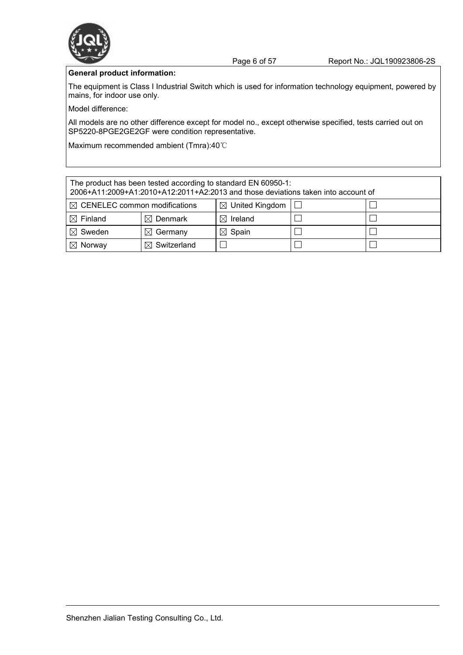

### **General product information:**

The equipment is Class I Industrial Switch which is used for information technology equipment, powered by mains, for indoor use only.

Model difference:

All models are no other difference except for model no., except otherwise specified, tests carried out on SP5220-8PGE2GE2GF were condition representative.

Maximum recommended ambient(Tmra):40℃

|                                          | The product has been tested according to standard EN 60950-1: |                            | 2006+A11:2009+A1:2010+A12:2011+A2:2013 and those deviations taken into account of |  |
|------------------------------------------|---------------------------------------------------------------|----------------------------|-----------------------------------------------------------------------------------|--|
| $\boxtimes$ CENELEC common modifications |                                                               | $\boxtimes$ United Kingdom |                                                                                   |  |
| $\boxtimes$ Finland                      | $\boxtimes$ Denmark                                           | $\boxtimes$ Ireland        |                                                                                   |  |
| $\boxtimes$ Sweden                       | $\boxtimes$ Germany                                           | $\boxtimes$ Spain          |                                                                                   |  |
| $\boxtimes$ Norway                       | $\boxtimes$ Switzerland                                       |                            |                                                                                   |  |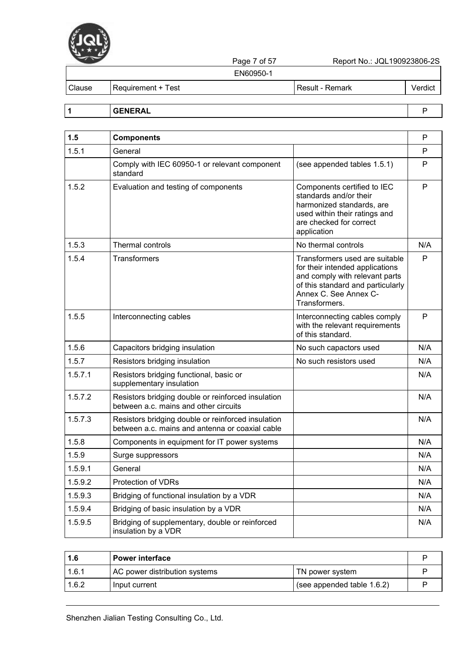

Page 7 of 57 Report No.: JQL190923806-2S

EN60950-1

Clause Requirement + Test Result - Result - Remark Verdict

**1 GENERAL** P

|  | w      |
|--|--------|
|  | I<br>_ |

| 1.5     | <b>Components</b>                                                                                     |                                                                                                                                                                                    | P            |
|---------|-------------------------------------------------------------------------------------------------------|------------------------------------------------------------------------------------------------------------------------------------------------------------------------------------|--------------|
| 1.5.1   | General                                                                                               |                                                                                                                                                                                    | $\mathsf{P}$ |
|         | Comply with IEC 60950-1 or relevant component<br>standard                                             | (see appended tables 1.5.1)                                                                                                                                                        | $\mathsf{P}$ |
| 1.5.2   | Evaluation and testing of components                                                                  | Components certified to IEC<br>standards and/or their<br>harmonized standards, are<br>used within their ratings and<br>are checked for correct<br>application                      | $\mathsf{P}$ |
| 1.5.3   | Thermal controls                                                                                      | No thermal controls                                                                                                                                                                | N/A          |
| 1.5.4   | <b>Transformers</b>                                                                                   | Transformers used are suitable<br>for their intended applications<br>and comply with relevant parts<br>of this standard and particularly<br>Annex C. See Annex C-<br>Transformers. | P            |
| 1.5.5   | Interconnecting cables                                                                                | Interconnecting cables comply<br>with the relevant requirements<br>of this standard.                                                                                               | P            |
| 1.5.6   | Capacitors bridging insulation                                                                        | No such capactors used                                                                                                                                                             | N/A          |
| 1.5.7   | Resistors bridging insulation                                                                         | No such resistors used                                                                                                                                                             | N/A          |
| 1.5.7.1 | Resistors bridging functional, basic or<br>supplementary insulation                                   |                                                                                                                                                                                    | N/A          |
| 1.5.7.2 | Resistors bridging double or reinforced insulation<br>between a.c. mains and other circuits           |                                                                                                                                                                                    | N/A          |
| 1.5.7.3 | Resistors bridging double or reinforced insulation<br>between a.c. mains and antenna or coaxial cable |                                                                                                                                                                                    | N/A          |
| 1.5.8   | Components in equipment for IT power systems                                                          |                                                                                                                                                                                    | N/A          |
| 1.5.9   | Surge suppressors                                                                                     |                                                                                                                                                                                    | N/A          |
| 1.5.9.1 | General                                                                                               |                                                                                                                                                                                    | N/A          |
| 1.5.9.2 | Protection of VDRs                                                                                    |                                                                                                                                                                                    | N/A          |
| 1.5.9.3 | Bridging of functional insulation by a VDR                                                            |                                                                                                                                                                                    | N/A          |
| 1.5.9.4 | Bridging of basic insulation by a VDR                                                                 |                                                                                                                                                                                    | N/A          |
| 1.5.9.5 | Bridging of supplementary, double or reinforced<br>insulation by a VDR                                |                                                                                                                                                                                    | N/A          |

| l Power interface |                                      | . .                                      |   |
|-------------------|--------------------------------------|------------------------------------------|---|
| , 1.6.1           | <b>AC power distribution systems</b> | TN power system                          |   |
| 1.6.2             | Input current                        | $\frac{1}{2}$ (see appended table 1.6.2) | − |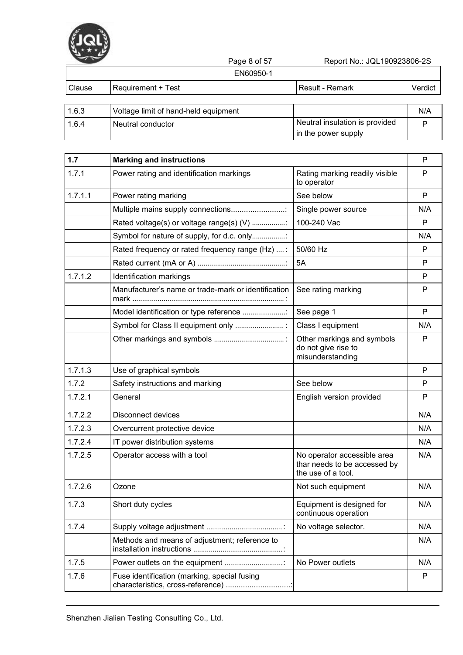

Page 8 of 57 Report No.: JQL190923806-2S

|        | EN60950-1                            |                                |         |
|--------|--------------------------------------|--------------------------------|---------|
| Clause | Requirement + Test                   | l Result - Remark              | Verdict |
|        |                                      |                                |         |
| 1.6.3  | Voltage limit of hand-held equipment |                                | N/A     |
| 1.6.4  | Neutral conductor                    | Neutral insulation is provided | D       |
|        |                                      | in the power supply            |         |

| 1.7     | <b>Marking and instructions</b>                                                   |                                                                                   |     |
|---------|-----------------------------------------------------------------------------------|-----------------------------------------------------------------------------------|-----|
| 1.7.1   | Power rating and identification markings                                          | Rating marking readily visible<br>to operator                                     | Ρ   |
| 1.7.1.1 | Power rating marking                                                              | See below                                                                         | P   |
|         | Multiple mains supply connections                                                 | Single power source                                                               | N/A |
|         | Rated voltage(s) or voltage range(s) (V)                                          | 100-240 Vac                                                                       | P   |
|         | Symbol for nature of supply, for d.c. only:                                       |                                                                                   | N/A |
|         | Rated frequency or rated frequency range (Hz) :                                   | 50/60 Hz                                                                          | P   |
|         |                                                                                   | 5A                                                                                | P   |
| 1.7.1.2 | Identification markings                                                           |                                                                                   | Ρ   |
|         | Manufacturer's name or trade-mark or identification                               | See rating marking                                                                | P   |
|         | Model identification or type reference                                            | See page 1                                                                        | P   |
|         | Symbol for Class II equipment only                                                | Class I equipment                                                                 | N/A |
|         |                                                                                   | Other markings and symbols<br>do not give rise to<br>misunderstanding             | P   |
| 1.7.1.3 | Use of graphical symbols                                                          |                                                                                   | P   |
| 1.7.2   | Safety instructions and marking                                                   | See below                                                                         | P   |
| 1.7.2.1 | General                                                                           | English version provided                                                          | Ρ   |
| 1.7.2.2 | Disconnect devices                                                                |                                                                                   | N/A |
| 1.7.2.3 | Overcurrent protective device                                                     |                                                                                   | N/A |
| 1.7.2.4 | IT power distribution systems                                                     |                                                                                   | N/A |
| 1.7.2.5 | Operator access with a tool                                                       | No operator accessible area<br>thar needs to be accessed by<br>the use of a tool. | N/A |
| 1.7.2.6 | Ozone                                                                             | Not such equipment                                                                | N/A |
| 1.7.3   | Short duty cycles                                                                 | Equipment is designed for<br>continuous operation                                 | N/A |
| 1.7.4   |                                                                                   | No voltage selector.                                                              | N/A |
|         | Methods and means of adjustment; reference to                                     |                                                                                   | N/A |
| 1.7.5   | Power outlets on the equipment                                                    | No Power outlets                                                                  | N/A |
| 1.7.6   | Fuse identification (marking, special fusing<br>characteristics, cross-reference) |                                                                                   | P   |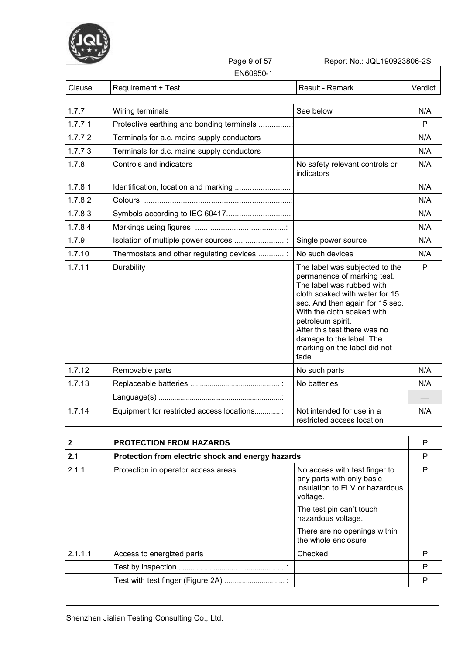

Page 9 of 57 Report No.: JQL190923806-2S EN60950-1 Clause Requirement + Test Result - Result - Remark Verdict 1.7.7 Wiring terminals See below N/A 1.7.7.1 Protective earthing and bonding terminals .............................. 1.7.7.2 Terminals for a.c. mains supply conductors Terminals of the N/A 1.7.7.3 Terminals for d.c. mains supply conductors Terminals of the N/A 1.7.8 Controls and indicators Controls or No safety relevant controls or indicators N/A 1.7.8.1 | Identification, location and marking .................................. 1.7.8.2 Colours ....................................................................: N/A 1.7.8.3 Symbols according to IEC 60417..............................: N/A 1.7.8.4 Markings using figures ..........................................: N/A 1.7.9 Isolation of multiple power sources ........................: Single power source N/A 1.7.10 Thermostats and other regulating devices ................ No such devices | N/A 1.7.11 Durability Durability Durability P permanence of marking test. The label was rubbed with cloth soaked with water for 15 sec. And then again for 15 sec. With the cloth soaked with petroleum spirit. After this test there was no damage to the label. The marking on the label did not fade. P | 1.7.12 Removable parts N/A 1.7.13 Replaceable batteries .............................................. : No batteries N/A Language(s) ...............................................................: 1.7.14 Equipment for restricted access locations................................. | Not intended for use in a restricted access location  $N/A$ 

|         | <b>PROTECTION FROM HAZARDS</b>                    |                                                                                                          |   |
|---------|---------------------------------------------------|----------------------------------------------------------------------------------------------------------|---|
| 2.1     | Protection from electric shock and energy hazards |                                                                                                          | P |
| 2.1.1   | Protection in operator access areas               | No access with test finger to<br>any parts with only basic<br>insulation to ELV or hazardous<br>voltage. | P |
|         |                                                   | The test pin can't touch<br>hazardous voltage.                                                           |   |
|         |                                                   | There are no openings within<br>the whole enclosure                                                      |   |
| 2.1.1.1 | Access to energized parts                         | Checked                                                                                                  | P |
|         |                                                   |                                                                                                          | P |
|         |                                                   |                                                                                                          | P |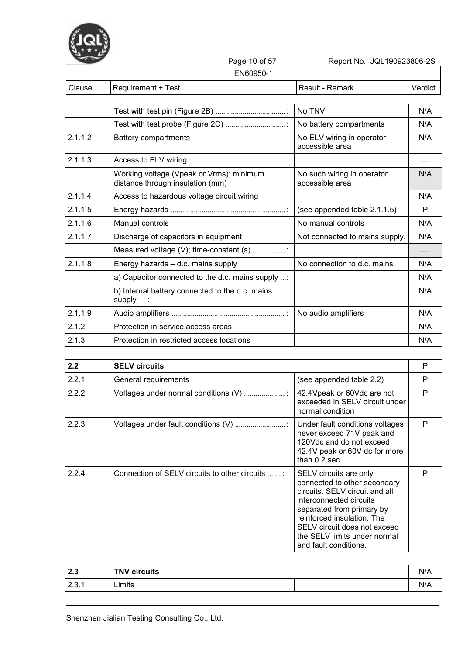

Page 10 of 57 Report No.: JQL190923806-2S

| Clause  | <b>Requirement + Test</b>                                                    | Result - Remark                               | Verdict |
|---------|------------------------------------------------------------------------------|-----------------------------------------------|---------|
|         |                                                                              |                                               |         |
|         |                                                                              | No TNV                                        | N/A     |
|         | Test with test probe (Figure 2C)                                             | No battery compartments                       | N/A     |
| 2.1.1.2 | Battery compartments                                                         | No ELV wiring in operator<br>accessible area  | N/A     |
| 2.1.1.3 | Access to ELV wiring                                                         |                                               |         |
|         | Working voltage (Vpeak or Vrms); minimum<br>distance through insulation (mm) | No such wiring in operator<br>accessible area | N/A     |
| 2.1.1.4 | Access to hazardous voltage circuit wiring                                   |                                               | N/A     |
| 2.1.1.5 |                                                                              | (see appended table 2.1.1.5)                  | P       |
| 2.1.1.6 | Manual controls                                                              | No manual controls                            | N/A     |
| 2.1.1.7 | Discharge of capacitors in equipment                                         | Not connected to mains supply.                | N/A     |
|         | Measured voltage (V); time-constant (s)                                      |                                               |         |
| 2.1.1.8 | Energy hazards - d.c. mains supply                                           | No connection to d.c. mains                   | N/A     |
|         | a) Capacitor connected to the d.c. mains supply :                            |                                               | N/A     |
|         | b) Internal battery connected to the d.c. mains<br>supply                    |                                               | N/A     |
| 2.1.1.9 |                                                                              | No audio amplifiers                           | N/A     |
| 2.1.2   | Protection in service access areas                                           |                                               | N/A     |
| 2.1.3   | Protection in restricted access locations                                    |                                               | N/A     |
|         |                                                                              |                                               |         |

EN60950-1

| 2.2   | <b>SELV circuits</b>                            |                                                                                                                                                                                                                                                                         | P |
|-------|-------------------------------------------------|-------------------------------------------------------------------------------------------------------------------------------------------------------------------------------------------------------------------------------------------------------------------------|---|
| 2.2.1 | General requirements                            | (see appended table 2.2)                                                                                                                                                                                                                                                | P |
| 2.2.2 | Voltages under normal conditions (V)            | 42.4 Vpeak or 60 Vdc are not<br>exceeded in SELV circuit under<br>normal condition                                                                                                                                                                                      | P |
| 2.2.3 | Voltages under fault conditions (V)             | Under fault conditions voltages<br>never exceed 71V peak and<br>120Vdc and do not exceed<br>42.4V peak or 60V dc for more<br>than 0.2 sec.                                                                                                                              | P |
| 2.2.4 | Connection of SELV circuits to other circuits : | SELV circuits are only<br>connected to other secondary<br>circuits. SELV circuit and all<br>interconnected circuits<br>separated from primary by<br>reinforced insulation. The<br>SELV circuit does not exceed<br>the SELV limits under normal<br>and fault conditions. | P |

| . പ<br>3.∟⁄     | <b>TNV</b><br>circuits<br>. IV v<br>. | .<br>N/A          |  |
|-----------------|---------------------------------------|-------------------|--|
| . ص<br>ا .د.∟ ا | Limits                                | <b>AIR</b><br>N/A |  |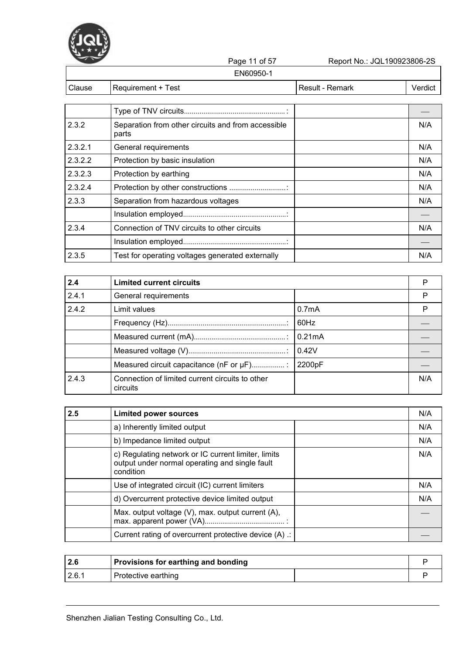

EN60950-1

Page 11 of 57 Report No.: JQL190923806-2S

| Clause  | <b>Requirement + Test</b>                                   | Result - Remark | Verdict |
|---------|-------------------------------------------------------------|-----------------|---------|
|         |                                                             |                 |         |
|         |                                                             |                 |         |
| 2.3.2   | Separation from other circuits and from accessible<br>parts |                 | N/A     |
| 2.3.2.1 | General requirements                                        |                 | N/A     |
| 2.3.2.2 | Protection by basic insulation                              |                 | N/A     |
| 2.3.2.3 | Protection by earthing                                      |                 | N/A     |
| 2.3.2.4 | Protection by other constructions                           |                 | N/A     |
| 2.3.3   | Separation from hazardous voltages                          |                 | N/A     |
|         |                                                             |                 |         |
| 2.3.4   | Connection of TNV circuits to other circuits                |                 | N/A     |
|         |                                                             |                 |         |
| 2.3.5   | Test for operating voltages generated externally            |                 | N/A     |

| $\vert$ 2.4 | <b>Limited current circuits</b>                             |                    | D   |
|-------------|-------------------------------------------------------------|--------------------|-----|
| 2.4.1       | General requirements                                        |                    | D   |
| 2.4.2       | Limit values                                                | 0.7 <sub>m</sub> A | Þ   |
|             |                                                             | 60Hz               |     |
|             |                                                             | $ 0.21$ m $A$      |     |
|             |                                                             | 0.42V              |     |
|             | Measured circuit capacitance (nF or µF)                     | 2200pF             |     |
| 2.4.3       | Connection of limited current circuits to other<br>circuits |                    | N/A |

| 2.5 | <b>Limited power sources</b>                                                                                       | N/A |
|-----|--------------------------------------------------------------------------------------------------------------------|-----|
|     | a) Inherently limited output                                                                                       | N/A |
|     | b) Impedance limited output                                                                                        | N/A |
|     | c) Regulating network or IC current limiter, limits<br>output under normal operating and single fault<br>condition | N/A |
|     | Use of integrated circuit (IC) current limiters                                                                    | N/A |
|     | d) Overcurrent protective device limited output                                                                    | N/A |
|     | Max. output voltage (V), max. output current (A),                                                                  |     |
|     | Current rating of overcurrent protective device (A) .:                                                             |     |

| ◠<br>4.           | Provisions for earthing and bonding |  |
|-------------------|-------------------------------------|--|
| $\Omega$<br>2. U. | rotective earthing                  |  |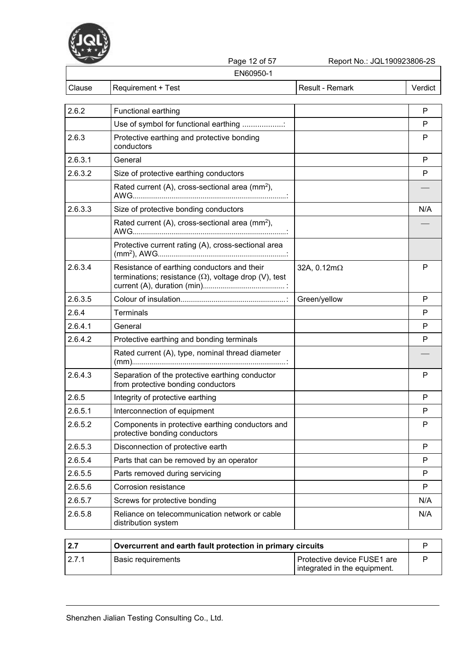

Page 12 of 57

Report No.: JQL190923806-2S

| 2.6.5.8 | Reliance on telecommunication network or cable<br>distribution system                                       |                 | N/A     |
|---------|-------------------------------------------------------------------------------------------------------------|-----------------|---------|
| 2.6.5.7 | Screws for protective bonding                                                                               |                 | N/A     |
| 2.6.5.6 | Corrosion resistance                                                                                        |                 | P       |
| 2.6.5.5 | Parts removed during servicing                                                                              |                 | P       |
| 2.6.5.4 | Parts that can be removed by an operator                                                                    |                 | P       |
| 2.6.5.3 | Disconnection of protective earth                                                                           |                 | P       |
| 2.6.5.2 | Components in protective earthing conductors and<br>protective bonding conductors                           |                 | P       |
| 2.6.5.1 | Interconnection of equipment                                                                                |                 | P       |
| 2.6.5   | Integrity of protective earthing                                                                            |                 | P       |
| 2.6.4.3 | Separation of the protective earthing conductor<br>from protective bonding conductors                       |                 | P       |
|         | Rated current (A), type, nominal thread diameter                                                            |                 |         |
| 2.6.4.2 | Protective earthing and bonding terminals                                                                   |                 |         |
| 2.6.4.1 | General                                                                                                     |                 | P<br>P  |
| 2.6.4   | <b>Terminals</b>                                                                                            |                 | P       |
| 2.6.3.5 |                                                                                                             | Green/yellow    | P       |
| 2.6.3.4 | Resistance of earthing conductors and their<br>terminations; resistance $(\Omega)$ , voltage drop (V), test | 32A, 0.12mΩ     | P       |
|         | Protective current rating (A), cross-sectional area                                                         |                 |         |
|         | Rated current (A), cross-sectional area (mm <sup>2</sup> ),                                                 |                 |         |
| 2.6.3.3 | Size of protective bonding conductors                                                                       |                 | N/A     |
|         | Rated current (A), cross-sectional area (mm <sup>2</sup> ),                                                 |                 |         |
| 2.6.3.2 | Size of protective earthing conductors                                                                      |                 | P       |
| 2.6.3.1 | General                                                                                                     |                 | P       |
| 2.6.3   | Protective earthing and protective bonding<br>conductors                                                    |                 | P       |
|         | Use of symbol for functional earthing                                                                       |                 | P       |
| 2.6.2   | Functional earthing                                                                                         |                 | P       |
| Clause  | Requirement + Test                                                                                          | Result - Remark | Verdict |

| 2.7   | Overcurrent and earth fault protection in primary circuits |                                                             |  |
|-------|------------------------------------------------------------|-------------------------------------------------------------|--|
| '2.7. | <b>Basic requirements</b>                                  | Protective device FUSE1 are<br>integrated in the equipment. |  |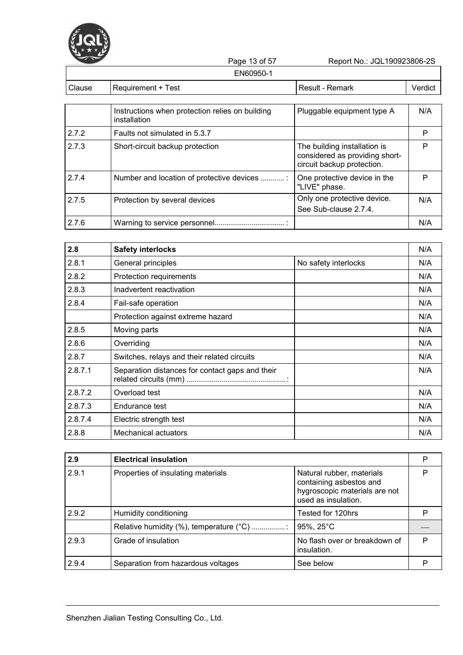

EN60950-1

Page 13 of 57 Report No.: JQL190923806-2S

| Clause | <b>Requirement + Test</b>                                       | Result - Remark                                                                              | Verdict |
|--------|-----------------------------------------------------------------|----------------------------------------------------------------------------------------------|---------|
|        |                                                                 |                                                                                              |         |
|        | Instructions when protection relies on building<br>installation | Pluggable equipment type A                                                                   | N/A     |
| 2.7.2  | Faults not simulated in 5.3.7                                   |                                                                                              | P       |
| 2.7.3  | Short-circuit backup protection                                 | The building installation is<br>considered as providing short-<br>circuit backup protection. | P       |
| 2.7.4  | Number and location of protective devices                       | One protective device in the<br>"LIVE" phase.                                                | P       |
| 2.7.5  | Protection by several devices                                   | Only one protective device.<br>See Sub-clause 2.7.4.                                         | N/A     |
| 2.7.6  |                                                                 |                                                                                              | N/A     |

| 2.8     | <b>Safety interlocks</b>                        |                      | N/A |
|---------|-------------------------------------------------|----------------------|-----|
| 2.8.1   | General principles                              | No safety interlocks | N/A |
| 2.8.2   | Protection requirements                         |                      | N/A |
| 2.8.3   | Inadvertent reactivation                        |                      | N/A |
| 2.8.4   | Fail-safe operation                             |                      | N/A |
|         | Protection against extreme hazard               |                      | N/A |
| 2.8.5   | Moving parts                                    |                      | N/A |
| 2.8.6   | Overriding                                      |                      | N/A |
| 2.8.7   | Switches, relays and their related circuits     |                      | N/A |
| 2.8.7.1 | Separation distances for contact gaps and their |                      | N/A |
| 2.8.7.2 | Overload test                                   |                      | N/A |
| 2.8.7.3 | Endurance test                                  |                      | N/A |
| 2.8.7.4 | Electric strength test                          |                      | N/A |
| 2.8.8   | Mechanical actuators                            |                      | N/A |

| 2.9   | <b>Electrical insulation</b>            |                                                                                                              | D |
|-------|-----------------------------------------|--------------------------------------------------------------------------------------------------------------|---|
| 2.9.1 | Properties of insulating materials      | Natural rubber, materials<br>containing asbestos and<br>hygroscopic materials are not<br>used as insulation. | D |
| 2.9.2 | Humidity conditioning                   | Tested for 120hrs                                                                                            | D |
|       | Relative humidity (%), temperature (°C) | 95%, 25°C                                                                                                    |   |
| 2.9.3 | Grade of insulation                     | No flash over or breakdown of<br>insulation.                                                                 | P |
| 2.9.4 | Separation from hazardous voltages      | See below                                                                                                    | Þ |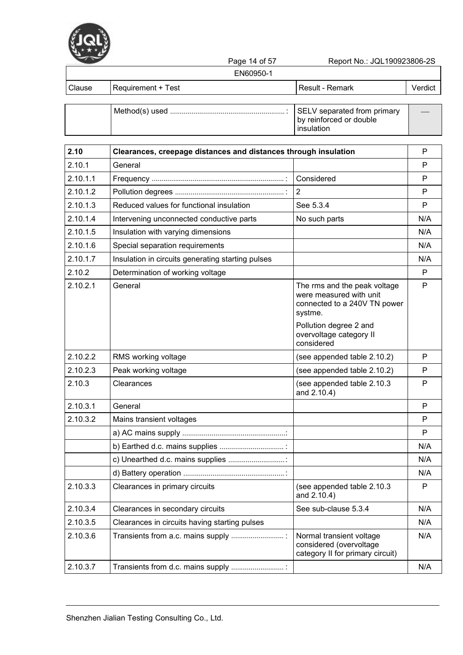

Page 14 of 57 Report No.: JQL190923806-2S EN60950-1 Clause Requirement + Test Result - Result - Remark Verdict Method(s) used ........................................................... : SELV separated from primary by reinforced or double **the set of the set of the set of the set of the set of the set of the set of the set o** SELV separated from primary  $\begin{vmatrix} - & \cdot & \cdot \\ \cdot & \cdot & \cdot \\ \cdot & \cdot & \cdot \\ \cdot & \cdot & \cdot \end{vmatrix}$  =  $\begin{vmatrix} - & \cdot & \cdot \\ \cdot & \cdot & \cdot \\ \cdot & \cdot & \cdot \end{vmatrix}$ 

| 2.10     | Clearances, creepage distances and distances through insulation |                                                                                                    | P   |
|----------|-----------------------------------------------------------------|----------------------------------------------------------------------------------------------------|-----|
| 2.10.1   | General                                                         |                                                                                                    | P   |
| 2.10.1.1 |                                                                 | Considered                                                                                         | P   |
| 2.10.1.2 |                                                                 | $\overline{2}$                                                                                     | P   |
| 2.10.1.3 | Reduced values for functional insulation                        | See 5.3.4                                                                                          | P   |
| 2.10.1.4 | Intervening unconnected conductive parts                        | No such parts                                                                                      | N/A |
| 2.10.1.5 | Insulation with varying dimensions                              |                                                                                                    | N/A |
| 2.10.1.6 | Special separation requirements                                 |                                                                                                    | N/A |
| 2.10.1.7 | Insulation in circuits generating starting pulses               |                                                                                                    | N/A |
| 2.10.2   | Determination of working voltage                                |                                                                                                    | P   |
| 2.10.2.1 | General                                                         | The rms and the peak voltage<br>were measured with unit<br>connected to a 240V TN power<br>systme. | P   |
|          |                                                                 | Pollution degree 2 and<br>overvoltage category II<br>considered                                    |     |
| 2.10.2.2 | RMS working voltage                                             | (see appended table 2.10.2)                                                                        | P   |
| 2.10.2.3 | Peak working voltage                                            | (see appended table 2.10.2)                                                                        | P   |
| 2.10.3   | Clearances                                                      | (see appended table 2.10.3<br>and 2.10.4)                                                          | P   |
| 2.10.3.1 | General                                                         |                                                                                                    | P   |
| 2.10.3.2 | Mains transient voltages                                        |                                                                                                    | P   |
|          |                                                                 |                                                                                                    | P   |
|          |                                                                 |                                                                                                    | N/A |
|          |                                                                 |                                                                                                    | N/A |
|          |                                                                 |                                                                                                    | N/A |
| 2.10.3.3 | Clearances in primary circuits                                  | (see appended table 2.10.3)<br>and 2.10.4)                                                         | P   |
| 2.10.3.4 | Clearances in secondary circuits                                | See sub-clause 5.3.4                                                                               | N/A |
| 2.10.3.5 | Clearances in circuits having starting pulses                   |                                                                                                    | N/A |
| 2.10.3.6 | Transients from a.c. mains supply                               | Normal transient voltage<br>considered (overvoltage<br>category II for primary circuit)            | N/A |
| 2.10.3.7 | Transients from d.c. mains supply                               |                                                                                                    | N/A |
|          |                                                                 |                                                                                                    |     |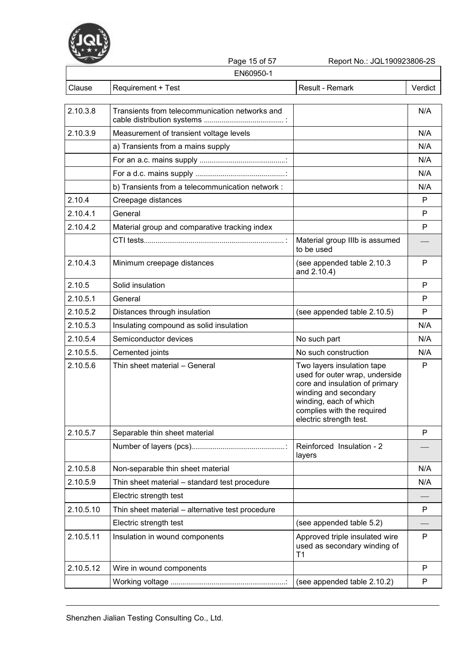

Clause Requirement + Test Result - Result - Remark Verdict 2.10.3.8 Transients from telecommunication networks and cable distribution systems ......................................... : N/A 2.10.3.9 Measurement of transient voltage levels Network N/A a) Transients from a mains supply  $\vert$  N/A For an a.c. mains supply ............................................: N/A For a d.c. mains supply ..............................................: N/A b) Transients from a telecommunication network :  $\parallel$  N/A 2.10.4 Creepage distances and the set of the set of the set of the set of the set of the set of the set of the set of the set of the set of the set of the set of the set of the set of the set of the set of the set of the s 2.10.4.1 General P 2.10.4.2 Material group and comparative tracking index  $\vert$ CTI tests........................................................................ : Material group IIIb is assumed to be used 2.10.4.3 Minimum creepage distances and in the seed of see appended table 2.10.3 P and 2.10.4) P | 2.10.5 Solid insulation Solid insulation Property and Property Solid insulation Property and Property Solid insulation 2.10.5.1 General P 2.10.5.2 Distances through insulation  $\sqrt{(see \text{ appended table } 2.10.5)}$  P 2.10.5.3 Insulating compound as solid insulation N/A 2.10.5.4 Semiconductor devices No such part N/A 2.10.5.5. Cemented joints Construction N/A 2.10.5.6  $|$  Thin sheet material – General  $|$ Two layers insulation tape  $|$  P used for outer wrap, underside core and insulation of primary winding and secondary winding, each of which complies with the required electric strength test. P | 2.10.5.7 Separable thin sheet material **P** Number oflayers (pcs)................................................: Reinforced Insulation - 2 Reinforced Insulation - 2 2.10.5.8 Non-separable thin sheet material N/A 2.10.5.9 Thin sheet material – standard test procedure Network N/A Electric strength test 2.10.5.10 Thin sheet material – alternative test procedure P Electric strength test  $\vert$  (see appended table 5.2) 2.10.5.11 | Insulation in wound components | Approved triple insulated wire | P used as secondary winding of T1 and the contract of the contract of the contract of the contract of the contract of the contract of the contract of the contract of the contract of the contract of the contract of the contract of the contract of the con P | 2.10.5.12 Wire in wound components **Participal EX** P

Working voltage ...........................................................: (see appended table 2.10.2) P

EN60950-1

Page 15 of 57 Report No.: JQL190923806-2S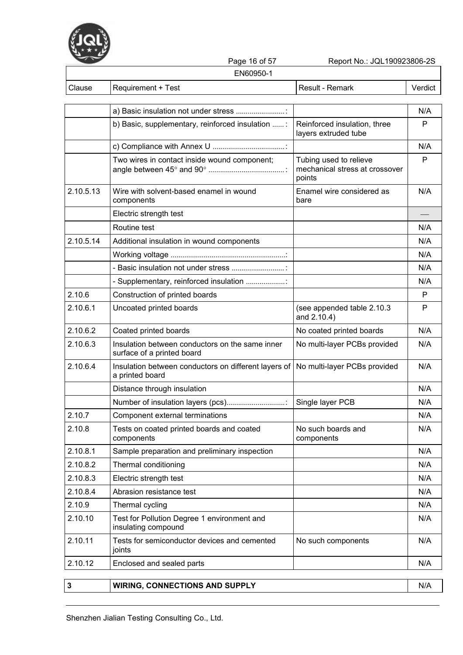

Page 16 of 57 Report No.: JQL190923806-2S

|           | EN60950-1                                                                     |                                                                    |         |
|-----------|-------------------------------------------------------------------------------|--------------------------------------------------------------------|---------|
| Clause    | <b>Requirement + Test</b>                                                     | Result - Remark                                                    | Verdict |
|           | a) Basic insulation not under stress                                          |                                                                    | N/A     |
|           | b) Basic, supplementary, reinforced insulation :                              | Reinforced insulation, three<br>layers extruded tube               | P       |
|           |                                                                               |                                                                    | N/A     |
|           | Two wires in contact inside wound component;                                  | Tubing used to relieve<br>mechanical stress at crossover<br>points | P       |
| 2.10.5.13 | Wire with solvent-based enamel in wound<br>components                         | Enamel wire considered as<br>bare                                  | N/A     |
|           | Electric strength test                                                        |                                                                    |         |
|           | Routine test                                                                  |                                                                    | N/A     |
| 2.10.5.14 | Additional insulation in wound components                                     |                                                                    | N/A     |
|           |                                                                               |                                                                    | N/A     |
|           | - Basic insulation not under stress                                           |                                                                    | N/A     |
|           | Supplementary, reinforced insulation                                          |                                                                    | N/A     |
| 2.10.6    | Construction of printed boards                                                |                                                                    | P       |
| 2.10.6.1  | Uncoated printed boards                                                       | (see appended table 2.10.3)<br>and 2.10.4)                         | P       |
| 2.10.6.2  | Coated printed boards                                                         | No coated printed boards                                           | N/A     |
| 2.10.6.3  | Insulation between conductors on the same inner<br>surface of a printed board | No multi-layer PCBs provided                                       | N/A     |
| 2.10.6.4  | Insulation between conductors on different layers of<br>a printed board       | No multi-layer PCBs provided                                       | N/A     |
|           | Distance through insulation                                                   |                                                                    | N/A     |
|           | Number of insulation layers (pcs)                                             | Single layer PCB                                                   | N/A     |
| 2.10.7    | Component external terminations                                               |                                                                    | N/A     |
| 2.10.8    | Tests on coated printed boards and coated<br>components                       | No such boards and<br>components                                   | N/A     |
| 2.10.8.1  | Sample preparation and preliminary inspection                                 |                                                                    | N/A     |
| 2.10.8.2  | Thermal conditioning                                                          |                                                                    | N/A     |
| 2.10.8.3  | Electric strength test                                                        |                                                                    | N/A     |
| 2.10.8.4  | Abrasion resistance test                                                      |                                                                    | N/A     |
| 2.10.9    | Thermal cycling                                                               |                                                                    | N/A     |
| 2.10.10   | Test for Pollution Degree 1 environment and<br>insulating compound            |                                                                    | N/A     |
| 2.10.11   | Tests for semiconductor devices and cemented<br>joints                        | No such components                                                 | N/A     |
| 2.10.12   | Enclosed and sealed parts                                                     |                                                                    | N/A     |
| 3         | <b>WIRING, CONNECTIONS AND SUPPLY</b>                                         |                                                                    | N/A     |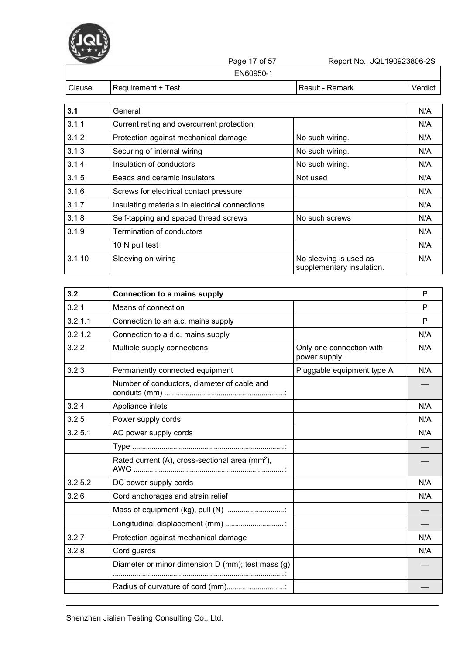

Page 17 of 57 Report No.: JQL190923806-2S

| EN60950-1                                                  |
|------------------------------------------------------------|
| Clause<br>Verdict<br>Result - Remark<br>Requirement + Test |

| 3.1    | General                                        |                                                     | N/A |
|--------|------------------------------------------------|-----------------------------------------------------|-----|
| 3.1.1  | Current rating and overcurrent protection      |                                                     | N/A |
| 3.1.2  | Protection against mechanical damage           | No such wiring.                                     | N/A |
| 3.1.3  | Securing of internal wiring                    | No such wiring.                                     | N/A |
| 3.1.4  | Insulation of conductors                       | No such wiring.                                     | N/A |
| 3.1.5  | Beads and ceramic insulators                   | Not used                                            | N/A |
| 3.1.6  | Screws for electrical contact pressure         |                                                     | N/A |
| 3.1.7  | Insulating materials in electrical connections |                                                     | N/A |
| 3.1.8  | Self-tapping and spaced thread screws          | No such screws                                      | N/A |
| 3.1.9  | Termination of conductors                      |                                                     | N/A |
|        | 10 N pull test                                 |                                                     | N/A |
| 3.1.10 | Sleeving on wiring                             | No sleeving is used as<br>supplementary insulation. | N/A |

| 3.2     | <b>Connection to a mains supply</b>                         |                                           | P   |
|---------|-------------------------------------------------------------|-------------------------------------------|-----|
| 3.2.1   | Means of connection                                         |                                           | P   |
| 3.2.1.1 | Connection to an a.c. mains supply                          |                                           | P   |
| 3.2.1.2 | Connection to a d.c. mains supply                           |                                           | N/A |
| 3.2.2   | Multiple supply connections                                 | Only one connection with<br>power supply. | N/A |
| 3.2.3   | Permanently connected equipment                             | Pluggable equipment type A                | N/A |
|         | Number of conductors, diameter of cable and                 |                                           |     |
| 3.2.4   | Appliance inlets                                            |                                           | N/A |
| 3.2.5   | Power supply cords                                          |                                           | N/A |
| 3.2.5.1 | AC power supply cords                                       |                                           | N/A |
|         |                                                             |                                           |     |
|         | Rated current (A), cross-sectional area (mm <sup>2</sup> ), |                                           |     |
| 3.2.5.2 | DC power supply cords                                       |                                           | N/A |
| 3.2.6   | Cord anchorages and strain relief                           |                                           | N/A |
|         |                                                             |                                           |     |
|         |                                                             |                                           |     |
| 3.2.7   | Protection against mechanical damage                        |                                           | N/A |
| 3.2.8   | Cord guards                                                 |                                           | N/A |
|         | Diameter or minor dimension D (mm); test mass (g)           |                                           |     |
|         | Radius of curvature of cord (mm)                            |                                           |     |
|         |                                                             |                                           |     |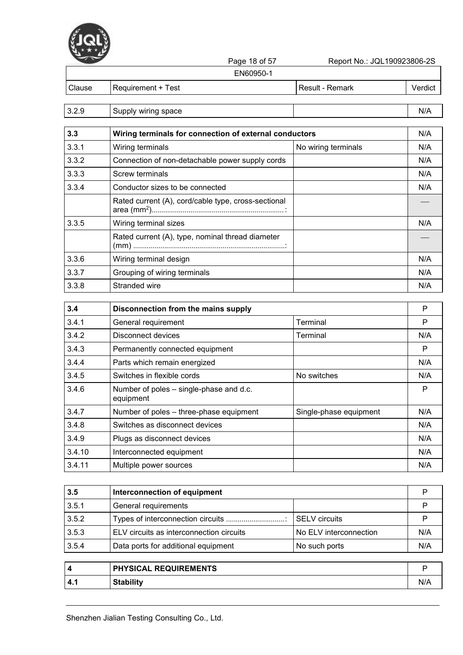

|        |                     | Page 18 of 57 |                 | Report No.: JQL190923806-2S |
|--------|---------------------|---------------|-----------------|-----------------------------|
|        |                     | EN60950-1     |                 |                             |
| Clause | Requirement + Test  |               | Result - Remark | Verdict                     |
|        |                     |               |                 |                             |
| 3.2.9  | Supply wiring space |               |                 | N/A                         |

| 3.3   | Wiring terminals for connection of external conductors |                     | N/A |
|-------|--------------------------------------------------------|---------------------|-----|
| 3.3.1 | Wiring terminals                                       | No wiring terminals | N/A |
| 3.3.2 | Connection of non-detachable power supply cords        |                     | N/A |
| 3.3.3 | Screw terminals                                        |                     | N/A |
| 3.3.4 | Conductor sizes to be connected                        |                     | N/A |
|       | Rated current (A), cord/cable type, cross-sectional    |                     |     |
| 3.3.5 | Wiring terminal sizes                                  |                     | N/A |
|       | Rated current (A), type, nominal thread diameter       |                     |     |
| 3.3.6 | Wiring terminal design                                 |                     | N/A |
| 3.3.7 | Grouping of wiring terminals                           |                     | N/A |
| 3.3.8 | Stranded wire                                          |                     | N/A |

| 3.4    | Disconnection from the mains supply                  |                        | P   |
|--------|------------------------------------------------------|------------------------|-----|
| 3.4.1  | General requirement                                  | Terminal               | P   |
| 3.4.2  | Disconnect devices                                   | Terminal               | N/A |
| 3.4.3  | Permanently connected equipment                      |                        | P   |
| 3.4.4  | Parts which remain energized                         |                        | N/A |
| 3.4.5  | Switches in flexible cords                           | No switches            | N/A |
| 3.4.6  | Number of poles - single-phase and d.c.<br>equipment |                        | P   |
| 3.4.7  | Number of poles - three-phase equipment              | Single-phase equipment | N/A |
| 3.4.8  | Switches as disconnect devices                       |                        | N/A |
| 3.4.9  | Plugs as disconnect devices                          |                        | N/A |
| 3.4.10 | Interconnected equipment                             |                        | N/A |
| 3.4.11 | Multiple power sources                               |                        | N/A |

| 3.5   | Interconnection of equipment             |                        | D   |
|-------|------------------------------------------|------------------------|-----|
| 3.5.1 | General requirements                     |                        | D   |
| 3.5.2 | Types of interconnection circuits        | <b>SELV</b> circuits   | D   |
| 3.5.3 | ELV circuits as interconnection circuits | No ELV interconnection | N/A |
| 3.5.4 | Data ports for additional equipment      | No such ports          | N/A |

| 4   | <b>REQUIREMENTS</b><br>PHYSICAL |     |
|-----|---------------------------------|-----|
| 4.1 | .                               | N/A |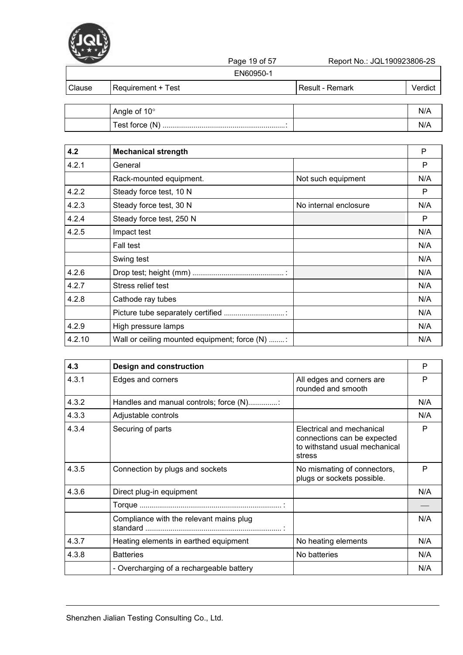

|        | Page 19 of 57      | Report No.: JQL190923806-2S |         |
|--------|--------------------|-----------------------------|---------|
|        | EN60950-1          |                             |         |
| Clause | Requirement + Test | Result - Remark             | Verdict |
|        |                    |                             |         |
|        | Angle of 10°       |                             | N/A     |
|        |                    |                             | N/A     |

| 4.2    | <b>Mechanical strength</b>                     |                       | P   |
|--------|------------------------------------------------|-----------------------|-----|
| 4.2.1  | General                                        |                       | P   |
|        | Rack-mounted equipment.                        | Not such equipment    | N/A |
| 4.2.2  | Steady force test, 10 N                        |                       | P   |
| 4.2.3  | Steady force test, 30 N                        | No internal enclosure | N/A |
| 4.2.4  | Steady force test, 250 N                       |                       | P   |
| 4.2.5  | Impact test                                    |                       | N/A |
|        | <b>Fall test</b>                               |                       | N/A |
|        | Swing test                                     |                       | N/A |
| 4.2.6  |                                                |                       | N/A |
| 4.2.7  | Stress relief test                             |                       | N/A |
| 4.2.8  | Cathode ray tubes                              |                       | N/A |
|        |                                                |                       | N/A |
| 4.2.9  | High pressure lamps                            |                       | N/A |
| 4.2.10 | Wall or ceiling mounted equipment; force (N) : |                       | N/A |

| 4.3   | <b>Design and construction</b>           |                                                                                                     | P   |
|-------|------------------------------------------|-----------------------------------------------------------------------------------------------------|-----|
| 4.3.1 | Edges and corners                        | All edges and corners are<br>rounded and smooth                                                     | P   |
| 4.3.2 | Handles and manual controls; force (N)   |                                                                                                     | N/A |
| 4.3.3 | Adjustable controls                      |                                                                                                     | N/A |
| 4.3.4 | Securing of parts                        | Electrical and mechanical<br>connections can be expected<br>to withstand usual mechanical<br>stress | P   |
| 4.3.5 | Connection by plugs and sockets          | No mismating of connectors,<br>plugs or sockets possible.                                           | P   |
| 4.3.6 | Direct plug-in equipment                 |                                                                                                     | N/A |
|       |                                          |                                                                                                     |     |
|       | Compliance with the relevant mains plug  |                                                                                                     | N/A |
| 4.3.7 | Heating elements in earthed equipment    | No heating elements                                                                                 | N/A |
| 4.3.8 | <b>Batteries</b>                         | No batteries                                                                                        | N/A |
|       | - Overcharging of a rechargeable battery |                                                                                                     | N/A |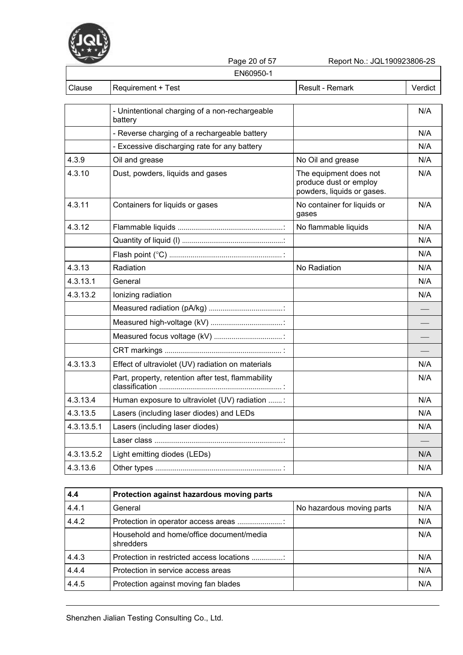

Page 20 of 57 Report No.: JQL190923806-2S

|            | EN60950-1                                                 |                                                                                |         |
|------------|-----------------------------------------------------------|--------------------------------------------------------------------------------|---------|
| Clause     | Requirement + Test                                        | Result - Remark                                                                | Verdict |
|            | - Unintentional charging of a non-rechargeable<br>battery |                                                                                | N/A     |
|            | - Reverse charging of a rechargeable battery              |                                                                                | N/A     |
|            | - Excessive discharging rate for any battery              |                                                                                | N/A     |
| 4.3.9      | Oil and grease                                            | No Oil and grease                                                              | N/A     |
| 4.3.10     | Dust, powders, liquids and gases                          | The equipment does not<br>produce dust or employ<br>powders, liquids or gases. | N/A     |
| 4.3.11     | Containers for liquids or gases                           | No container for liquids or<br>gases                                           | N/A     |
| 4.3.12     |                                                           | No flammable liquids                                                           | N/A     |
|            |                                                           |                                                                                | N/A     |
|            |                                                           |                                                                                | N/A     |
| 4.3.13     | Radiation                                                 | No Radiation                                                                   | N/A     |
| 4.3.13.1   | General                                                   |                                                                                | N/A     |
| 4.3.13.2   | Ionizing radiation                                        |                                                                                | N/A     |
|            |                                                           |                                                                                |         |
|            |                                                           |                                                                                |         |
|            |                                                           |                                                                                |         |
|            |                                                           |                                                                                |         |
| 4.3.13.3   | Effect of ultraviolet (UV) radiation on materials         |                                                                                | N/A     |
|            | Part, property, retention after test, flammability        |                                                                                | N/A     |
| 4.3.13.4   | Human exposure to ultraviolet (UV) radiation :            |                                                                                | N/A     |
| 4.3.13.5   | Lasers (including laser diodes) and LEDs                  |                                                                                | N/A     |
| 4.3.13.5.1 | Lasers (including laser diodes)                           |                                                                                | N/A     |
|            |                                                           |                                                                                |         |
| 4.3.13.5.2 | Light emitting diodes (LEDs)                              |                                                                                | N/A     |
| 4.3.13.6   |                                                           |                                                                                | N/A     |

| 4.4   | Protection against hazardous moving parts             |                           | N/A |
|-------|-------------------------------------------------------|---------------------------|-----|
| 4.4.1 | General                                               | No hazardous moving parts | N/A |
| 4.4.2 | Protection in operator access areas                   |                           | N/A |
|       | Household and home/office document/media<br>shredders |                           | N/A |
| 4.4.3 | Protection in restricted access locations             |                           | N/A |
| 4.4.4 | Protection in service access areas                    |                           | N/A |
| 4.4.5 | Protection against moving fan blades                  |                           | N/A |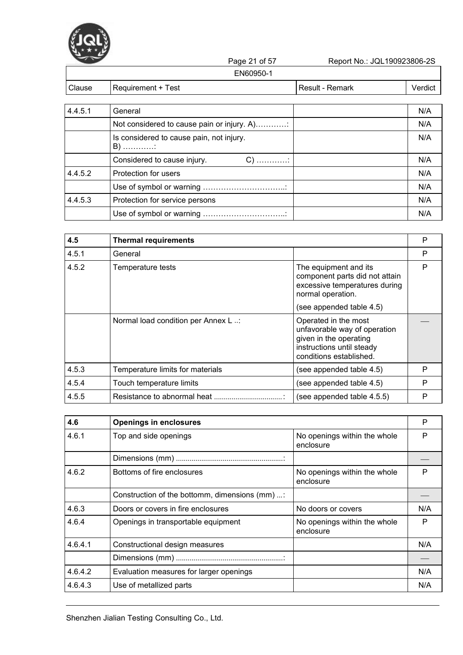

Page 21 of 57 Report No.: JQL190923806-2S

| EN60950-1 |                                                  |                 |         |  |
|-----------|--------------------------------------------------|-----------------|---------|--|
| Clause    | <b>Requirement + Test</b>                        | Result - Remark | Verdict |  |
|           |                                                  |                 |         |  |
| 4.4.5.1   | General                                          |                 | N/A     |  |
|           | Not considered to cause pain or injury. A)       |                 | N/A     |  |
|           | Is considered to cause pain, not injury.<br>B) : |                 | N/A     |  |
|           | Considered to cause injury.                      |                 | N/A     |  |
| 4.4.5.2   | Protection for users                             |                 | N/A     |  |
|           |                                                  |                 | N/A     |  |
| 4.4.5.3   | Protection for service persons                   |                 | N/A     |  |
|           |                                                  |                 | N/A     |  |

| 4.5   | <b>Thermal requirements</b>         |                                                                                                                                        | P |
|-------|-------------------------------------|----------------------------------------------------------------------------------------------------------------------------------------|---|
| 4.5.1 | General                             |                                                                                                                                        | P |
| 4.5.2 | Temperature tests                   | The equipment and its<br>component parts did not attain<br>excessive temperatures during<br>normal operation.                          | P |
|       |                                     | (see appended table 4.5)                                                                                                               |   |
|       | Normal load condition per Annex L : | Operated in the most<br>unfavorable way of operation<br>given in the operating<br>instructions until steady<br>conditions established. |   |
| 4.5.3 | Temperature limits for materials    | (see appended table 4.5)                                                                                                               | P |
| 4.5.4 | Touch temperature limits            | (see appended table 4.5)                                                                                                               | P |
| 4.5.5 | Resistance to abnormal heat         | (see appended table 4.5.5)                                                                                                             | P |

| 4.6     | <b>Openings in enclosures</b>                  |                                           | P   |
|---------|------------------------------------------------|-------------------------------------------|-----|
| 4.6.1   | Top and side openings                          | No openings within the whole<br>enclosure | P   |
|         |                                                |                                           |     |
| 4.6.2   | Bottoms of fire enclosures                     | No openings within the whole<br>enclosure | P   |
|         | Construction of the bottomm, dimensions (mm) : |                                           |     |
| 4.6.3   | Doors or covers in fire enclosures             | No doors or covers                        | N/A |
| 4.6.4   | Openings in transportable equipment            | No openings within the whole<br>enclosure | P   |
| 4.6.4.1 | Constructional design measures                 |                                           | N/A |
|         |                                                |                                           |     |
| 4.6.4.2 | Evaluation measures for larger openings        |                                           | N/A |
| 4.6.4.3 | Use of metallized parts                        |                                           | N/A |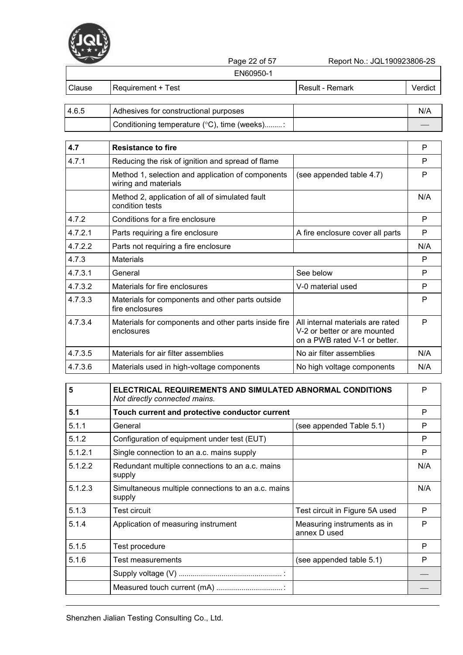

Page 22 of 57 Report No.: JQL190923806-2S

|        | EN60950-1                                   |                 |         |
|--------|---------------------------------------------|-----------------|---------|
| Clause | Requirement + Test                          | Result - Remark | Verdict |
|        |                                             |                 |         |
| 4.6.5  | Adhesives for constructional purposes       |                 | N/A     |
|        | Conditioning temperature (°C), time (weeks) |                 |         |

| 4.7     | <b>Resistance to fire</b>                                                 |                                                                                                   | P   |
|---------|---------------------------------------------------------------------------|---------------------------------------------------------------------------------------------------|-----|
| 4.7.1   | Reducing the risk of ignition and spread of flame                         |                                                                                                   | P   |
|         | Method 1, selection and application of components<br>wiring and materials | (see appended table 4.7)                                                                          | P   |
|         | Method 2, application of all of simulated fault<br>condition tests        |                                                                                                   | N/A |
| 4.7.2   | Conditions for a fire enclosure                                           |                                                                                                   | P   |
| 4.7.2.1 | Parts requiring a fire enclosure                                          | A fire enclosure cover all parts                                                                  | P   |
| 4.7.2.2 | Parts not requiring a fire enclosure                                      |                                                                                                   | N/A |
| 4.7.3   | <b>Materials</b>                                                          |                                                                                                   | P   |
| 4.7.3.1 | General                                                                   | See below                                                                                         | P   |
| 4.7.3.2 | Materials for fire enclosures                                             | V-0 material used                                                                                 | P   |
| 4.7.3.3 | Materials for components and other parts outside<br>fire enclosures       |                                                                                                   | P   |
| 4.7.3.4 | Materials for components and other parts inside fire<br>enclosures        | All internal materials are rated<br>V-2 or better or are mounted<br>on a PWB rated V-1 or better. | P   |
| 4.7.3.5 | Materials for air filter assemblies                                       | No air filter assemblies                                                                          | N/A |
| 4.7.3.6 | Materials used in high-voltage components                                 | No high voltage components                                                                        | N/A |

| 5       | ELECTRICAL REQUIREMENTS AND SIMULATED ABNORMAL CONDITIONS<br>Not directly connected mains. |                                             | P   |
|---------|--------------------------------------------------------------------------------------------|---------------------------------------------|-----|
| 5.1     | Touch current and protective conductor current                                             |                                             | P   |
| 5.1.1   | General                                                                                    | (see appended Table 5.1)                    | P   |
| 5.1.2   | Configuration of equipment under test (EUT)                                                |                                             | P   |
| 5.1.2.1 | Single connection to an a.c. mains supply                                                  |                                             | P   |
| 5.1.2.2 | Redundant multiple connections to an a.c. mains<br>supply                                  |                                             | N/A |
| 5.1.2.3 | Simultaneous multiple connections to an a.c. mains<br>supply                               |                                             | N/A |
| 5.1.3   | Test circuit                                                                               | Test circuit in Figure 5A used              | P   |
| 5.1.4   | Application of measuring instrument                                                        | Measuring instruments as in<br>annex D used | P   |
| 5.1.5   | Test procedure                                                                             |                                             | P   |
| 5.1.6   | Test measurements                                                                          | (see appended table 5.1)                    | P   |
|         |                                                                                            |                                             |     |
|         |                                                                                            |                                             |     |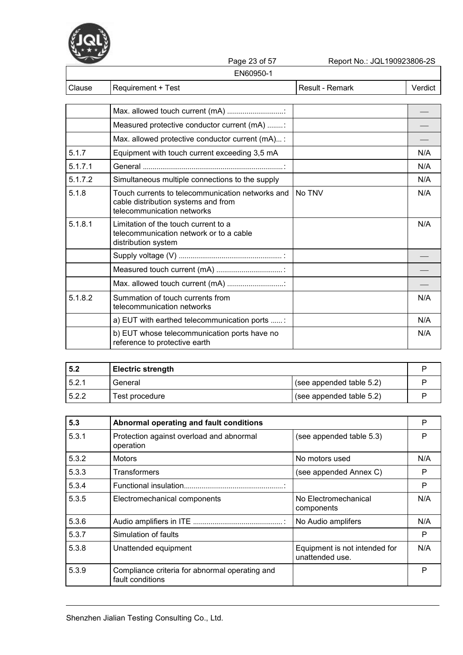

Page 23 of 57 Report No.: JQL190923806-2S

|         | EN60950-1                                                                                                             |                 |         |
|---------|-----------------------------------------------------------------------------------------------------------------------|-----------------|---------|
| Clause  | Requirement + Test                                                                                                    | Result - Remark | Verdict |
|         |                                                                                                                       |                 |         |
|         | Max. allowed touch current (mA)                                                                                       |                 |         |
|         | Measured protective conductor current (mA) :                                                                          |                 |         |
|         | Max. allowed protective conductor current (mA) :                                                                      |                 |         |
| 5.1.7   | Equipment with touch current exceeding 3,5 mA                                                                         |                 | N/A     |
| 5.1.7.1 |                                                                                                                       |                 | N/A     |
| 5.1.7.2 | Simultaneous multiple connections to the supply                                                                       |                 | N/A     |
| 5.1.8   | Touch currents to telecommunication networks and<br>cable distribution systems and from<br>telecommunication networks | No TNV          | N/A     |
| 5.1.8.1 | Limitation of the touch current to a<br>telecommunication network or to a cable<br>distribution system                |                 | N/A     |
|         |                                                                                                                       |                 |         |
|         |                                                                                                                       |                 |         |
|         | Max. allowed touch current (mA)                                                                                       |                 |         |
| 5.1.8.2 | Summation of touch currents from<br>telecommunication networks                                                        |                 | N/A     |
|         | a) EUT with earthed telecommunication ports :                                                                         |                 | N/A     |
|         | b) EUT whose telecommunication ports have no<br>reference to protective earth                                         |                 | N/A     |

| 5.2   | Electric strength |                                     |  |
|-------|-------------------|-------------------------------------|--|
| 5.2.1 | General           | $(see \, appended \, table \, 5.2)$ |  |
| 5.2.2 | Test procedure    | (see appended table 5.2)            |  |

| 5.3   | Abnormal operating and fault conditions                            |                                                  | P   |
|-------|--------------------------------------------------------------------|--------------------------------------------------|-----|
| 5.3.1 | Protection against overload and abnormal<br>operation              | (see appended table 5.3)                         | P   |
| 5.3.2 | Motors                                                             | No motors used                                   | N/A |
| 5.3.3 | <b>Transformers</b>                                                | (see appended Annex C)                           | P   |
| 5.3.4 |                                                                    |                                                  | P   |
| 5.3.5 | Electromechanical components                                       | No Electromechanical<br>components               | N/A |
| 5.3.6 |                                                                    | No Audio amplifers                               | N/A |
| 5.3.7 | Simulation of faults                                               |                                                  | P   |
| 5.3.8 | Unattended equipment                                               | Equipment is not intended for<br>unattended use. | N/A |
| 5.3.9 | Compliance criteria for abnormal operating and<br>fault conditions |                                                  | P   |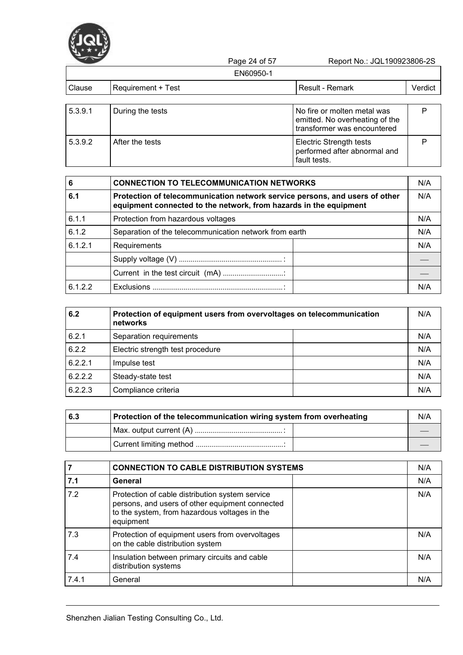

| <b>Contract Contract Contract Contract</b> |                           | Page 24 of 57 | Report No.: JQL190923806-2S                                                                  |         |
|--------------------------------------------|---------------------------|---------------|----------------------------------------------------------------------------------------------|---------|
|                                            |                           | EN60950-1     |                                                                                              |         |
| Clause                                     | <b>Requirement + Test</b> |               | Result - Remark                                                                              | Verdict |
| 5.3.9.1                                    | During the tests          |               | No fire or molten metal was<br>emitted. No overheating of the<br>transformer was encountered | P       |
| 5.3.9.2                                    | After the tests           |               | <b>Electric Strength tests</b><br>performed after abnormal and<br>fault tests.               | Þ       |

| 6       | <b>CONNECTION TO TELECOMMUNICATION NETWORKS</b>                                                                                                  |     |
|---------|--------------------------------------------------------------------------------------------------------------------------------------------------|-----|
| 6.1     | Protection of telecommunication network service persons, and users of other<br>equipment connected to the network, from hazards in the equipment |     |
| 6.1.1   | Protection from hazardous voltages                                                                                                               |     |
| 6.1.2   | Separation of the telecommunication network from earth                                                                                           |     |
| 6.1.2.1 | Requirements                                                                                                                                     | N/A |
|         |                                                                                                                                                  |     |
|         |                                                                                                                                                  |     |
| 6.1.2.2 | Exclusions.                                                                                                                                      | N/A |

| 6.2<br>Protection of equipment users from overvoltages on telecommunication<br>networks |                                  | N/A |
|-----------------------------------------------------------------------------------------|----------------------------------|-----|
| 6.2.1                                                                                   | Separation requirements          | N/A |
| 6.2.2                                                                                   | Electric strength test procedure | N/A |
| 6.2.2.1                                                                                 | Impulse test                     | N/A |
| 6.2.2.2                                                                                 | Steady-state test                | N/A |
| 6.2.2.3                                                                                 | Compliance criteria              | N/A |

| 6.3<br>Protection of the telecommunication wiring system from overheating | N/A |
|---------------------------------------------------------------------------|-----|
| Max. output current (A).                                                  |     |
| Current limiting method.                                                  |     |

|       | <b>CONNECTION TO CABLE DISTRIBUTION SYSTEMS</b>                                                                                                                  | N/A |
|-------|------------------------------------------------------------------------------------------------------------------------------------------------------------------|-----|
| 7.1   | General                                                                                                                                                          | N/A |
| 7.2   | Protection of cable distribution system service<br>persons, and users of other equipment connected<br>to the system, from hazardous voltages in the<br>equipment | N/A |
| 7.3   | Protection of equipment users from overvoltages<br>on the cable distribution system                                                                              | N/A |
| 7.4   | Insulation between primary circuits and cable<br>distribution systems                                                                                            | N/A |
| 7.4.1 | General                                                                                                                                                          | N/A |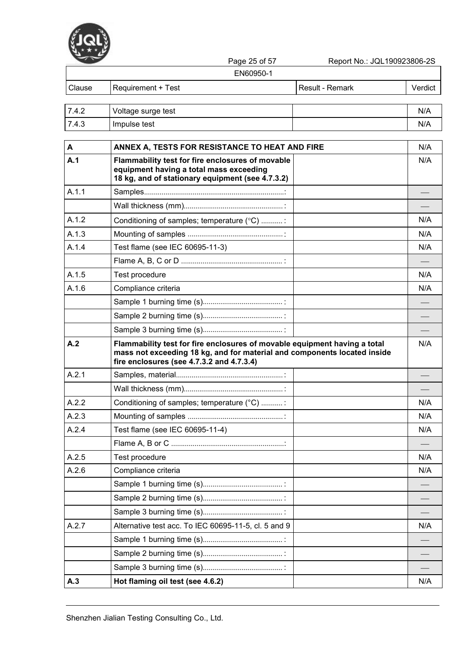

Page 25 of 57 Report No.: JQL190923806-2S EN60950-1 Clause Requirement + Test Result - Result - Remark Verdict

| 7.4.2 | Voltage surge test | N/A |  |
|-------|--------------------|-----|--|
| 7.4.3 | Impulse test       | N/A |  |
|       |                    |     |  |

| $\blacktriangle$ | ANNEX A, TESTS FOR RESISTANCE TO HEAT AND FIRE                                                                                                                                                     | N/A |
|------------------|----------------------------------------------------------------------------------------------------------------------------------------------------------------------------------------------------|-----|
| A.1              | Flammability test for fire enclosures of movable<br>equipment having a total mass exceeding<br>18 kg, and of stationary equipment (see 4.7.3.2)                                                    | N/A |
| A.1.1            |                                                                                                                                                                                                    |     |
|                  |                                                                                                                                                                                                    |     |
| A.1.2            | Conditioning of samples; temperature (°C) :                                                                                                                                                        | N/A |
| A.1.3            |                                                                                                                                                                                                    | N/A |
| A.1.4            | Test flame (see IEC 60695-11-3)                                                                                                                                                                    | N/A |
|                  |                                                                                                                                                                                                    |     |
| A.1.5            | Test procedure                                                                                                                                                                                     | N/A |
| A.1.6            | Compliance criteria                                                                                                                                                                                | N/A |
|                  |                                                                                                                                                                                                    |     |
|                  |                                                                                                                                                                                                    |     |
|                  |                                                                                                                                                                                                    |     |
| A.2              | Flammability test for fire enclosures of movable equipment having a total<br>mass not exceeding 18 kg, and for material and components located inside<br>fire enclosures (see 4.7.3.2 and 4.7.3.4) | N/A |
| A.2.1            |                                                                                                                                                                                                    |     |
|                  |                                                                                                                                                                                                    |     |
| A.2.2            | Conditioning of samples; temperature (°C) :                                                                                                                                                        | N/A |
| A.2.3            |                                                                                                                                                                                                    | N/A |
| A.2.4            | Test flame (see IEC 60695-11-4)                                                                                                                                                                    | N/A |
|                  |                                                                                                                                                                                                    |     |
| A.2.5            | Test procedure                                                                                                                                                                                     | N/A |
| A.2.6            | Compliance criteria                                                                                                                                                                                | N/A |
|                  |                                                                                                                                                                                                    |     |
|                  |                                                                                                                                                                                                    |     |
|                  |                                                                                                                                                                                                    |     |
| A.2.7            | Alternative test acc. To IEC 60695-11-5, cl. 5 and 9                                                                                                                                               | N/A |
|                  |                                                                                                                                                                                                    |     |
|                  |                                                                                                                                                                                                    |     |
|                  |                                                                                                                                                                                                    |     |
| A.3              | Hot flaming oil test (see 4.6.2)                                                                                                                                                                   | N/A |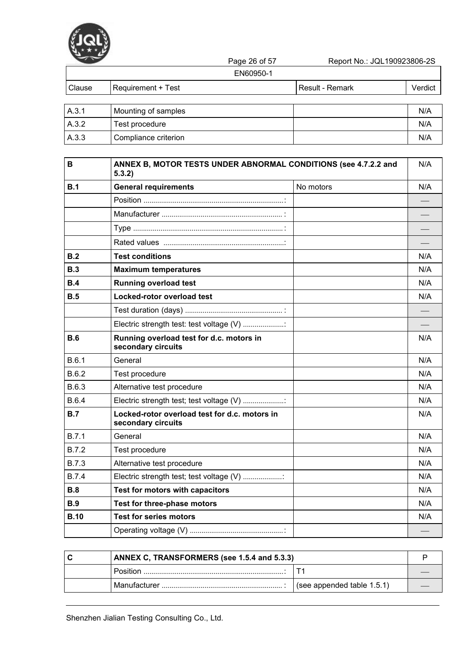

Page 26 of 57 Report No.: JQL190923806-2S EN60950-1 Clause Requirement + Test Result - Result - Remark Verdict A.3.1 Mounting of samples N/A A.3.2 Test procedure N/A A.3.3 Compliance criterion N/A

| B            | ANNEX B, MOTOR TESTS UNDER ABNORMAL CONDITIONS (see 4.7.2.2 and<br>5.3.2) |           | N/A |
|--------------|---------------------------------------------------------------------------|-----------|-----|
| B.1          | <b>General requirements</b>                                               | No motors | N/A |
|              |                                                                           |           |     |
|              |                                                                           |           |     |
|              |                                                                           |           |     |
|              |                                                                           |           |     |
| B.2          | <b>Test conditions</b>                                                    |           | N/A |
| <b>B.3</b>   | <b>Maximum temperatures</b>                                               |           | N/A |
| B.4          | <b>Running overload test</b>                                              |           | N/A |
| B.5          | Locked-rotor overload test                                                |           | N/A |
|              |                                                                           |           |     |
|              | Electric strength test: test voltage (V)                                  |           |     |
| <b>B.6</b>   | Running overload test for d.c. motors in<br>secondary circuits            |           | N/A |
| <b>B.6.1</b> | General                                                                   |           | N/A |
| B.6.2        | Test procedure                                                            |           | N/A |
| <b>B.6.3</b> | Alternative test procedure                                                |           | N/A |
| <b>B.6.4</b> | Electric strength test; test voltage (V)                                  |           | N/A |
| B.7          | Locked-rotor overload test for d.c. motors in<br>secondary circuits       |           | N/A |
| B.7.1        | General                                                                   |           | N/A |
| <b>B.7.2</b> | Test procedure                                                            |           | N/A |
| <b>B.7.3</b> | Alternative test procedure                                                |           | N/A |
| <b>B.7.4</b> | Electric strength test; test voltage (V)                                  |           | N/A |
| <b>B.8</b>   | Test for motors with capacitors                                           |           | N/A |
| <b>B.9</b>   | Test for three-phase motors                                               |           | N/A |
| <b>B.10</b>  | <b>Test for series motors</b>                                             |           | N/A |
|              |                                                                           |           |     |

| C | ANNEX C, TRANSFORMERS (see 1.5.4 and 5.3.3) |                            |     |
|---|---------------------------------------------|----------------------------|-----|
|   | Position                                    |                            | ___ |
|   | Manufacturer                                | (see appended table 1.5.1) |     |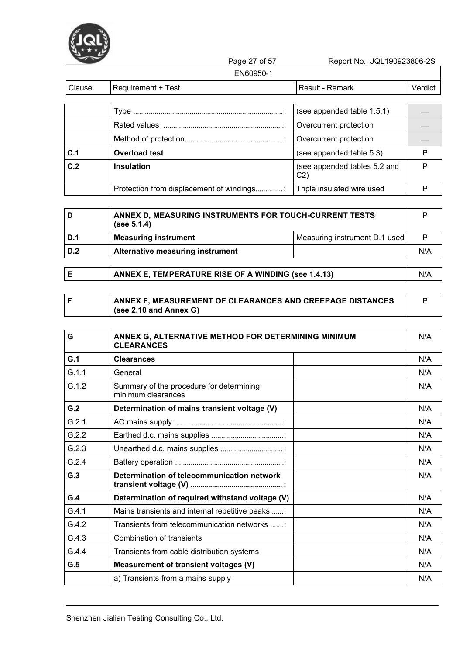

Page 27 of 57 Report No.: JQL190923806-2S EN60950-1 Clause Requirement + Test Result - Result - Remark Verdict

|     |                                          | (see appended table 1.5.1)          |   |  |
|-----|------------------------------------------|-------------------------------------|---|--|
|     | Rated values                             | Overcurrent protection              |   |  |
|     |                                          | Overcurrent protection              |   |  |
| C.1 | Overload test                            | (see appended table 5.3)            |   |  |
| C.2 | Insulation                               | (see appended tables 5.2 and<br>C2` | D |  |
|     | Protection from displacement of windings | Triple insulated wire used          |   |  |

|     | <b>ANNEX D, MEASURING INSTRUMENTS FOR TOUCH-CURRENT TESTS</b><br>(see 5.1.4) |                               |     |
|-----|------------------------------------------------------------------------------|-------------------------------|-----|
| D.1 | <b>Measuring instrument</b>                                                  | Measuring instrument D.1 used | Þ   |
| D.2 | Alternative measuring instrument                                             |                               | N/A |

| <b>ANNEX E, TEMPERATURE RISE OF A WINDING (see 1.4.13)</b> | N/A |  |
|------------------------------------------------------------|-----|--|
|------------------------------------------------------------|-----|--|

| ANNEX F. MEASUREMENT OF CLEARANCES AND CREEPAGE DISTANCES |  |
|-----------------------------------------------------------|--|
| $\frac{1}{2}$ (see 2.10 and Annex G)                      |  |

| G     | ANNEX G, ALTERNATIVE METHOD FOR DETERMINING MINIMUM<br><b>CLEARANCES</b> | N/A |
|-------|--------------------------------------------------------------------------|-----|
| G.1   | <b>Clearances</b>                                                        | N/A |
| G.1.1 | General                                                                  | N/A |
| G.1.2 | Summary of the procedure for determining<br>minimum clearances           | N/A |
| G.2   | Determination of mains transient voltage (V)                             | N/A |
| G.2.1 |                                                                          | N/A |
| G.2.2 |                                                                          | N/A |
| G.2.3 |                                                                          | N/A |
| G.2.4 |                                                                          | N/A |
| G.3   | Determination of telecommunication network                               | N/A |
| G.4   | Determination of required withstand voltage (V)                          | N/A |
| G.4.1 | Mains transients and internal repetitive peaks :                         | N/A |
| G.4.2 | Transients from telecommunication networks                               | N/A |
| G.4.3 | Combination of transients                                                | N/A |
| G.4.4 | Transients from cable distribution systems                               | N/A |
| G.5   | Measurement of transient voltages (V)                                    | N/A |
|       | a) Transients from a mains supply                                        | N/A |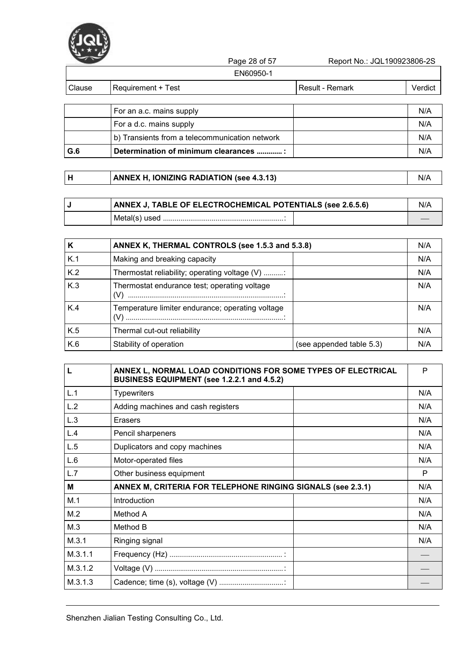

Page 28 of 57 Report No.: JQL190923806-2S EN60950-1 Clause | Requirement + Test | Network | Result - Remark | Verdict For an a.c. mains supply N/A For a d.c. mains supply N/A b) Transients from a telecommunication network  $\vert$  N/A

**G.6 Determination of minimum clearances ............. :** N/A

**H ANNEX H, IONIZING RADIATION (see 4.3.13)** N/A

| TABLE OF ELECTROCHEMICAL POTENTIALS (see 2.6.5.6)<br><b>ANNE</b> | N/A |
|------------------------------------------------------------------|-----|
| usec<br>Metal(s                                                  |     |

| K   | ANNEX K, THERMAL CONTROLS (see 1.5.3 and 5.3.8)             |                          | N/A |
|-----|-------------------------------------------------------------|--------------------------|-----|
| K.1 | Making and breaking capacity                                |                          | N/A |
| K.2 | Thermostat reliability; operating voltage (V) :             |                          | N/A |
| K.3 | Thermostat endurance test; operating voltage<br>(V)         |                          | N/A |
| K.4 | Temperature limiter endurance; operating voltage<br>$(V)$ . |                          | N/A |
| K.5 | Thermal cut-out reliability                                 |                          | N/A |
| K.6 | Stability of operation                                      | (see appended table 5.3) | N/A |

|         | ANNEX L, NORMAL LOAD CONDITIONS FOR SOME TYPES OF ELECTRICAL<br>BUSINESS EQUIPMENT (see 1.2.2.1 and 4.5.2) | P   |
|---------|------------------------------------------------------------------------------------------------------------|-----|
| L.1     | <b>Typewriters</b>                                                                                         | N/A |
| L.2     | Adding machines and cash registers                                                                         | N/A |
| L.3     | Erasers                                                                                                    | N/A |
| L.4     | Pencil sharpeners                                                                                          | N/A |
| L.5     | Duplicators and copy machines                                                                              | N/A |
| L.6     | Motor-operated files                                                                                       | N/A |
| L.7     | Other business equipment                                                                                   | P   |
| M       | ANNEX M, CRITERIA FOR TELEPHONE RINGING SIGNALS (see 2.3.1)                                                | N/A |
| M.1     | Introduction                                                                                               | N/A |
| M.2     | Method A                                                                                                   | N/A |
| M.3     | Method B                                                                                                   | N/A |
| M.3.1   | Ringing signal                                                                                             | N/A |
| M.3.1.1 |                                                                                                            |     |
| M.3.1.2 |                                                                                                            |     |
| M.3.1.3 |                                                                                                            |     |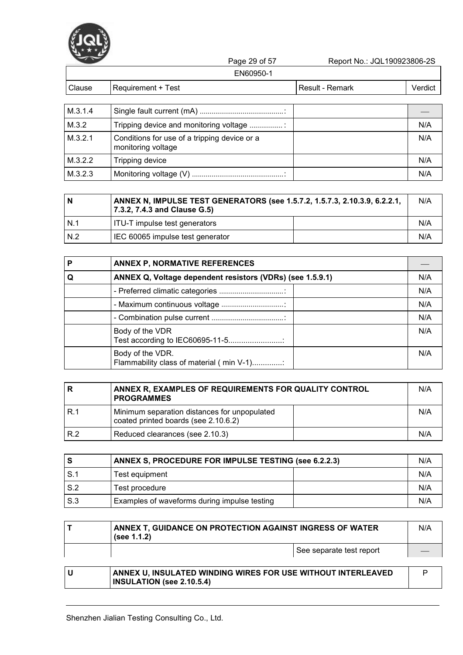

Page 29 of 57 Report No.: JQL190923806-2S

|         | EN60950-1                                                          |                 |         |
|---------|--------------------------------------------------------------------|-----------------|---------|
| Clause  | <b>Requirement + Test</b>                                          | Result - Remark | Verdict |
|         |                                                                    |                 |         |
| M.3.1.4 |                                                                    |                 |         |
| M.3.2   | Tripping device and monitoring voltage :                           |                 | N/A     |
| M.3.2.1 | Conditions for use of a tripping device or a<br>monitoring voltage |                 | N/A     |
| M.3.2.2 | Tripping device                                                    |                 | N/A     |
| M.3.2.3 |                                                                    |                 | N/A     |

| $\mathbf N$ | ANNEX N, IMPULSE TEST GENERATORS (see 1.5.7.2, 1.5.7.3, 2.10.3.9, 6.2.2.1,<br>$ 7.3.2, 7.4.3$ and Clause G.5) | N/A |
|-------------|---------------------------------------------------------------------------------------------------------------|-----|
| IN.1        | ITU-T impulse test generators                                                                                 | N/A |
| N.2         | IEC 60065 impulse test generator                                                                              | N/A |

| Р | <b>ANNEX P, NORMATIVE REFERENCES</b>                         |     |
|---|--------------------------------------------------------------|-----|
| Q | ANNEX Q, Voltage dependent resistors (VDRs) (see 1.5.9.1)    | N/A |
|   |                                                              | N/A |
|   | - Maximum continuous voltage                                 | N/A |
|   |                                                              | N/A |
|   | Body of the VDR                                              | N/A |
|   | Body of the VDR.<br>Flammability class of material (min V-1) | N/A |

| R   | ANNEX R, EXAMPLES OF REQUIREMENTS FOR QUALITY CONTROL<br><b>PROGRAMMES</b>           | N/A |
|-----|--------------------------------------------------------------------------------------|-----|
| R.1 | Minimum separation distances for unpopulated<br>coated printed boards (see 2.10.6.2) | N/A |
| R.2 | Reduced clearances (see 2.10.3)                                                      | N/A |

| ۱S                      | <b>ANNEX S, PROCEDURE FOR IMPULSE TESTING (see 6.2.2.3)</b> | N/A |
|-------------------------|-------------------------------------------------------------|-----|
| l S.1                   | Test equipment                                              | N/A |
| $\mathsf{S}.\mathsf{2}$ | Test procedure                                              | N/A |
| $\mathsf{S}.3$          | Examples of waveforms during impulse testing                | N/A |

| <b>ANNEX T, GUIDANCE ON PROTECTION AGAINST INGRESS OF WATER</b><br>(see 1.1.2)                         | N/A |  |
|--------------------------------------------------------------------------------------------------------|-----|--|
| See separate test report                                                                               |     |  |
| IJ<br>ANNEX U, INSULATED WINDING WIRES FOR USE WITHOUT INTERLEAVED<br><b>INSULATION (see 2.10.5.4)</b> |     |  |

**INSULATION (see 2.10.5.4)**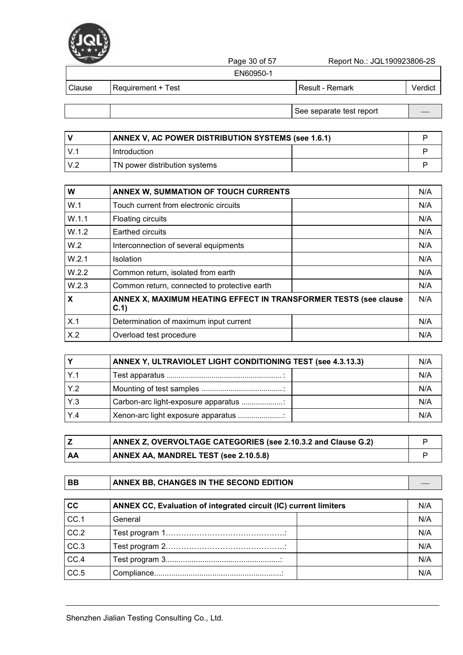

Page 30 of 57 Report No.: JQL190923806-2S EN60950-1 Clause Requirement + Test Result - Result - Remark Verdict See separate test report

|     | ANNEX V, AC POWER DISTRIBUTION SYSTEMS (see 1.6.1) |  |
|-----|----------------------------------------------------|--|
|     | Introduction                                       |  |
| V.2 | TN power distribution systems                      |  |

| W     | ANNEX W, SUMMATION OF TOUCH CURRENTS                                    |     |  |  |
|-------|-------------------------------------------------------------------------|-----|--|--|
| W.1   | Touch current from electronic circuits                                  | N/A |  |  |
| W.1.1 | Floating circuits                                                       | N/A |  |  |
| W.1.2 | Earthed circuits                                                        | N/A |  |  |
| W.2   | Interconnection of several equipments                                   | N/A |  |  |
| W.2.1 | <b>Isolation</b>                                                        | N/A |  |  |
| W.2.2 | Common return, isolated from earth                                      | N/A |  |  |
| W.2.3 | Common return, connected to protective earth                            | N/A |  |  |
| X     | ANNEX X, MAXIMUM HEATING EFFECT IN TRANSFORMER TESTS (see clause<br>C.1 | N/A |  |  |
| X.1   | Determination of maximum input current                                  | N/A |  |  |
| X.2   | Overload test procedure                                                 | N/A |  |  |

|     | ANNEX Y, ULTRAVIOLET LIGHT CONDITIONING TEST (see 4.3.13.3) | N/A |
|-----|-------------------------------------------------------------|-----|
| Y.1 |                                                             | N/A |
| Y.2 |                                                             | N/A |
| Y.3 | Carbon-arc light-exposure apparatus                         | N/A |
| Y.4 | Xenon-arc light exposure apparatus                          | N/A |

|      | <b>ANNEX Z, OVERVOLTAGE CATEGORIES (see 2.10.3.2 and Clause G.2)</b> |  |  |
|------|----------------------------------------------------------------------|--|--|
| ∣ AA | <b>ANNEX AA, MANDREL TEST (see 2.10.5.8)</b>                         |  |  |

| cc                | ANNEX CC, Evaluation of integrated circuit (IC) current limiters | N/A |
|-------------------|------------------------------------------------------------------|-----|
| CC.1              | General                                                          | N/A |
| $\overline{CC.2}$ |                                                                  | N/A |
| CC.3              |                                                                  | N/A |
| CC.4              |                                                                  | N/A |
| CC.5              |                                                                  | N/A |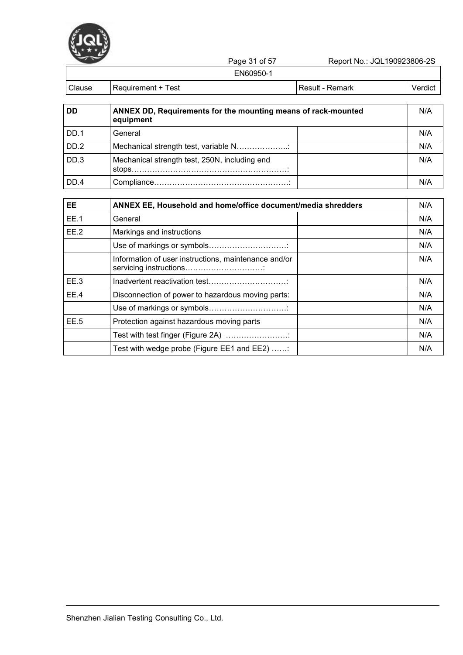

Page 31 of 57 Report No.: JQL190923806-2S

| l DD   | equipment                                     | ANNEX DD, Requirements for the mounting means of rack-mounted |     |  |
|--------|-----------------------------------------------|---------------------------------------------------------------|-----|--|
| l DD.1 | General                                       |                                                               | N/A |  |
| DD.2   |                                               |                                                               | N/A |  |
| DD.3   | Mechanical strength test, 250N, including end |                                                               | N/A |  |
| I DD.4 |                                               |                                                               | N/A |  |

| EE   | ANNEX EE, Household and home/office document/media shredders |     |  |  |
|------|--------------------------------------------------------------|-----|--|--|
| EE.1 | General                                                      | N/A |  |  |
| EE.2 | Markings and instructions                                    | N/A |  |  |
|      |                                                              | N/A |  |  |
|      | Information of user instructions, maintenance and/or         | N/A |  |  |
| EE.3 |                                                              | N/A |  |  |
| EE.4 | Disconnection of power to hazardous moving parts:            | N/A |  |  |
|      |                                                              | N/A |  |  |
| EE.5 | Protection against hazardous moving parts                    | N/A |  |  |
|      |                                                              | N/A |  |  |
|      | Test with wedge probe (Figure EE1 and EE2)                   | N/A |  |  |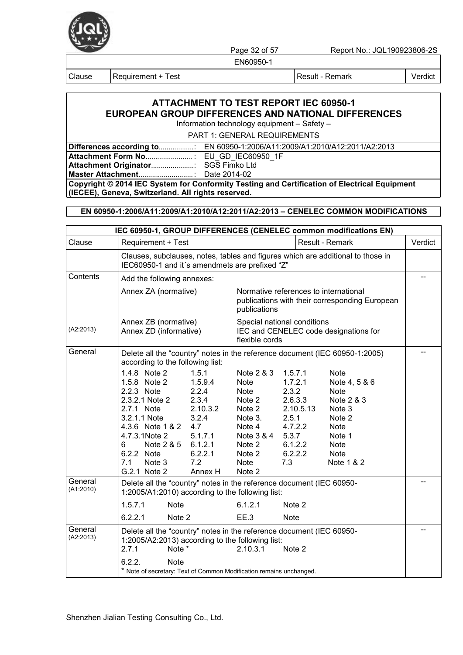

Page 32 of 57 Report No.: JQL190923806-2S

EN60950-1

Clause | Requirement + Test Result - Result - Remark | Verdict

# **ATTACHMENT TO TEST REPORT IEC 60950-1 EUROPEAN GROUP DIFFERENCES AND NATIONAL DIFFERENCES**

Information technology equipment – Safety –

PART 1: GENERAL REQUIREMENTS

| Differences according to                           | EN 60950-1:2006/A11:2009/A1:2010/A12:2011/A2:2013                                            |
|----------------------------------------------------|----------------------------------------------------------------------------------------------|
|                                                    | EU GD IEC60950 1F                                                                            |
|                                                    |                                                                                              |
| Master Attachment                                  | Date 2014-02                                                                                 |
|                                                    | Copyright © 2014 IEC System for Conformity Testing and Certification of Electrical Equipment |
| (IECEE), Geneva, Switzerland. All rights reserved. |                                                                                              |

#### **EN 60950-1:2006/A11:2009/A1:2010/A12:2011/A2:2013 – CENELEC COMMON MODIFICATIONS**

|                      |                                                                                                                                                                                                                                                                           |                                                                                                                   |                                                                                                                                      |                                                                                                      | IEC 60950-1, GROUP DIFFERENCES (CENELEC common modifications EN)                                                                                   |     |
|----------------------|---------------------------------------------------------------------------------------------------------------------------------------------------------------------------------------------------------------------------------------------------------------------------|-------------------------------------------------------------------------------------------------------------------|--------------------------------------------------------------------------------------------------------------------------------------|------------------------------------------------------------------------------------------------------|----------------------------------------------------------------------------------------------------------------------------------------------------|-----|
| Clause               | <b>Requirement + Test</b><br>Result - Remark                                                                                                                                                                                                                              |                                                                                                                   | Verdict                                                                                                                              |                                                                                                      |                                                                                                                                                    |     |
|                      | Clauses, subclauses, notes, tables and figures which are additional to those in<br>IEC60950-1 and it's amendmets are prefixed "Z"                                                                                                                                         |                                                                                                                   |                                                                                                                                      |                                                                                                      |                                                                                                                                                    |     |
| Contents             | Add the following annexes:                                                                                                                                                                                                                                                |                                                                                                                   |                                                                                                                                      |                                                                                                      |                                                                                                                                                    |     |
|                      | Annex ZA (normative)                                                                                                                                                                                                                                                      |                                                                                                                   | publications                                                                                                                         |                                                                                                      | Normative references to international<br>publications with their corresponding European                                                            |     |
| (A2:2013)            | Annex ZB (normative)<br>Annex ZD (informative)                                                                                                                                                                                                                            |                                                                                                                   |                                                                                                                                      | Special national conditions<br>IEC and CENELEC code designations for<br>flexible cords               |                                                                                                                                                    |     |
| General              | Delete all the "country" notes in the reference document (IEC 60950-1:2005)<br>according to the following list:                                                                                                                                                           |                                                                                                                   |                                                                                                                                      |                                                                                                      |                                                                                                                                                    | $-$ |
| General              | 1.4.8 Note 2<br>1.5.8 Note 2<br>2.2.3 Note<br>2.3.2.1 Note 2<br>2.7.1 Note<br>3.2.1.1 Note<br>4.3.6 Note 1 & 2<br>4.7.3.1Note 2<br>Note 2 & 5<br>6<br>6.2.2 Note<br>7.1<br>Note 3<br>G.2.1 Note 2<br>Delete all the "country" notes in the reference document (IEC 60950- | 1.5.1<br>1.5.9.4<br>2.2.4<br>2.3.4<br>2.10.3.2<br>3.2.4<br>4.7<br>5.1.7.1<br>6.1.2.1<br>6.2.2.1<br>7.2<br>Annex H | Note 2 & 3<br>Note<br>Note<br>Note 2<br>Note 2<br>Note 3.<br>Note 4<br>Note 3 & 4 5.3.7<br>Note 2<br>Note 2<br><b>Note</b><br>Note 2 | 1.5.7.1<br>1.7.2.1<br>2.3.2<br>2.6.3.3<br>2.10.5.13<br>2.5.1<br>4.7.2.2<br>6.1.2.2<br>6.2.2.2<br>7.3 | <b>Note</b><br>Note 4, 5 & 6<br><b>Note</b><br>Note 2 & 3<br>Note 3<br>Note 2<br><b>Note</b><br>Note 1<br><b>Note</b><br><b>Note</b><br>Note 1 & 2 |     |
| (A1:2010)            | 1:2005/A1:2010) according to the following list:<br>1.5.7.1<br><b>Note</b><br>6.2.2.1<br>Note 2                                                                                                                                                                           |                                                                                                                   | 6.1.2.1<br>EE.3                                                                                                                      | Note 2<br><b>Note</b>                                                                                |                                                                                                                                                    |     |
| General<br>(A2:2013) | Delete all the "country" notes in the reference document (IEC 60950-<br>1:2005/A2:2013) according to the following list:<br>Note *<br>2.7.1<br>2.10.3.1<br>Note 2                                                                                                         |                                                                                                                   | --                                                                                                                                   |                                                                                                      |                                                                                                                                                    |     |
|                      | 6.2.2.<br><b>Note</b><br>* Note of secretary: Text of Common Modification remains unchanged.                                                                                                                                                                              |                                                                                                                   |                                                                                                                                      |                                                                                                      |                                                                                                                                                    |     |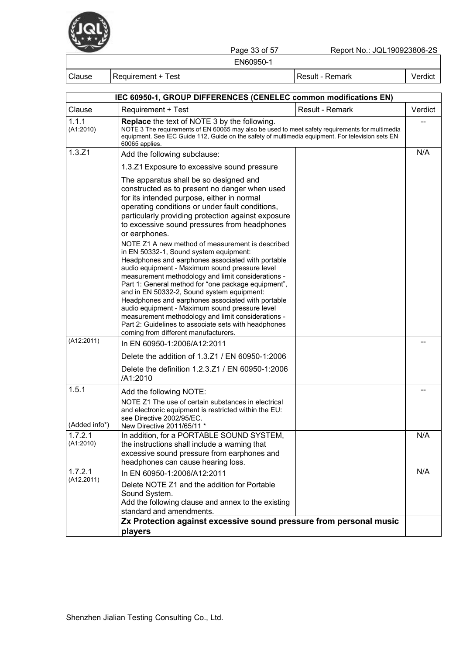

Page 33 of 57 Report No.: JQL190923806-2S

EN60950-1

| Clause                 | <b>Requirement + Test</b>                                                                                                                                                                                                                                                                                                                                                                                                                                                                                                                                                                                                 | Result - Remark | Verdict |
|------------------------|---------------------------------------------------------------------------------------------------------------------------------------------------------------------------------------------------------------------------------------------------------------------------------------------------------------------------------------------------------------------------------------------------------------------------------------------------------------------------------------------------------------------------------------------------------------------------------------------------------------------------|-----------------|---------|
| 1.1.1<br>(A1:2010)     | <b>Replace</b> the text of NOTE 3 by the following.<br>NOTE 3 The requirements of EN 60065 may also be used to meet safety requirements for multimedia<br>equipment. See IEC Guide 112, Guide on the safety of multimedia equipment. For television sets EN<br>60065 applies.                                                                                                                                                                                                                                                                                                                                             |                 |         |
| 1.3.Z1                 | Add the following subclause:                                                                                                                                                                                                                                                                                                                                                                                                                                                                                                                                                                                              |                 | N/A     |
|                        | 1.3.Z1 Exposure to excessive sound pressure                                                                                                                                                                                                                                                                                                                                                                                                                                                                                                                                                                               |                 |         |
|                        | The apparatus shall be so designed and<br>constructed as to present no danger when used<br>for its intended purpose, either in normal<br>operating conditions or under fault conditions,<br>particularly providing protection against exposure<br>to excessive sound pressures from headphones<br>or earphones.                                                                                                                                                                                                                                                                                                           |                 |         |
|                        | NOTE Z1 A new method of measurement is described<br>in EN 50332-1, Sound system equipment:<br>Headphones and earphones associated with portable<br>audio equipment - Maximum sound pressure level<br>measurement methodology and limit considerations -<br>Part 1: General method for "one package equipment",<br>and in EN 50332-2, Sound system equipment:<br>Headphones and earphones associated with portable<br>audio equipment - Maximum sound pressure level<br>measurement methodology and limit considerations -<br>Part 2: Guidelines to associate sets with headphones<br>coming from different manufacturers. |                 |         |
| (A12:2011)             | In EN 60950-1:2006/A12:2011                                                                                                                                                                                                                                                                                                                                                                                                                                                                                                                                                                                               |                 |         |
|                        | Delete the addition of 1.3.Z1 / EN 60950-1:2006                                                                                                                                                                                                                                                                                                                                                                                                                                                                                                                                                                           |                 |         |
|                        | Delete the definition 1.2.3.Z1 / EN 60950-1:2006<br>/A1:2010                                                                                                                                                                                                                                                                                                                                                                                                                                                                                                                                                              |                 |         |
| 1.5.1<br>(Added info*) | Add the following NOTE:<br>NOTE Z1 The use of certain substances in electrical<br>and electronic equipment is restricted within the EU:<br>see Directive 2002/95/EC.<br>New Directive 2011/65/11 *                                                                                                                                                                                                                                                                                                                                                                                                                        |                 |         |
| 1.7.2.1<br>(A1:2010)   | In addition, for a PORTABLE SOUND SYSTEM,<br>the instructions shall include a warning that<br>excessive sound pressure from earphones and<br>headphones can cause hearing loss.                                                                                                                                                                                                                                                                                                                                                                                                                                           |                 | N/A     |
| 1.7.2.1                | In EN 60950-1:2006/A12:2011                                                                                                                                                                                                                                                                                                                                                                                                                                                                                                                                                                                               |                 | N/A     |
| (A12.2011)             | Delete NOTE Z1 and the addition for Portable<br>Sound System.<br>Add the following clause and annex to the existing<br>standard and amendments.                                                                                                                                                                                                                                                                                                                                                                                                                                                                           |                 |         |
|                        | Zx Protection against excessive sound pressure from personal music                                                                                                                                                                                                                                                                                                                                                                                                                                                                                                                                                        |                 |         |
|                        | players                                                                                                                                                                                                                                                                                                                                                                                                                                                                                                                                                                                                                   |                 |         |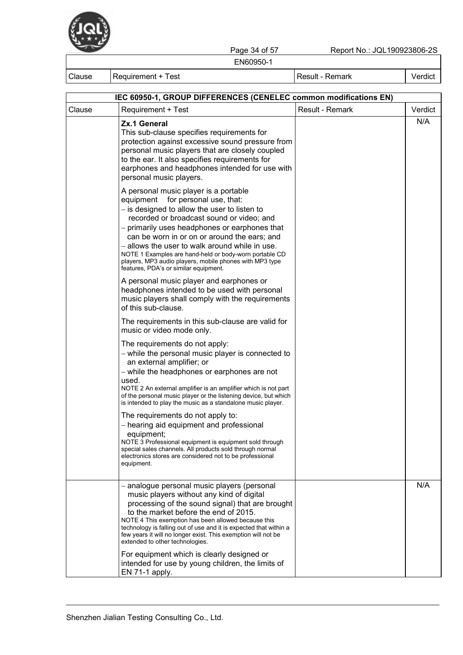

Page 34 of 57 Report No.: JQL190923806-2S

EN60950-1

| Clause | IEC 60950-1, GROUP DIFFERENCES (CENELEC common modifications EN)<br><b>Requirement + Test</b>                                                                                                                                                                                                                                                                                                                                                                                            | Result - Remark | Verdict |
|--------|------------------------------------------------------------------------------------------------------------------------------------------------------------------------------------------------------------------------------------------------------------------------------------------------------------------------------------------------------------------------------------------------------------------------------------------------------------------------------------------|-----------------|---------|
|        |                                                                                                                                                                                                                                                                                                                                                                                                                                                                                          |                 | N/A     |
|        | <b>Zx.1 General</b><br>This sub-clause specifies requirements for<br>protection against excessive sound pressure from<br>personal music players that are closely coupled<br>to the ear. It also specifies requirements for<br>earphones and headphones intended for use with<br>personal music players.                                                                                                                                                                                  |                 |         |
|        | A personal music player is a portable<br>equipment for personal use, that:<br>- is designed to allow the user to listen to<br>recorded or broadcast sound or video; and<br>- primarily uses headphones or earphones that<br>can be worn in or on or around the ears; and<br>- allows the user to walk around while in use.<br>NOTE 1 Examples are hand-held or body-worn portable CD<br>players, MP3 audio players, mobile phones with MP3 type<br>features, PDA's or similar equipment. |                 |         |
|        | A personal music player and earphones or<br>headphones intended to be used with personal<br>music players shall comply with the requirements<br>of this sub-clause.                                                                                                                                                                                                                                                                                                                      |                 |         |
|        | The requirements in this sub-clause are valid for<br>music or video mode only.                                                                                                                                                                                                                                                                                                                                                                                                           |                 |         |
|        | The requirements do not apply:<br>- while the personal music player is connected to<br>an external amplifier; or<br>- while the headphones or earphones are not<br>used.<br>NOTE 2 An external amplifier is an amplifier which is not part<br>of the personal music player or the listening device, but which<br>is intended to play the music as a standalone music player.                                                                                                             |                 |         |
|        | The requirements do not apply to:<br>- hearing aid equipment and professional<br>equipment;<br>NOTE 3 Professional equipment is equipment sold through<br>special sales channels. All products sold through normal<br>electronics stores are considered not to be professional<br>equipment.                                                                                                                                                                                             |                 |         |
|        | - analogue personal music players (personal<br>music players without any kind of digital<br>processing of the sound signal) that are brought<br>to the market before the end of 2015.<br>NOTE 4 This exemption has been allowed because this<br>technology is falling out of use and it is expected that within a<br>few years it will no longer exist. This exemption will not be<br>extended to other technologies.                                                                    |                 | N/A     |
|        | For equipment which is clearly designed or<br>intended for use by young children, the limits of<br>EN 71-1 apply.                                                                                                                                                                                                                                                                                                                                                                        |                 |         |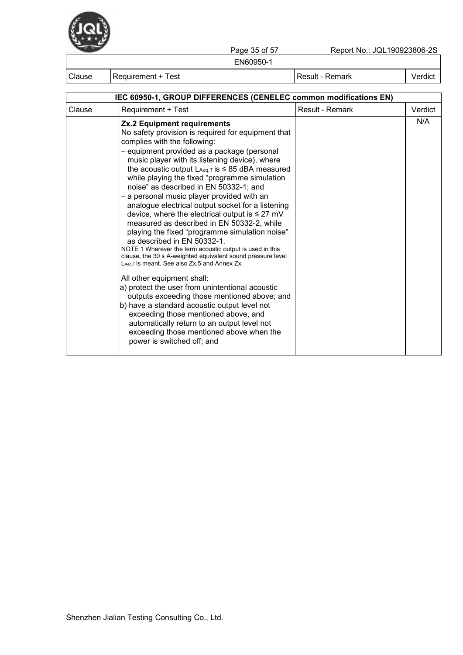

Page 35 of 57 Report No.: JQL190923806-2S

EN60950-1

| Clause | Requirement + Test                                                                                                                                                                                                                                                                                                                                                                                                                                                                                                                                                                                                                                                                                                                                                                                                                                                                                                                                                                                                                                                                                                                                                                                                  | Result - Remark | Verdict |
|--------|---------------------------------------------------------------------------------------------------------------------------------------------------------------------------------------------------------------------------------------------------------------------------------------------------------------------------------------------------------------------------------------------------------------------------------------------------------------------------------------------------------------------------------------------------------------------------------------------------------------------------------------------------------------------------------------------------------------------------------------------------------------------------------------------------------------------------------------------------------------------------------------------------------------------------------------------------------------------------------------------------------------------------------------------------------------------------------------------------------------------------------------------------------------------------------------------------------------------|-----------------|---------|
|        | <b>Zx.2 Equipment requirements</b><br>No safety provision is required for equipment that<br>complies with the following:<br>- equipment provided as a package (personal<br>music player with its listening device), where<br>the acoustic output $\text{L}_\text{Aeq,T}$ is $\leq 85$ dBA measured<br>while playing the fixed "programme simulation<br>noise" as described in EN 50332-1; and<br>- a personal music player provided with an<br>analogue electrical output socket for a listening<br>device, where the electrical output is $\leq$ 27 mV<br>measured as described in EN 50332-2, while<br>playing the fixed "programme simulation noise"<br>as described in EN 50332-1.<br>NOTE 1 Wherever the term acoustic output is used in this<br>clause, the 30 s A-weighted equivalent sound pressure level<br>LAeg.T is meant. See also Zx.5 and Annex Zx.<br>All other equipment shall:<br>a) protect the user from unintentional acoustic<br>outputs exceeding those mentioned above; and<br>b) have a standard acoustic output level not<br>exceeding those mentioned above, and<br>automatically return to an output level not<br>exceeding those mentioned above when the<br>power is switched off; and |                 | N/A     |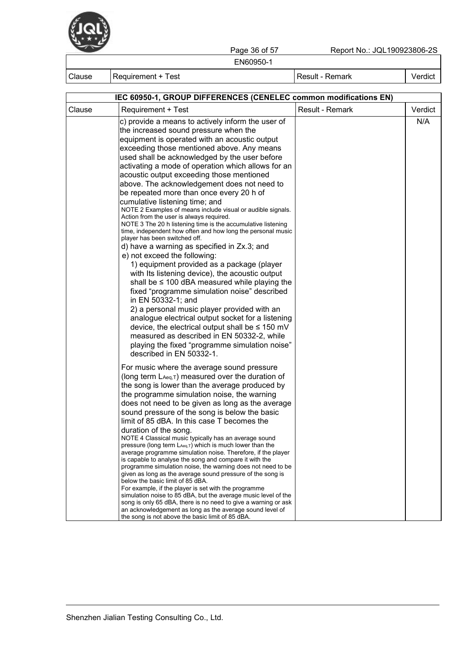Page 36 of 57 Report No.: JQL190923806-2S

EN60950-1

| Clause | Requirement + Test Result - Result - Remark | Verdict | Verdict

|        | IEC 60950-1, GROUP DIFFERENCES (CENELEC common modifications EN)                                                                                                                                                                                                                                                                                                                                                                                                                                                                                                                                                                                                                                                                                                                                                                                                                                                                                                                                                                                                                                                                                                                                                                                                                                                                                          |                 |         |
|--------|-----------------------------------------------------------------------------------------------------------------------------------------------------------------------------------------------------------------------------------------------------------------------------------------------------------------------------------------------------------------------------------------------------------------------------------------------------------------------------------------------------------------------------------------------------------------------------------------------------------------------------------------------------------------------------------------------------------------------------------------------------------------------------------------------------------------------------------------------------------------------------------------------------------------------------------------------------------------------------------------------------------------------------------------------------------------------------------------------------------------------------------------------------------------------------------------------------------------------------------------------------------------------------------------------------------------------------------------------------------|-----------------|---------|
| Clause | Requirement + Test                                                                                                                                                                                                                                                                                                                                                                                                                                                                                                                                                                                                                                                                                                                                                                                                                                                                                                                                                                                                                                                                                                                                                                                                                                                                                                                                        | Result - Remark | Verdict |
|        | c) provide a means to actively inform the user of<br>the increased sound pressure when the<br>equipment is operated with an acoustic output<br>exceeding those mentioned above. Any means<br>used shall be acknowledged by the user before<br>activating a mode of operation which allows for an<br>acoustic output exceeding those mentioned<br>above. The acknowledgement does not need to<br>be repeated more than once every 20 h of<br>cumulative listening time; and<br>NOTE 2 Examples of means include visual or audible signals.<br>Action from the user is always required.<br>NOTE 3 The 20 h listening time is the accumulative listening<br>time, independent how often and how long the personal music<br>player has been switched off.<br>d) have a warning as specified in Zx.3; and<br>e) not exceed the following:<br>1) equipment provided as a package (player<br>with Its listening device), the acoustic output<br>shall be $\leq$ 100 dBA measured while playing the<br>fixed "programme simulation noise" described<br>in EN 50332-1; and<br>2) a personal music player provided with an<br>analogue electrical output socket for a listening<br>device, the electrical output shall be $\leq$ 150 mV<br>measured as described in EN 50332-2, while<br>playing the fixed "programme simulation noise"<br>described in EN 50332-1. |                 | N/A     |
|        | For music where the average sound pressure<br>(long term LAeq, T) measured over the duration of<br>the song is lower than the average produced by<br>the programme simulation noise, the warning<br>does not need to be given as long as the average<br>sound pressure of the song is below the basic<br>limit of 85 dBA. In this case T becomes the<br>duration of the song.<br>NOTE 4 Classical music typically has an average sound<br>pressure (long term LAeq,T) which is much lower than the<br>average programme simulation noise. Therefore, if the player<br>is capable to analyse the song and compare it with the<br>programme simulation noise, the warning does not need to be<br>given as long as the average sound pressure of the song is<br>below the basic limit of 85 dBA.<br>For example, if the player is set with the programme<br>simulation noise to 85 dBA, but the average music level of the<br>song is only 65 dBA, there is no need to give a warning or ask<br>an acknowledgement as long as the average sound level of<br>the song is not above the basic limit of 85 dBA.                                                                                                                                                                                                                                                 |                 |         |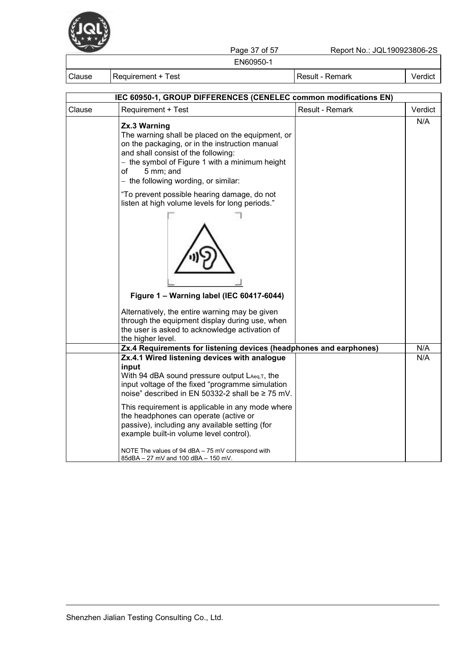

Page 37 of 57 Report No.: JQL190923806-2S

EN60950-1

| Clause | Requirement + Test                                                                                                                                                                                                                                                                                                     | Result - Remark | Verdict |
|--------|------------------------------------------------------------------------------------------------------------------------------------------------------------------------------------------------------------------------------------------------------------------------------------------------------------------------|-----------------|---------|
|        | Zx.3 Warning<br>The warning shall be placed on the equipment, or<br>on the packaging, or in the instruction manual<br>and shall consist of the following:<br>- the symbol of Figure 1 with a minimum height<br>5 mm; and<br>of<br>- the following wording, or similar:                                                 |                 | N/A     |
|        | "To prevent possible hearing damage, do not<br>listen at high volume levels for long periods."<br>Figure 1 - Warning label (IEC 60417-6044)<br>Alternatively, the entire warning may be given<br>through the equipment display during use, when<br>the user is asked to acknowledge activation of<br>the higher level. |                 |         |
|        | Zx.4 Requirements for listening devices (headphones and earphones)                                                                                                                                                                                                                                                     |                 | N/A     |
|        | Zx.4.1 Wired listening devices with analogue<br>input<br>With 94 dBA sound pressure output LAeq, T, the<br>input voltage of the fixed "programme simulation<br>noise" described in EN 50332-2 shall be ≥ 75 mV.<br>This requirement is applicable in any mode where                                                    |                 | N/A     |
|        | the headphones can operate (active or<br>passive), including any available setting (for<br>example built-in volume level control).<br>NOTE The values of 94 dBA - 75 mV correspond with<br>85dBA - 27 mV and 100 dBA - 150 mV.                                                                                         |                 |         |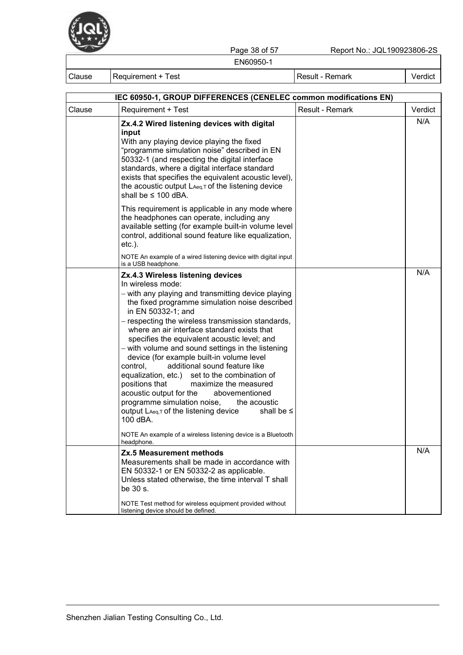

Page 38 of 57 Report No.: JQL190923806-2S

EN60950-1

| Clause | Requirement + Test                                                                                                                                                                                                                                                                                                                                                                                                                                                                                                                                                                                                                                                                                                                                      | Result - Remark | Verdict |
|--------|---------------------------------------------------------------------------------------------------------------------------------------------------------------------------------------------------------------------------------------------------------------------------------------------------------------------------------------------------------------------------------------------------------------------------------------------------------------------------------------------------------------------------------------------------------------------------------------------------------------------------------------------------------------------------------------------------------------------------------------------------------|-----------------|---------|
|        | Zx.4.2 Wired listening devices with digital<br>input<br>With any playing device playing the fixed<br>"programme simulation noise" described in EN<br>50332-1 (and respecting the digital interface<br>standards, where a digital interface standard<br>exists that specifies the equivalent acoustic level),<br>the acoustic output LAeq, T of the listening device<br>shall be $\leq$ 100 dBA.                                                                                                                                                                                                                                                                                                                                                         |                 | N/A     |
|        | This requirement is applicable in any mode where<br>the headphones can operate, including any<br>available setting (for example built-in volume level<br>control, additional sound feature like equalization,<br>$etc.$ ).                                                                                                                                                                                                                                                                                                                                                                                                                                                                                                                              |                 |         |
|        | NOTE An example of a wired listening device with digital input<br>is a USB headphone.                                                                                                                                                                                                                                                                                                                                                                                                                                                                                                                                                                                                                                                                   |                 |         |
|        | Zx.4.3 Wireless listening devices<br>In wireless mode:<br>- with any playing and transmitting device playing<br>the fixed programme simulation noise described<br>in EN 50332-1; and<br>- respecting the wireless transmission standards,<br>where an air interface standard exists that<br>specifies the equivalent acoustic level; and<br>- with volume and sound settings in the listening<br>device (for example built-in volume level<br>additional sound feature like<br>control,<br>equalization, etc.) set to the combination of<br>positions that<br>maximize the measured<br>acoustic output for the<br>abovementioned<br>programme simulation noise,<br>the acoustic<br>output LAeq,⊤ of the listening device<br>shall be $\leq$<br>100 dBA. |                 | N/A     |
|        | NOTE An example of a wireless listening device is a Bluetooth<br>headphone.<br>Zx.5 Measurement methods<br>Measurements shall be made in accordance with<br>EN 50332-1 or EN 50332-2 as applicable.<br>Unless stated otherwise, the time interval T shall<br>be 30 s.                                                                                                                                                                                                                                                                                                                                                                                                                                                                                   |                 | N/A     |
|        | NOTE Test method for wireless equipment provided without<br>listening device should be defined.                                                                                                                                                                                                                                                                                                                                                                                                                                                                                                                                                                                                                                                         |                 |         |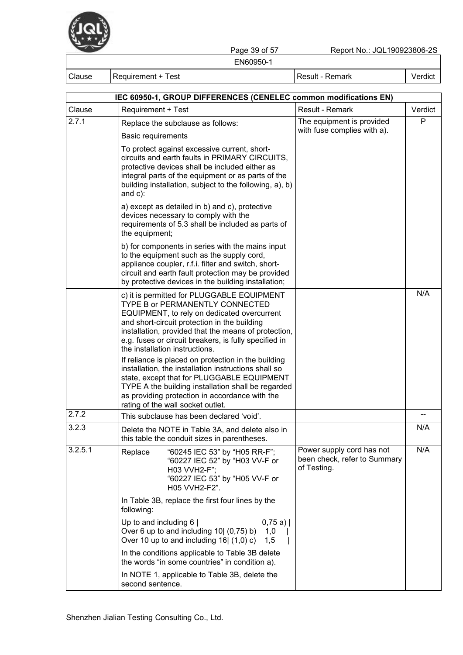

Page 39 of 57 Report No.: JQL190923806-2S

EN60950-1

|         | IEC 60950-1, GROUP DIFFERENCES (CENELEC common modifications EN)                                                                                                                                                                                                                                                                |                                                                          |         |
|---------|---------------------------------------------------------------------------------------------------------------------------------------------------------------------------------------------------------------------------------------------------------------------------------------------------------------------------------|--------------------------------------------------------------------------|---------|
| Clause  | Requirement + Test                                                                                                                                                                                                                                                                                                              | Result - Remark                                                          | Verdict |
| 2.7.1   | Replace the subclause as follows:                                                                                                                                                                                                                                                                                               | The equipment is provided<br>with fuse complies with a).                 | P       |
|         | <b>Basic requirements</b>                                                                                                                                                                                                                                                                                                       |                                                                          |         |
|         | To protect against excessive current, short-<br>circuits and earth faults in PRIMARY CIRCUITS,<br>protective devices shall be included either as<br>integral parts of the equipment or as parts of the<br>building installation, subject to the following, a), b)<br>and $c$ ):                                                 |                                                                          |         |
|         | a) except as detailed in b) and c), protective<br>devices necessary to comply with the<br>requirements of 5.3 shall be included as parts of<br>the equipment;                                                                                                                                                                   |                                                                          |         |
|         | b) for components in series with the mains input<br>to the equipment such as the supply cord,<br>appliance coupler, r.f.i. filter and switch, short-<br>circuit and earth fault protection may be provided<br>by protective devices in the building installation;                                                               |                                                                          |         |
|         | c) it is permitted for PLUGGABLE EQUIPMENT<br>TYPE B or PERMANENTLY CONNECTED<br>EQUIPMENT, to rely on dedicated overcurrent<br>and short-circuit protection in the building<br>installation, provided that the means of protection,<br>e.g. fuses or circuit breakers, is fully specified in<br>the installation instructions. |                                                                          | N/A     |
|         | If reliance is placed on protection in the building<br>installation, the installation instructions shall so<br>state, except that for PLUGGABLE EQUIPMENT<br>TYPE A the building installation shall be regarded<br>as providing protection in accordance with the<br>rating of the wall socket outlet.                          |                                                                          |         |
| 2.7.2   | This subclause has been declared 'void'.                                                                                                                                                                                                                                                                                        |                                                                          |         |
| 3.2.3   | Delete the NOTE in Table 3A, and delete also in<br>this table the conduit sizes in parentheses.                                                                                                                                                                                                                                 |                                                                          | N/A     |
| 3.2.5.1 | Replace<br>"60245 IEC 53" by "H05 RR-F";<br>"60227 IEC 52" by "H03 VV-F or<br>H03 VVH2-F";<br>"60227 IEC 53" by "H05 VV-F or<br>H05 VVH2-F2".                                                                                                                                                                                   | Power supply cord has not<br>been check, refer to Summary<br>of Testing. | N/A     |
|         | In Table 3B, replace the first four lines by the<br>following:                                                                                                                                                                                                                                                                  |                                                                          |         |
|         | Up to and including $6 \mid$<br>0,75a)<br>Over 6 up to and including 10  (0,75) b)<br>1,0<br>Over 10 up to and including $16$ (1,0) c)<br>1,5                                                                                                                                                                                   |                                                                          |         |
|         | In the conditions applicable to Table 3B delete<br>the words "in some countries" in condition a).                                                                                                                                                                                                                               |                                                                          |         |
|         | In NOTE 1, applicable to Table 3B, delete the<br>second sentence.                                                                                                                                                                                                                                                               |                                                                          |         |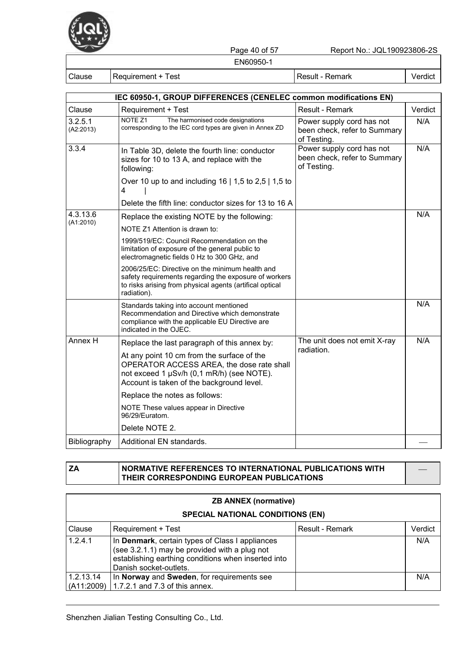

Page 40 of 57 Report No.: JQL190923806-2S

EN60950-1

| Clause                | <b>Requirement + Test</b>                                                                                                                                                           | Result - Remark                                                          | Verdict |
|-----------------------|-------------------------------------------------------------------------------------------------------------------------------------------------------------------------------------|--------------------------------------------------------------------------|---------|
| 3.2.5.1<br>(A2:2013)  | NOTE <sub>Z1</sub><br>The harmonised code designations<br>corresponding to the IEC cord types are given in Annex ZD                                                                 | Power supply cord has not<br>been check, refer to Summary<br>of Testing. | N/A     |
| 3.3.4                 | In Table 3D, delete the fourth line: conductor<br>sizes for 10 to 13 A, and replace with the<br>following:                                                                          | Power supply cord has not<br>been check, refer to Summary<br>of Testing. | N/A     |
|                       | Over 10 up to and including 16   1,5 to 2,5   1,5 to<br>4                                                                                                                           |                                                                          |         |
|                       | Delete the fifth line: conductor sizes for 13 to 16 A                                                                                                                               |                                                                          |         |
| 4.3.13.6<br>(A1:2010) | Replace the existing NOTE by the following:                                                                                                                                         |                                                                          | N/A     |
|                       | NOTE Z1 Attention is drawn to:                                                                                                                                                      |                                                                          |         |
|                       | 1999/519/EC: Council Recommendation on the<br>limitation of exposure of the general public to<br>electromagnetic fields 0 Hz to 300 GHz, and                                        |                                                                          |         |
|                       | 2006/25/EC: Directive on the minimum health and<br>safety requirements regarding the exposure of workers<br>to risks arising from physical agents (artifical optical<br>radiation). |                                                                          |         |
|                       | Standards taking into account mentioned<br>Recommendation and Directive which demonstrate<br>compliance with the applicable EU Directive are<br>indicated in the OJEC.              |                                                                          | N/A     |
| Annex H               | Replace the last paragraph of this annex by:                                                                                                                                        | The unit does not emit X-ray                                             | N/A     |
|                       | At any point 10 cm from the surface of the<br>OPERATOR ACCESS AREA, the dose rate shall<br>not exceed 1 µSv/h (0,1 mR/h) (see NOTE).<br>Account is taken of the background level.   | radiation.                                                               |         |
|                       | Replace the notes as follows:                                                                                                                                                       |                                                                          |         |
|                       | NOTE These values appear in Directive<br>96/29/Euratom.                                                                                                                             |                                                                          |         |
|                       | Delete NOTE 2.                                                                                                                                                                      |                                                                          |         |
| Bibliography          | Additional EN standards.                                                                                                                                                            |                                                                          |         |

|                                         | <b>ZB ANNEX (normative)</b>                                                                                                                                                       |                 |         |
|-----------------------------------------|-----------------------------------------------------------------------------------------------------------------------------------------------------------------------------------|-----------------|---------|
| <b>SPECIAL NATIONAL CONDITIONS (EN)</b> |                                                                                                                                                                                   |                 |         |
| Clause                                  | Requirement + Test                                                                                                                                                                | Result - Remark | Verdict |
| 1.2.4.1                                 | In Denmark, certain types of Class I appliances<br>(see 3.2.1.1) may be provided with a plug not<br>establishing earthing conditions when inserted into<br>Danish socket-outlets. |                 | N/A     |
| 1.2.13.14                               | In Norway and Sweden, for requirements see<br>$(A11:2009)$ 1.7.2.1 and 7.3 of this annex.                                                                                         |                 | N/A     |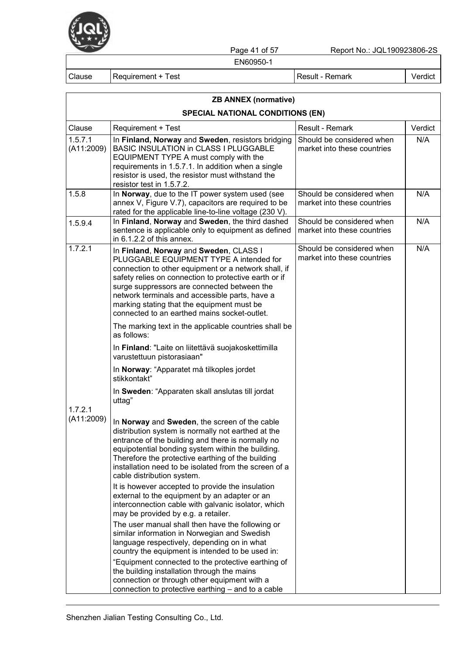

Page 41 of 57 Report No.: JQL190923806-2S

EN60950-1

|                       | <b>ZB ANNEX (normative)</b>                                                                                                                                                                                                                                                                                                                                                                                                                                                                                           |                                                          |         |
|-----------------------|-----------------------------------------------------------------------------------------------------------------------------------------------------------------------------------------------------------------------------------------------------------------------------------------------------------------------------------------------------------------------------------------------------------------------------------------------------------------------------------------------------------------------|----------------------------------------------------------|---------|
|                       | <b>SPECIAL NATIONAL CONDITIONS (EN)</b>                                                                                                                                                                                                                                                                                                                                                                                                                                                                               |                                                          |         |
| Clause                | <b>Requirement + Test</b>                                                                                                                                                                                                                                                                                                                                                                                                                                                                                             | Result - Remark                                          | Verdict |
| 1.5.7.1<br>(A11:2009) | In Finland, Norway and Sweden, resistors bridging<br>BASIC INSULATION in CLASS I PLUGGABLE<br>EQUIPMENT TYPE A must comply with the<br>requirements in 1.5.7.1. In addition when a single<br>resistor is used, the resistor must withstand the<br>resistor test in 1.5.7.2.                                                                                                                                                                                                                                           | Should be considered when<br>market into these countries | N/A     |
| 1.5.8                 | In Norway, due to the IT power system used (see<br>annex V, Figure V.7), capacitors are required to be<br>rated for the applicable line-to-line voltage (230 V).                                                                                                                                                                                                                                                                                                                                                      | Should be considered when<br>market into these countries | N/A     |
| 1.5.9.4               | In Finland, Norway and Sweden, the third dashed<br>sentence is applicable only to equipment as defined<br>in $6.1.2.2$ of this annex.                                                                                                                                                                                                                                                                                                                                                                                 | Should be considered when<br>market into these countries | N/A     |
| 1.7.2.1               | In Finland, Norway and Sweden, CLASS I<br>PLUGGABLE EQUIPMENT TYPE A intended for<br>connection to other equipment or a network shall, if<br>safety relies on connection to protective earth or if<br>surge suppressors are connected between the<br>network terminals and accessible parts, have a<br>marking stating that the equipment must be<br>connected to an earthed mains socket-outlet.                                                                                                                     | Should be considered when<br>market into these countries | N/A     |
|                       | The marking text in the applicable countries shall be<br>as follows:                                                                                                                                                                                                                                                                                                                                                                                                                                                  |                                                          |         |
|                       | In Finland: "Laite on liitettävä suojakoskettimilla<br>varustettuun pistorasiaan"                                                                                                                                                                                                                                                                                                                                                                                                                                     |                                                          |         |
|                       | In Norway: "Apparatet må tilkoples jordet<br>stikkontakt"                                                                                                                                                                                                                                                                                                                                                                                                                                                             |                                                          |         |
| 1.7.2.1               | In Sweden: "Apparaten skall anslutas till jordat<br>uttag"                                                                                                                                                                                                                                                                                                                                                                                                                                                            |                                                          |         |
| (A11:2009)            | In Norway and Sweden, the screen of the cable<br>distribution system is normally not earthed at the<br>entrance of the building and there is normally no<br>equipotential bonding system within the building.<br>Therefore the protective earthing of the building<br>installation need to be isolated from the screen of a<br>cable distribution system.<br>It is however accepted to provide the insulation<br>external to the equipment by an adapter or an<br>interconnection cable with galvanic isolator, which |                                                          |         |
|                       | may be provided by e.g. a retailer.<br>The user manual shall then have the following or<br>similar information in Norwegian and Swedish<br>language respectively, depending on in what<br>country the equipment is intended to be used in:                                                                                                                                                                                                                                                                            |                                                          |         |
|                       | "Equipment connected to the protective earthing of<br>the building installation through the mains<br>connection or through other equipment with a<br>connection to protective earthing - and to a cable                                                                                                                                                                                                                                                                                                               |                                                          |         |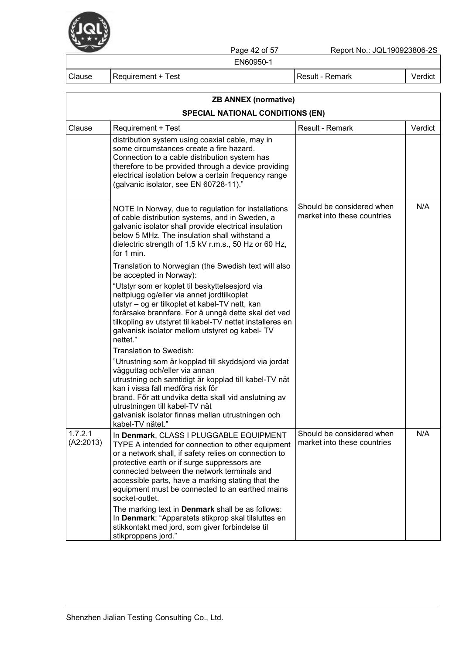

Page 42 of 57 Report No.: JQL190923806-2S

EN60950-1

|                      | <b>ZB ANNEX (normative)</b>                                                                                                                                                                                                                                                                                                                                                        |                                                          |         |
|----------------------|------------------------------------------------------------------------------------------------------------------------------------------------------------------------------------------------------------------------------------------------------------------------------------------------------------------------------------------------------------------------------------|----------------------------------------------------------|---------|
|                      | <b>SPECIAL NATIONAL CONDITIONS (EN)</b>                                                                                                                                                                                                                                                                                                                                            |                                                          |         |
| Clause               | <b>Requirement + Test</b>                                                                                                                                                                                                                                                                                                                                                          | Result - Remark                                          | Verdict |
|                      | distribution system using coaxial cable, may in<br>some circumstances create a fire hazard.<br>Connection to a cable distribution system has<br>therefore to be provided through a device providing<br>electrical isolation below a certain frequency range<br>(galvanic isolator, see EN 60728-11)."                                                                              |                                                          |         |
|                      | NOTE In Norway, due to regulation for installations<br>of cable distribution systems, and in Sweden, a<br>galvanic isolator shall provide electrical insulation<br>below 5 MHz. The insulation shall withstand a<br>dielectric strength of 1,5 kV r.m.s., 50 Hz or 60 Hz,<br>for 1 min.                                                                                            | Should be considered when<br>market into these countries | N/A     |
|                      | Translation to Norwegian (the Swedish text will also<br>be accepted in Norway):                                                                                                                                                                                                                                                                                                    |                                                          |         |
|                      | "Utstyr som er koplet til beskyttelsesjord via<br>nettplugg og/eller via annet jordtilkoplet<br>utstyr - og er tilkoplet et kabel-TV nett, kan<br>forårsake brannfare. For å unngå dette skal det ved<br>tilkopling av utstyret til kabel-TV nettet installeres en<br>galvanisk isolator mellom utstyret og kabel- TV<br>nettet."                                                  |                                                          |         |
|                      | Translation to Swedish:<br>"Utrustning som är kopplad till skyddsjord via jordat<br>vägguttag och/eller via annan<br>utrustning och samtidigt är kopplad till kabel-TV nät<br>kan i vissa fall medfőra risk főr<br>brand. Főr att undvika detta skall vid anslutning av<br>utrustningen till kabel-TV nät<br>galvanisk isolator finnas mellan utrustningen och<br>kabel-TV nätet." |                                                          |         |
| 1.7.2.1<br>(A2:2013) | In Denmark, CLASS I PLUGGABLE EQUIPMENT<br>TYPE A intended for connection to other equipment<br>or a network shall, if safety relies on connection to<br>protective earth or if surge suppressors are<br>connected between the network terminals and<br>accessible parts, have a marking stating that the<br>equipment must be connected to an earthed mains<br>socket-outlet.     | Should be considered when<br>market into these countries | N/A     |
|                      | The marking text in Denmark shall be as follows:<br>In Denmark: "Apparatets stikprop skal tilsluttes en<br>stikkontakt med jord, som giver forbindelse til<br>stikproppens jord."                                                                                                                                                                                                  |                                                          |         |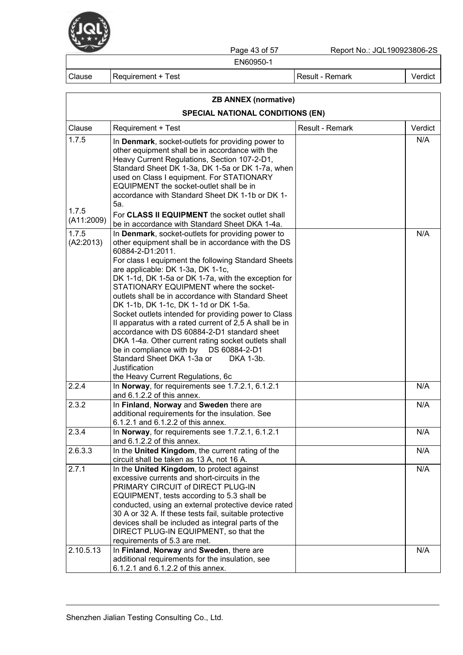

Page 43 of 57 Report No.: JQL190923806-2S

EN60950-1

|                     | <b>ZB ANNEX (normative)</b>                                                                                                                                                                                                                                                                                                                                                                                                                                                                                                                                                                                                                                                                                                                                                                 |                 |         |
|---------------------|---------------------------------------------------------------------------------------------------------------------------------------------------------------------------------------------------------------------------------------------------------------------------------------------------------------------------------------------------------------------------------------------------------------------------------------------------------------------------------------------------------------------------------------------------------------------------------------------------------------------------------------------------------------------------------------------------------------------------------------------------------------------------------------------|-----------------|---------|
|                     | <b>SPECIAL NATIONAL CONDITIONS (EN)</b>                                                                                                                                                                                                                                                                                                                                                                                                                                                                                                                                                                                                                                                                                                                                                     |                 |         |
| Clause              | <b>Requirement + Test</b>                                                                                                                                                                                                                                                                                                                                                                                                                                                                                                                                                                                                                                                                                                                                                                   | Result - Remark | Verdict |
| 1.7.5               | In Denmark, socket-outlets for providing power to<br>other equipment shall be in accordance with the<br>Heavy Current Regulations, Section 107-2-D1,<br>Standard Sheet DK 1-3a, DK 1-5a or DK 1-7a, when<br>used on Class I equipment. For STATIONARY<br>EQUIPMENT the socket-outlet shall be in<br>accordance with Standard Sheet DK 1-1b or DK 1-<br>5a.                                                                                                                                                                                                                                                                                                                                                                                                                                  |                 | N/A     |
| 1.7.5<br>(A11:2009) | For CLASS II EQUIPMENT the socket outlet shall<br>be in accordance with Standard Sheet DKA 1-4a.                                                                                                                                                                                                                                                                                                                                                                                                                                                                                                                                                                                                                                                                                            |                 |         |
| 1.7.5<br>(A2:2013)  | In Denmark, socket-outlets for providing power to<br>other equipment shall be in accordance with the DS<br>60884-2-D1:2011.<br>For class I equipment the following Standard Sheets<br>are applicable: DK 1-3a, DK 1-1c,<br>DK 1-1d, DK 1-5a or DK 1-7a, with the exception for<br>STATIONARY EQUIPMENT where the socket-<br>outlets shall be in accordance with Standard Sheet<br>DK 1-1b, DK 1-1c, DK 1-1d or DK 1-5a.<br>Socket outlets intended for providing power to Class<br>Il apparatus with a rated current of 2,5 A shall be in<br>accordance with DS 60884-2-D1 standard sheet<br>DKA 1-4a. Other current rating socket outlets shall<br>be in compliance with by DS 60884-2-D1<br>Standard Sheet DKA 1-3a or<br>DKA 1-3b.<br>Justification<br>the Heavy Current Regulations, 6c |                 | N/A     |
| 2.2.4               | In Norway, for requirements see 1.7.2.1, 6.1.2.1<br>and 6.1.2.2 of this annex.                                                                                                                                                                                                                                                                                                                                                                                                                                                                                                                                                                                                                                                                                                              |                 | N/A     |
| 2.3.2               | In Finland, Norway and Sweden there are<br>additional requirements for the insulation. See<br>6.1.2.1 and 6.1.2.2 of this annex.                                                                                                                                                                                                                                                                                                                                                                                                                                                                                                                                                                                                                                                            |                 | N/A     |
| 2.3.4               | In Norway, for requirements see 1.7.2.1, 6.1.2.1<br>and 6.1.2.2 of this annex.                                                                                                                                                                                                                                                                                                                                                                                                                                                                                                                                                                                                                                                                                                              |                 | N/A     |
| 2.6.3.3             | In the United Kingdom, the current rating of the<br>circuit shall be taken as 13 A, not 16 A.                                                                                                                                                                                                                                                                                                                                                                                                                                                                                                                                                                                                                                                                                               |                 | N/A     |
| 2.7.1               | In the United Kingdom, to protect against<br>excessive currents and short-circuits in the<br>PRIMARY CIRCUIT of DIRECT PLUG-IN<br>EQUIPMENT, tests according to 5.3 shall be<br>conducted, using an external protective device rated<br>30 A or 32 A. If these tests fail, suitable protective<br>devices shall be included as integral parts of the<br>DIRECT PLUG-IN EQUIPMENT, so that the<br>requirements of 5.3 are met.                                                                                                                                                                                                                                                                                                                                                               |                 | N/A     |
| 2.10.5.13           | In Finland, Norway and Sweden, there are<br>additional requirements for the insulation, see<br>6.1.2.1 and 6.1.2.2 of this annex.                                                                                                                                                                                                                                                                                                                                                                                                                                                                                                                                                                                                                                                           |                 | N/A     |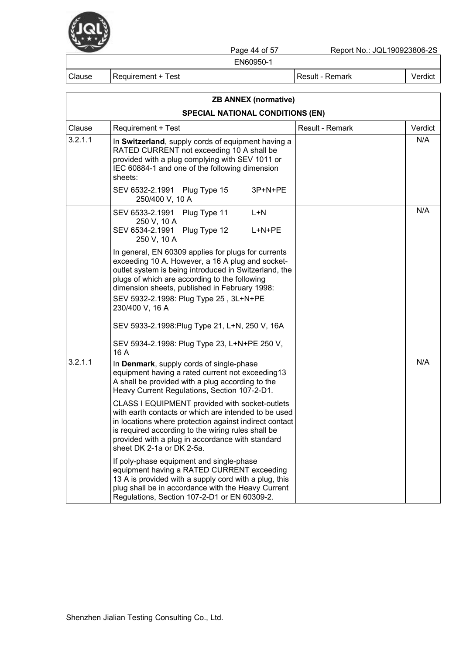

Page 44 of 57 Report No.: JQL190923806-2S

EN60950-1

|         | <b>ZB ANNEX (normative)</b>                                                                                                                                                                                                                                                                                                                                                       |                 |         |
|---------|-----------------------------------------------------------------------------------------------------------------------------------------------------------------------------------------------------------------------------------------------------------------------------------------------------------------------------------------------------------------------------------|-----------------|---------|
|         | <b>SPECIAL NATIONAL CONDITIONS (EN)</b>                                                                                                                                                                                                                                                                                                                                           |                 |         |
| Clause  | <b>Requirement + Test</b>                                                                                                                                                                                                                                                                                                                                                         | Result - Remark | Verdict |
| 3.2.1.1 | In Switzerland, supply cords of equipment having a<br>RATED CURRENT not exceeding 10 A shall be<br>provided with a plug complying with SEV 1011 or<br>IEC 60884-1 and one of the following dimension<br>sheets:                                                                                                                                                                   |                 | N/A     |
|         | SEV 6532-2.1991 Plug Type 15<br>3P+N+PE<br>250/400 V, 10 A                                                                                                                                                                                                                                                                                                                        |                 |         |
|         | SEV 6533-2.1991 Plug Type 11<br>$L+N$<br>250 V, 10 A<br>SEV 6534-2.1991 Plug Type 12<br>L+N+PE<br>250 V, 10 A                                                                                                                                                                                                                                                                     |                 | N/A     |
|         | In general, EN 60309 applies for plugs for currents<br>exceeding 10 A. However, a 16 A plug and socket-<br>outlet system is being introduced in Switzerland, the<br>plugs of which are according to the following<br>dimension sheets, published in February 1998:<br>SEV 5932-2.1998: Plug Type 25, 3L+N+PE<br>230/400 V, 16 A<br>SEV 5933-2.1998: Plug Type 21, L+N, 250 V, 16A |                 |         |
|         | SEV 5934-2.1998: Plug Type 23, L+N+PE 250 V,<br>16 A                                                                                                                                                                                                                                                                                                                              |                 |         |
| 3.2.1.1 | In Denmark, supply cords of single-phase<br>equipment having a rated current not exceeding13<br>A shall be provided with a plug according to the<br>Heavy Current Regulations, Section 107-2-D1.                                                                                                                                                                                  |                 | N/A     |
|         | CLASS I EQUIPMENT provided with socket-outlets<br>with earth contacts or which are intended to be used<br>in locations where protection against indirect contact<br>is required according to the wiring rules shall be<br>provided with a plug in accordance with standard<br>sheet DK 2-1a or DK 2-5a.                                                                           |                 |         |
|         | If poly-phase equipment and single-phase<br>equipment having a RATED CURRENT exceeding<br>13 A is provided with a supply cord with a plug, this<br>plug shall be in accordance with the Heavy Current<br>Regulations, Section 107-2-D1 or EN 60309-2.                                                                                                                             |                 |         |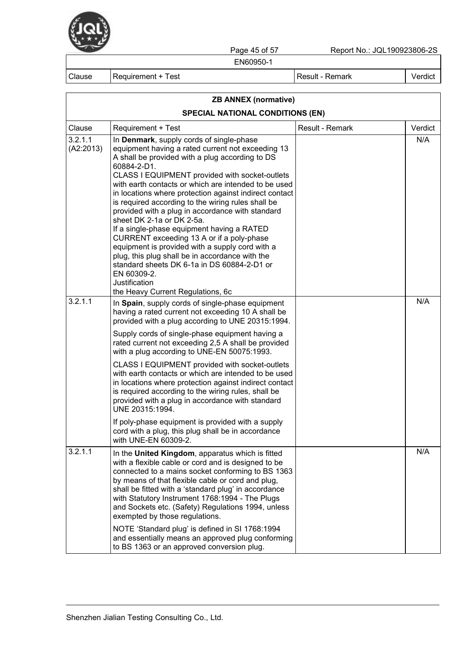

Page 45 of 57 Report No.: JQL190923806-2S

EN60950-1

|                      | <b>ZB ANNEX (normative)</b>                                                                                                                                                                                                                                                                                                                                                                                                                                                                                                                                                                                                                                                                                                                                |                 |         |
|----------------------|------------------------------------------------------------------------------------------------------------------------------------------------------------------------------------------------------------------------------------------------------------------------------------------------------------------------------------------------------------------------------------------------------------------------------------------------------------------------------------------------------------------------------------------------------------------------------------------------------------------------------------------------------------------------------------------------------------------------------------------------------------|-----------------|---------|
|                      | <b>SPECIAL NATIONAL CONDITIONS (EN)</b>                                                                                                                                                                                                                                                                                                                                                                                                                                                                                                                                                                                                                                                                                                                    |                 |         |
| Clause               | <b>Requirement + Test</b>                                                                                                                                                                                                                                                                                                                                                                                                                                                                                                                                                                                                                                                                                                                                  | Result - Remark | Verdict |
| 3.2.1.1<br>(A2:2013) | In Denmark, supply cords of single-phase<br>equipment having a rated current not exceeding 13<br>A shall be provided with a plug according to DS<br>60884-2-D1.<br>CLASS I EQUIPMENT provided with socket-outlets<br>with earth contacts or which are intended to be used<br>in locations where protection against indirect contact<br>is required according to the wiring rules shall be<br>provided with a plug in accordance with standard<br>sheet DK 2-1a or DK 2-5a.<br>If a single-phase equipment having a RATED<br>CURRENT exceeding 13 A or if a poly-phase<br>equipment is provided with a supply cord with a<br>plug, this plug shall be in accordance with the<br>standard sheets DK 6-1a in DS 60884-2-D1 or<br>EN 60309-2.<br>Justification |                 | N/A     |
| 3.2.1.1              | the Heavy Current Regulations, 6c<br>In Spain, supply cords of single-phase equipment<br>having a rated current not exceeding 10 A shall be<br>provided with a plug according to UNE 20315:1994.<br>Supply cords of single-phase equipment having a<br>rated current not exceeding 2,5 A shall be provided<br>with a plug according to UNE-EN 50075:1993.                                                                                                                                                                                                                                                                                                                                                                                                  |                 | N/A     |
|                      | CLASS I EQUIPMENT provided with socket-outlets<br>with earth contacts or which are intended to be used<br>in locations where protection against indirect contact<br>is required according to the wiring rules, shall be<br>provided with a plug in accordance with standard<br>UNE 20315:1994.                                                                                                                                                                                                                                                                                                                                                                                                                                                             |                 |         |
|                      | If poly-phase equipment is provided with a supply<br>cord with a plug, this plug shall be in accordance<br>with UNE-EN 60309-2.                                                                                                                                                                                                                                                                                                                                                                                                                                                                                                                                                                                                                            |                 |         |
| 3.2.1.1              | In the United Kingdom, apparatus which is fitted<br>with a flexible cable or cord and is designed to be<br>connected to a mains socket conforming to BS 1363<br>by means of that flexible cable or cord and plug,<br>shall be fitted with a 'standard plug' in accordance<br>with Statutory Instrument 1768:1994 - The Plugs<br>and Sockets etc. (Safety) Regulations 1994, unless<br>exempted by those regulations.<br>NOTE 'Standard plug' is defined in SI 1768:1994<br>and essentially means an approved plug conforming                                                                                                                                                                                                                               |                 | N/A     |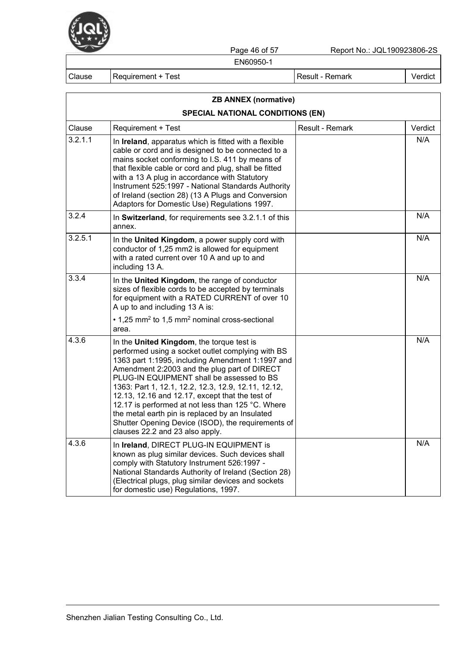

Page 46 of 57 Report No.: JQL190923806-2S

EN60950-1

|         | <b>ZB ANNEX (normative)</b>                                                                                                                                                                                                                                                                                                                                                                                                                                                                                                                                         |                 |         |
|---------|---------------------------------------------------------------------------------------------------------------------------------------------------------------------------------------------------------------------------------------------------------------------------------------------------------------------------------------------------------------------------------------------------------------------------------------------------------------------------------------------------------------------------------------------------------------------|-----------------|---------|
|         | <b>SPECIAL NATIONAL CONDITIONS (EN)</b>                                                                                                                                                                                                                                                                                                                                                                                                                                                                                                                             |                 |         |
| Clause  | <b>Requirement + Test</b>                                                                                                                                                                                                                                                                                                                                                                                                                                                                                                                                           | Result - Remark | Verdict |
| 3.2.1.1 | In Ireland, apparatus which is fitted with a flexible<br>cable or cord and is designed to be connected to a<br>mains socket conforming to I.S. 411 by means of<br>that flexible cable or cord and plug, shall be fitted<br>with a 13 A plug in accordance with Statutory<br>Instrument 525:1997 - National Standards Authority<br>of Ireland (section 28) (13 A Plugs and Conversion<br>Adaptors for Domestic Use) Regulations 1997.                                                                                                                                |                 | N/A     |
| 3.2.4   | In Switzerland, for requirements see 3.2.1.1 of this<br>annex.                                                                                                                                                                                                                                                                                                                                                                                                                                                                                                      |                 | N/A     |
| 3.2.5.1 | In the United Kingdom, a power supply cord with<br>conductor of 1,25 mm2 is allowed for equipment<br>with a rated current over 10 A and up to and<br>including 13 A.                                                                                                                                                                                                                                                                                                                                                                                                |                 | N/A     |
| 3.3.4   | In the United Kingdom, the range of conductor<br>sizes of flexible cords to be accepted by terminals<br>for equipment with a RATED CURRENT of over 10<br>A up to and including 13 A is:<br>• 1,25 mm <sup>2</sup> to 1,5 mm <sup>2</sup> nominal cross-sectional                                                                                                                                                                                                                                                                                                    |                 | N/A     |
| 4.3.6   | area.<br>In the United Kingdom, the torque test is<br>performed using a socket outlet complying with BS<br>1363 part 1:1995, including Amendment 1:1997 and<br>Amendment 2:2003 and the plug part of DIRECT<br>PLUG-IN EQUIPMENT shall be assessed to BS<br>1363: Part 1, 12.1, 12.2, 12.3, 12.9, 12.11, 12.12,<br>12.13, 12.16 and 12.17, except that the test of<br>12.17 is performed at not less than 125 °C. Where<br>the metal earth pin is replaced by an Insulated<br>Shutter Opening Device (ISOD), the requirements of<br>clauses 22.2 and 23 also apply. |                 | N/A     |
| 4.3.6   | In Ireland, DIRECT PLUG-IN EQUIPMENT is<br>known as plug similar devices. Such devices shall<br>comply with Statutory Instrument 526:1997 -<br>National Standards Authority of Ireland (Section 28)<br>(Electrical plugs, plug similar devices and sockets<br>for domestic use) Regulations, 1997.                                                                                                                                                                                                                                                                  |                 | N/A     |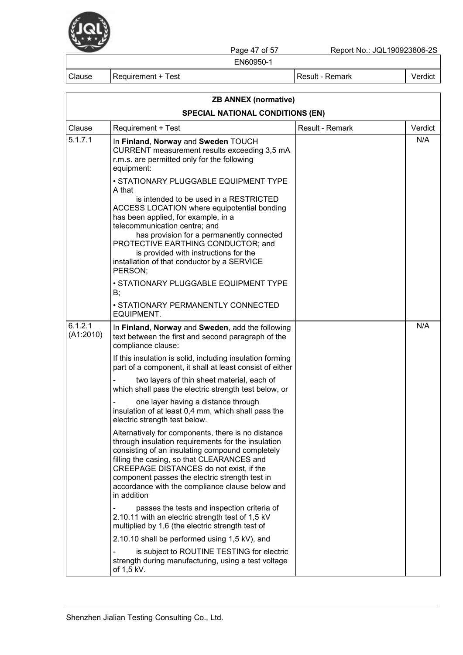

Page 47 of 57 Report No.: JQL190923806-2S

EN60950-1

|           | <b>ZB ANNEX (normative)</b>                                                                                                                                                                                                                                                                                                                                                                                                                                   |                 |         |
|-----------|---------------------------------------------------------------------------------------------------------------------------------------------------------------------------------------------------------------------------------------------------------------------------------------------------------------------------------------------------------------------------------------------------------------------------------------------------------------|-----------------|---------|
|           | <b>SPECIAL NATIONAL CONDITIONS (EN)</b>                                                                                                                                                                                                                                                                                                                                                                                                                       |                 |         |
| Clause    | <b>Requirement + Test</b>                                                                                                                                                                                                                                                                                                                                                                                                                                     | Result - Remark | Verdict |
| 5.1.7.1   | In Finland, Norway and Sweden TOUCH<br>CURRENT measurement results exceeding 3,5 mA<br>r.m.s. are permitted only for the following<br>equipment:                                                                                                                                                                                                                                                                                                              |                 | N/A     |
|           | • STATIONARY PLUGGABLE EQUIPMENT TYPE<br>A that<br>is intended to be used in a RESTRICTED<br>ACCESS LOCATION where equipotential bonding<br>has been applied, for example, in a<br>telecommunication centre; and<br>has provision for a permanently connected<br>PROTECTIVE EARTHING CONDUCTOR; and<br>is provided with instructions for the<br>installation of that conductor by a SERVICE<br>PERSON;<br>· STATIONARY PLUGGABLE EQUIPMENT TYPE<br><b>B</b> ; |                 |         |
| 6.1.2.1   | • STATIONARY PERMANENTLY CONNECTED<br>EQUIPMENT.<br>In Finland, Norway and Sweden, add the following                                                                                                                                                                                                                                                                                                                                                          |                 | N/A     |
| (A1:2010) | text between the first and second paragraph of the<br>compliance clause:                                                                                                                                                                                                                                                                                                                                                                                      |                 |         |
|           | If this insulation is solid, including insulation forming<br>part of a component, it shall at least consist of either                                                                                                                                                                                                                                                                                                                                         |                 |         |
|           | two layers of thin sheet material, each of<br>which shall pass the electric strength test below, or                                                                                                                                                                                                                                                                                                                                                           |                 |         |
|           | one layer having a distance through<br>insulation of at least 0,4 mm, which shall pass the<br>electric strength test below.                                                                                                                                                                                                                                                                                                                                   |                 |         |
|           | Alternatively for components, there is no distance<br>through insulation requirements for the insulation<br>consisting of an insulating compound completely<br>filling the casing, so that CLEARANCES and<br>CREEPAGE DISTANCES do not exist, if the<br>component passes the electric strength test in<br>accordance with the compliance clause below and<br>in addition                                                                                      |                 |         |
|           | passes the tests and inspection criteria of<br>2.10.11 with an electric strength test of 1,5 kV<br>multiplied by 1,6 (the electric strength test of                                                                                                                                                                                                                                                                                                           |                 |         |
|           | 2.10.10 shall be performed using 1,5 kV), and                                                                                                                                                                                                                                                                                                                                                                                                                 |                 |         |
|           | is subject to ROUTINE TESTING for electric<br>strength during manufacturing, using a test voltage<br>of 1,5 kV.                                                                                                                                                                                                                                                                                                                                               |                 |         |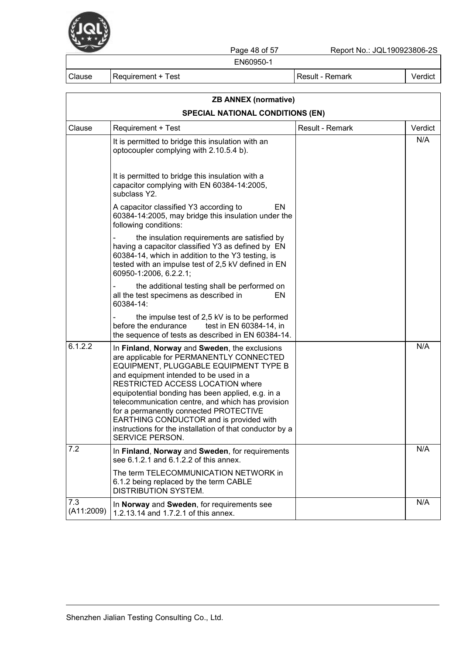

Page 48 of 57 Report No.: JQL190923806-2S

EN60950-1

|                   | <b>ZB ANNEX (normative)</b><br><b>SPECIAL NATIONAL CONDITIONS (EN)</b>                                                                                                                                                                                                                                                                                                                                                                                                                         |  |     |  |  |  |  |
|-------------------|------------------------------------------------------------------------------------------------------------------------------------------------------------------------------------------------------------------------------------------------------------------------------------------------------------------------------------------------------------------------------------------------------------------------------------------------------------------------------------------------|--|-----|--|--|--|--|
| Clause            | <b>Requirement + Test</b><br>Result - Remark<br>Verdict                                                                                                                                                                                                                                                                                                                                                                                                                                        |  |     |  |  |  |  |
|                   | It is permitted to bridge this insulation with an<br>optocoupler complying with 2.10.5.4 b).                                                                                                                                                                                                                                                                                                                                                                                                   |  | N/A |  |  |  |  |
|                   | It is permitted to bridge this insulation with a<br>capacitor complying with EN 60384-14:2005,<br>subclass Y2.                                                                                                                                                                                                                                                                                                                                                                                 |  |     |  |  |  |  |
|                   | A capacitor classified Y3 according to<br>EN<br>60384-14:2005, may bridge this insulation under the<br>following conditions:                                                                                                                                                                                                                                                                                                                                                                   |  |     |  |  |  |  |
|                   | the insulation requirements are satisfied by<br>having a capacitor classified Y3 as defined by EN<br>60384-14, which in addition to the Y3 testing, is<br>tested with an impulse test of 2,5 kV defined in EN<br>60950-1:2006, 6.2.2.1;                                                                                                                                                                                                                                                        |  |     |  |  |  |  |
|                   | the additional testing shall be performed on<br>all the test specimens as described in<br>EN<br>60384-14:                                                                                                                                                                                                                                                                                                                                                                                      |  |     |  |  |  |  |
|                   | the impulse test of 2,5 kV is to be performed<br>before the endurance<br>test in EN 60384-14, in<br>the sequence of tests as described in EN 60384-14.                                                                                                                                                                                                                                                                                                                                         |  |     |  |  |  |  |
| 6.1.2.2           | In Finland, Norway and Sweden, the exclusions<br>are applicable for PERMANENTLY CONNECTED<br>EQUIPMENT, PLUGGABLE EQUIPMENT TYPE B<br>and equipment intended to be used in a<br>RESTRICTED ACCESS LOCATION where<br>equipotential bonding has been applied, e.g. in a<br>telecommunication centre, and which has provision<br>for a permanently connected PROTECTIVE<br>EARTHING CONDUCTOR and is provided with<br>instructions for the installation of that conductor by a<br>SERVICE PERSON. |  | N/A |  |  |  |  |
| 7.2               | In Finland, Norway and Sweden, for requirements<br>see 6.1.2.1 and 6.1.2.2 of this annex.                                                                                                                                                                                                                                                                                                                                                                                                      |  | N/A |  |  |  |  |
|                   | The term TELECOMMUNICATION NETWORK in<br>6.1.2 being replaced by the term CABLE<br><b>DISTRIBUTION SYSTEM.</b>                                                                                                                                                                                                                                                                                                                                                                                 |  |     |  |  |  |  |
| 7.3<br>(A11:2009) | In Norway and Sweden, for requirements see<br>1.2.13.14 and 1.7.2.1 of this annex.                                                                                                                                                                                                                                                                                                                                                                                                             |  | N/A |  |  |  |  |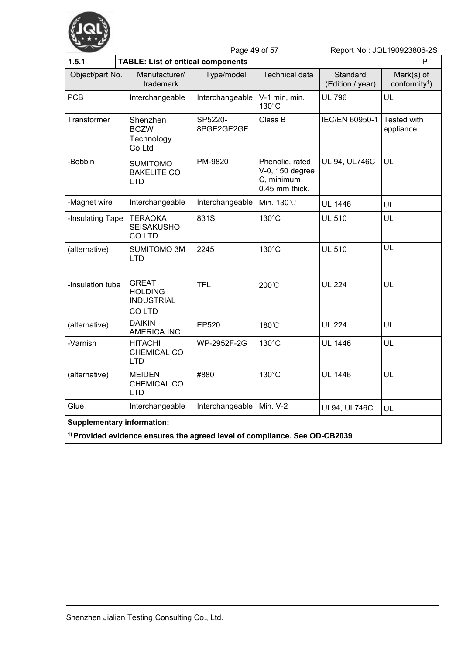

| <b>Contract Contract Contract</b> |                                                               | Page 49 of 57         |                                                                    |                              | Report No.: JQL190923806-2S             |  |
|-----------------------------------|---------------------------------------------------------------|-----------------------|--------------------------------------------------------------------|------------------------------|-----------------------------------------|--|
| 1.5.1                             | <b>TABLE: List of critical components</b>                     |                       |                                                                    |                              | P                                       |  |
| Object/part No.                   | Manufacturer/<br>trademark                                    | Type/model            | <b>Technical data</b>                                              | Standard<br>(Edition / year) | Mark(s) of<br>conformity <sup>1</sup> ) |  |
| <b>PCB</b>                        | Interchangeable                                               | Interchangeable       | V-1 min, min.<br>130°C                                             | <b>UL 796</b>                | UL                                      |  |
| Transformer                       | Shenzhen<br><b>BCZW</b><br>Technology<br>Co.Ltd               | SP5220-<br>8PGE2GE2GF | Class B                                                            | IEC/EN 60950-1               | Tested with<br>appliance                |  |
| -Bobbin                           | <b>SUMITOMO</b><br><b>BAKELITE CO</b><br><b>LTD</b>           | PM-9820               | Phenolic, rated<br>V-0, 150 degree<br>C, minimum<br>0.45 mm thick. | <b>UL 94, UL746C</b>         | UL                                      |  |
| -Magnet wire                      | Interchangeable                                               | Interchangeable       | Min. 130°C                                                         | <b>UL 1446</b>               | UL                                      |  |
| -Insulating Tape                  | <b>TERAOKA</b><br><b>SEISAKUSHO</b><br>CO LTD                 | 831S                  | 130°C                                                              | <b>UL 510</b>                | UL                                      |  |
| (alternative)                     | <b>SUMITOMO 3M</b><br><b>LTD</b>                              | 2245                  | 130°C                                                              | <b>UL 510</b>                | UL                                      |  |
| -Insulation tube                  | <b>GREAT</b><br><b>HOLDING</b><br><b>INDUSTRIAL</b><br>CO LTD | <b>TFL</b>            | 200°C                                                              | <b>UL 224</b>                | UL                                      |  |
| (alternative)                     | <b>DAIKIN</b><br><b>AMERICA INC</b>                           | EP520                 | 180°C                                                              | <b>UL 224</b>                | UL                                      |  |
| -Varnish                          | <b>HITACHI</b><br>CHEMICAL CO<br><b>LTD</b>                   | WP-2952F-2G           | 130°C                                                              | <b>UL 1446</b>               | UL                                      |  |
| (alternative)                     | <b>MEIDEN</b><br>CHEMICAL CO<br><b>LTD</b>                    | #880                  | 130°C                                                              | <b>UL 1446</b>               | UL                                      |  |
|                                   | Interchangeable                                               | Interchangeable       | Min. V-2                                                           | <b>UL94, UL746C</b>          | UL                                      |  |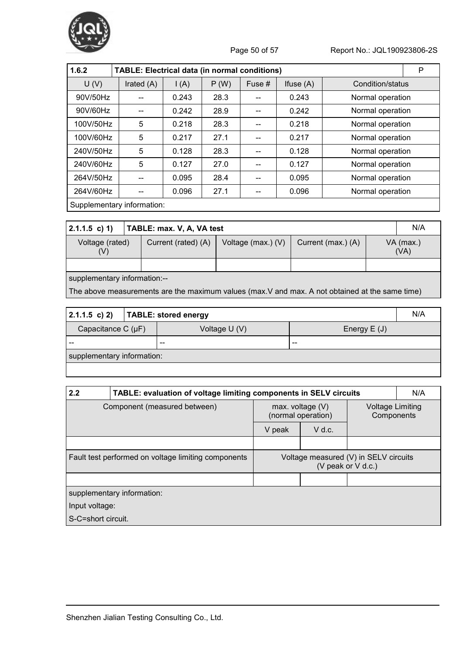

| 1.6.2     | <b>TABLE: Electrical data (in normal conditions)</b> |       |      |                          |             |                  |  |  |  |  |
|-----------|------------------------------------------------------|-------|------|--------------------------|-------------|------------------|--|--|--|--|
| U(V)      | Irated (A)                                           | I(A)  | P(W) | Fuse #                   | Ifuse $(A)$ | Condition/status |  |  |  |  |
| 90V/50Hz  | --                                                   | 0.243 | 28.3 | --                       | 0.243       | Normal operation |  |  |  |  |
| 90V/60Hz  | $\hspace{0.05cm}$ – $\hspace{0.05cm}$                | 0.242 | 28.9 |                          | 0.242       | Normal operation |  |  |  |  |
| 100V/50Hz | 5                                                    | 0.218 | 28.3 | --                       | 0.218       | Normal operation |  |  |  |  |
| 100V/60Hz | 5                                                    | 0.217 | 27.1 | --                       | 0.217       | Normal operation |  |  |  |  |
| 240V/50Hz | 5                                                    | 0.128 | 28.3 | $\overline{a}$           | 0.128       | Normal operation |  |  |  |  |
| 240V/60Hz | 5                                                    | 0.127 | 27.0 | $\overline{\phantom{m}}$ | 0.127       | Normal operation |  |  |  |  |
| 264V/50Hz | $\hspace{0.05cm}$ – $\hspace{0.05cm}$                | 0.095 | 28.4 |                          | 0.095       | Normal operation |  |  |  |  |
| 264V/60Hz | $\hspace{0.05cm}$ – $\hspace{0.05cm}$                | 0.096 | 27.1 | --                       | 0.096       | Normal operation |  |  |  |  |
|           | Supplementary information:                           |       |      |                          |             |                  |  |  |  |  |

| $(2.1.1.5 \; c) 1)$               | TABLE: max. V, A, VA test |                    |                    | N/A               |
|-----------------------------------|---------------------------|--------------------|--------------------|-------------------|
| Voltage (rated)<br>(V)            | Current (rated) (A)       | Voltage (max.) (V) | Current (max.) (A) | VA (max.)<br>(VA) |
|                                   |                           |                    |                    |                   |
| $\sim$ ounnlamentary information: |                           |                    |                    |                   |

supplementary information:--

The above measurements are the maximum values (max.V and max. A not obtained at the same time)

| $ 2.1.1.5 c 2\rangle$<br>TABLE: stored energy |                                                           |    |     |  |  |  |
|-----------------------------------------------|-----------------------------------------------------------|----|-----|--|--|--|
|                                               | Capacitance C $(\mu F)$<br>Voltage U (V)<br>Energy $E(J)$ |    |     |  |  |  |
|                                               |                                                           | -- | $-$ |  |  |  |
| supplementary information:                    |                                                           |    |     |  |  |  |
|                                               |                                                           |    |     |  |  |  |

| 2.2                          | TABLE: evaluation of voltage limiting components in SELV circuits<br>N/A |                                                             |          |                                       |  |  |  |
|------------------------------|--------------------------------------------------------------------------|-------------------------------------------------------------|----------|---------------------------------------|--|--|--|
| Component (measured between) |                                                                          | max. voltage $(V)$<br>(normal operation)                    |          | <b>Voltage Limiting</b><br>Components |  |  |  |
|                              |                                                                          | V peak                                                      | $V$ d.c. |                                       |  |  |  |
|                              |                                                                          |                                                             |          |                                       |  |  |  |
|                              | Fault test performed on voltage limiting components                      | Voltage measured (V) in SELV circuits<br>(V peak or V d.c.) |          |                                       |  |  |  |
|                              |                                                                          |                                                             |          |                                       |  |  |  |
|                              | supplementary information:                                               |                                                             |          |                                       |  |  |  |
| Input voltage:               |                                                                          |                                                             |          |                                       |  |  |  |
| S-C=short circuit.           |                                                                          |                                                             |          |                                       |  |  |  |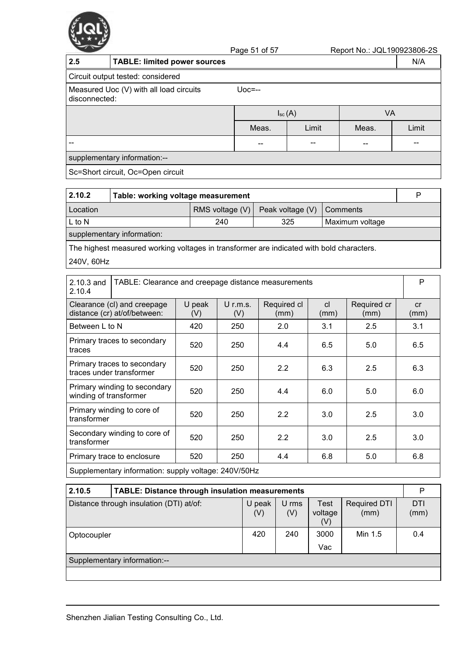

Page 51 of 57 Report No.: JQL190923806-2S 2.5 **TABLE:** limited power sources  $N/A$ Circuit output tested: considered Measured Uoc (V) with all load circuits disconnected: Uoc=--  $I_{\rm sc}(A)$  VA Meas. | Limit | Meas. | Limit | -- -- -- -- - supplementary information:--

Sc=Short circuit, Oc=Open circuit

| 2.10.2<br>Table: working voltage measurement                |                                                                                          |  |  |  |  |  |  |
|-------------------------------------------------------------|------------------------------------------------------------------------------------------|--|--|--|--|--|--|
| Location<br>Peak voltage (V)<br>RMS voltage (V)<br>Comments |                                                                                          |  |  |  |  |  |  |
| $L$ to N<br>240<br>325<br>Maximum voltage                   |                                                                                          |  |  |  |  |  |  |
|                                                             | supplementary information:                                                               |  |  |  |  |  |  |
|                                                             | The highest measured working voltages in transformer are indicated with bold characters. |  |  |  |  |  |  |
| 240V, 60Hz                                                  |                                                                                          |  |  |  |  |  |  |

| $2.10.3$ and<br>2.10.4                                           | TABLE: Clearance and creepage distance measurements |                   |                     |                       |                     |            |  |  |
|------------------------------------------------------------------|-----------------------------------------------------|-------------------|---------------------|-----------------------|---------------------|------------|--|--|
| Clearance (cl) and creepage<br>distance (cr) at/of/between:      | U peak<br>(V)                                       | $U$ r.m.s.<br>(V) | Required cl<br>(mm) | <sub>cl</sub><br>(mm) | Required cr<br>(mm) | cr<br>(mm) |  |  |
| Between L to N                                                   | 420                                                 | 250               | 2.0                 | 3.1                   | 2.5                 | 3.1        |  |  |
| Primary traces to secondary<br>traces                            | 520                                                 | 250               | 4.4                 | 6.5                   | 5.0                 | 6.5        |  |  |
| Primary traces to secondary<br>traces under transformer          | 520                                                 | 250               | 2.2                 | 6.3                   | 2.5                 | 6.3        |  |  |
| Primary winding to secondary<br>winding of transformer           | 520                                                 | 250               | 4.4                 | 6.0                   | 5.0                 | 6.0        |  |  |
| Primary winding to core of<br>transformer                        | 520                                                 | 250               | 2.2                 | 3.0                   | 2.5                 | 3.0        |  |  |
| Secondary winding to core of<br>transformer                      | 520                                                 | 250               | 2.2                 | 3.0                   | 2.5                 | 3.0        |  |  |
| Primary trace to enclosure                                       | 520                                                 | 250               | 4.4                 | 6.8                   | 5.0                 | 6.8        |  |  |
| Supplementary information: supply voltage: 240V/50Hz             |                                                     |                   |                     |                       |                     |            |  |  |
| 0.40E<br>TABLE: Bloken of the contribution of contractor and all |                                                     |                   |                     |                       |                     | D.         |  |  |

| 2.10.5<br><b>TABLE: Distance through insulation measurements</b> |                              |              |                        |                             |             |     |
|------------------------------------------------------------------|------------------------------|--------------|------------------------|-----------------------------|-------------|-----|
| Distance through insulation (DTI) at/of:                         | U peak<br>(V)                | U rms<br>(V) | Test<br>voltage<br>(V) | <b>Required DTI</b><br>(mm) | DTI<br>(mm) |     |
| Optocoupler                                                      |                              | 420          | 240                    | 3000                        | Min 1.5     | 0.4 |
|                                                                  |                              |              |                        | Vac                         |             |     |
|                                                                  | Supplementary information:-- |              |                        |                             |             |     |
|                                                                  |                              |              |                        |                             |             |     |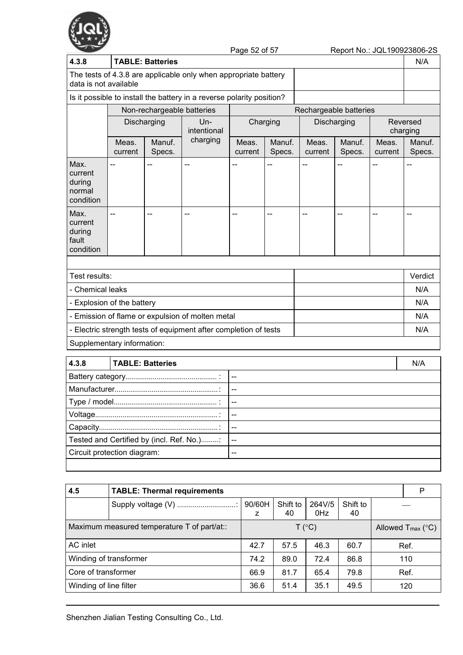

| <b>CONTRACTOR</b>                                |                                                                                          |                         |                                                                       | Page 52 of 57<br>Report No.: JQL190923806-2S |                  |                        |                  |                  |                      |
|--------------------------------------------------|------------------------------------------------------------------------------------------|-------------------------|-----------------------------------------------------------------------|----------------------------------------------|------------------|------------------------|------------------|------------------|----------------------|
| 4.3.8                                            |                                                                                          | <b>TABLE: Batteries</b> |                                                                       |                                              |                  |                        |                  |                  | N/A                  |
|                                                  | The tests of 4.3.8 are applicable only when appropriate battery<br>data is not available |                         |                                                                       |                                              |                  |                        |                  |                  |                      |
|                                                  |                                                                                          |                         | Is it possible to install the battery in a reverse polarity position? |                                              |                  |                        |                  |                  |                      |
|                                                  |                                                                                          |                         | Non-rechargeable batteries                                            |                                              |                  | Rechargeable batteries |                  |                  |                      |
|                                                  |                                                                                          | Discharging             | Un-<br>intentional                                                    |                                              | Charging         |                        | Discharging      |                  | Reversed<br>charging |
|                                                  | Meas.<br>current                                                                         | Manuf.<br>Specs.        | charging                                                              | Meas.<br>current                             | Manuf.<br>Specs. | Meas.<br>current       | Manuf.<br>Specs. | Meas.<br>current | Manuf.<br>Specs.     |
| Max.<br>current<br>during<br>normal<br>condition |                                                                                          |                         |                                                                       |                                              | $\sim$           |                        | --               |                  |                      |
| Max.<br>current<br>during<br>fault<br>condition  | --                                                                                       | --                      |                                                                       | --                                           | $-$              | --                     | $\overline{a}$   | --               | --                   |
| Test results:                                    |                                                                                          |                         |                                                                       |                                              |                  |                        |                  |                  | Verdict              |
| - Chemical leaks                                 |                                                                                          |                         |                                                                       |                                              |                  |                        |                  |                  | N/A                  |
| - Explosion of the battery                       |                                                                                          |                         |                                                                       |                                              |                  |                        |                  |                  | N/A                  |
|                                                  |                                                                                          |                         | - Emission of flame or expulsion of molten metal                      |                                              |                  |                        |                  |                  | N/A                  |
|                                                  |                                                                                          |                         | - Electric strength tests of equipment after completion of tests      |                                              |                  |                        |                  |                  | N/A                  |
| Supplementary information:                       |                                                                                          |                         |                                                                       |                                              |                  |                        |                  |                  |                      |

| 4.3.8 | <b>TABLE: Batteries</b>                  |                                                | N/A |
|-------|------------------------------------------|------------------------------------------------|-----|
|       |                                          | $- -$                                          |     |
|       |                                          | $- -$                                          |     |
|       |                                          | $-$                                            |     |
|       |                                          | $- -$                                          |     |
|       |                                          | $-$                                            |     |
|       | Tested and Certified by (incl. Ref. No.) | $\hspace{0.1mm}-\hspace{0.1mm}-\hspace{0.1mm}$ |     |
|       | Circuit protection diagram:              | $- -$                                          |     |

| 4.5                                         | <b>TABLE: Thermal requirements</b> |        |                        |               |                |     |  |  |  |
|---------------------------------------------|------------------------------------|--------|------------------------|---------------|----------------|-----|--|--|--|
|                                             |                                    | 90/60H | Shift to<br>40         | 264V/5<br>0Hz | Shift to<br>40 |     |  |  |  |
| Maximum measured temperature T of part/at:: |                                    | T (°C) | Allowed $T_{max}$ (°C) |               |                |     |  |  |  |
| AC inlet                                    | 42.7                               | 57.5   | 46.3                   | 60.7          | Ref.           |     |  |  |  |
|                                             | Winding of transformer             | 74.2   | 89.0                   | 72.4          | 86.8           | 110 |  |  |  |
| Core of transformer                         | 66.9                               | 81.7   | 65.4                   | 79.8          | Ref.           |     |  |  |  |
| Winding of line filter                      | 36.6                               | 51.4   | 35.1                   | 49.5          | 120            |     |  |  |  |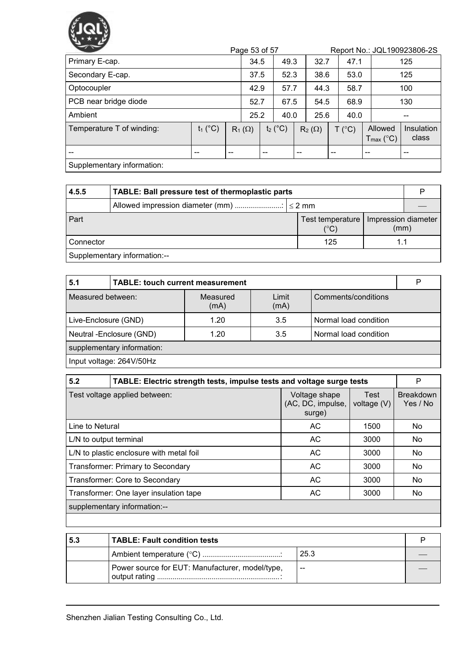

| $\sim$                     |            |     |               | Page 53 of 57                         |            |                                       |               |                          |        |     | Report No.: JQL190923806-2S      |                          |  |
|----------------------------|------------|-----|---------------|---------------------------------------|------------|---------------------------------------|---------------|--------------------------|--------|-----|----------------------------------|--------------------------|--|
| Primary E-cap.             |            |     | 34.5          |                                       | 49.3       |                                       | 32.7          |                          | 47.1   |     | 125                              |                          |  |
| Secondary E-cap.           |            |     | 37.5          |                                       | 52.3       |                                       | 38.6          |                          | 53.0   |     | 125                              |                          |  |
| Optocoupler                |            |     |               | 42.9<br>57.7                          |            |                                       | 44.3          |                          | 58.7   |     | 100                              |                          |  |
| PCB near bridge diode      |            |     | 52.7          | 67.5                                  |            |                                       | 54.5          |                          | 68.9   |     | 130                              |                          |  |
| Ambient                    |            |     | 25.2          |                                       | 40.0       |                                       | 25.6          |                          | 40.0   |     |                                  | $- -$                    |  |
| Temperature T of winding:  | $t_1$ (°C) |     | $R_1(\Omega)$ |                                       | $t_2$ (°C) |                                       | $R_2(\Omega)$ |                          | T (°C) |     | Allowed<br>$T_{\text{max}}$ (°C) | Insulation<br>class      |  |
| --                         | --         | $-$ |               | $\hspace{0.05cm}$ – $\hspace{0.05cm}$ |            | $\hspace{0.05cm}$ – $\hspace{0.05cm}$ |               | $\overline{\phantom{m}}$ |        | $-$ |                                  | $\overline{\phantom{a}}$ |  |
| Supplementary information: |            |     |               |                                       |            |                                       |               |                          |        |     |                                  |                          |  |
|                            |            |     |               |                                       |            |                                       |               |                          |        |     |                                  |                          |  |

| 4.5.5     | TABLE: Ball pressure test of thermoplastic parts |      |                                                  |  |  |  |
|-----------|--------------------------------------------------|------|--------------------------------------------------|--|--|--|
|           |                                                  |      |                                                  |  |  |  |
| Part      |                                                  | (°C) | Test temperature   Impression diameter  <br>(mm) |  |  |  |
| Connector |                                                  | 125  |                                                  |  |  |  |
|           | Supplementary information:--                     |      |                                                  |  |  |  |

| 5.1                  | <b>TABLE: touch current measurement</b> |                  |                      |                       |  |  |  |
|----------------------|-----------------------------------------|------------------|----------------------|-----------------------|--|--|--|
| Measured between:    |                                         | Measured<br>(mA) | <b>Limit</b><br>(mA) | Comments/conditions   |  |  |  |
| Live-Enclosure (GND) |                                         | 1.20             | 3.5                  | Normal load condition |  |  |  |
|                      | Neutral -Enclosure (GND)                | 1.20             | 3.5                  | Normal load condition |  |  |  |
|                      | supplementary information:              |                  |                      |                       |  |  |  |
|                      | Input voltage: 264V/50Hz                |                  |                      |                       |  |  |  |

| 5.2                    | TABLE: Electric strength tests, impulse tests and voltage surge tests |                                              |                     | P                            |  |
|------------------------|-----------------------------------------------------------------------|----------------------------------------------|---------------------|------------------------------|--|
|                        | Test voltage applied between:                                         | Voltage shape<br>(AC, DC, impulse,<br>surge) | Test<br>voltage (V) | <b>Breakdown</b><br>Yes / No |  |
| Line to Netural        |                                                                       | AC                                           | 1500                | No.                          |  |
| L/N to output terminal |                                                                       | AC                                           | 3000                | No.                          |  |
|                        | L/N to plastic enclosure with metal foil                              | AC                                           | 3000                | No.                          |  |
|                        | Transformer: Primary to Secondary                                     | AC                                           | 3000                | No.                          |  |
|                        | Transformer: Core to Secondary                                        | AC                                           | 3000                | No.                          |  |
|                        | Transformer: One layer insulation tape                                | AC                                           | 3000                | No.                          |  |
|                        | supplementary information:--                                          |                                              |                     |                              |  |
|                        |                                                                       |                                              |                     |                              |  |

| 5.3 | <b>TABLE: Fault condition tests</b>                               |                                                |  |  |  |  |
|-----|-------------------------------------------------------------------|------------------------------------------------|--|--|--|--|
|     |                                                                   | 25.3                                           |  |  |  |  |
|     | Power source for EUT: Manufacturer, model/type,<br>output rating. | $\hspace{0.1mm}-\hspace{0.1mm}-\hspace{0.1mm}$ |  |  |  |  |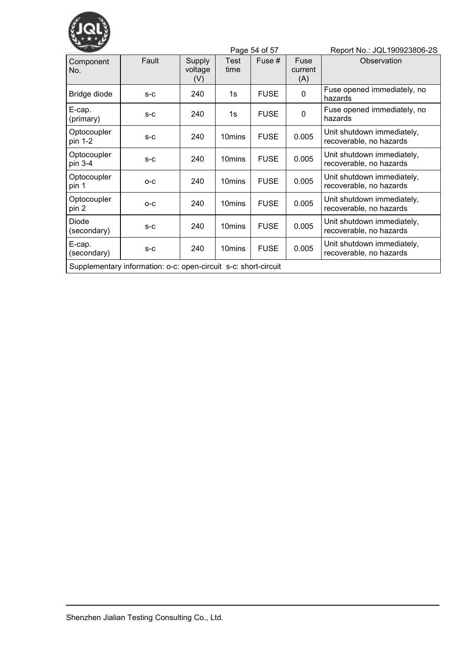

|                        | Page 54 of 57                                                   |                          |                    |             | Report No.: JQL190923806-2S   |                                                       |
|------------------------|-----------------------------------------------------------------|--------------------------|--------------------|-------------|-------------------------------|-------------------------------------------------------|
| Component<br>No.       | Fault                                                           | Supply<br>voltage<br>(V) | Test<br>time       | Fuse #      | <b>Fuse</b><br>current<br>(A) | Observation                                           |
| Bridge diode           | $S-C$                                                           | 240                      | 1s                 | <b>FUSE</b> | $\mathbf 0$                   | Fuse opened immediately, no<br>hazards                |
| E-cap.<br>(primary)    | $S-C$                                                           | 240                      | 1s                 | <b>FUSE</b> | $\mathbf 0$                   | Fuse opened immediately, no<br>hazards                |
| Optocoupler<br>pin 1-2 | $S-C$                                                           | 240                      | 10mins             | <b>FUSE</b> | 0.005                         | Unit shutdown immediately,<br>recoverable, no hazards |
| Optocoupler<br>pin 3-4 | $S-C$                                                           | 240                      | 10mins             | <b>FUSE</b> | 0.005                         | Unit shutdown immediately,<br>recoverable, no hazards |
| Optocoupler<br>pin 1   | $O-C$                                                           | 240                      | 10 <sub>mins</sub> | <b>FUSE</b> | 0.005                         | Unit shutdown immediately,<br>recoverable, no hazards |
| Optocoupler<br>pin 2   | $O-C$                                                           | 240                      | 10mins             | <b>FUSE</b> | 0.005                         | Unit shutdown immediately,<br>recoverable, no hazards |
| Diode<br>(secondary)   | $S-C$                                                           | 240                      | 10 <sub>mins</sub> | <b>FUSE</b> | 0.005                         | Unit shutdown immediately,<br>recoverable, no hazards |
| E-cap.<br>(secondary)  | $S-C$                                                           | 240                      | 10 <sub>mins</sub> | <b>FUSE</b> | 0.005                         | Unit shutdown immediately,<br>recoverable, no hazards |
|                        | Supplementary information: o-c: open-circuit s-c: short-circuit |                          |                    |             |                               |                                                       |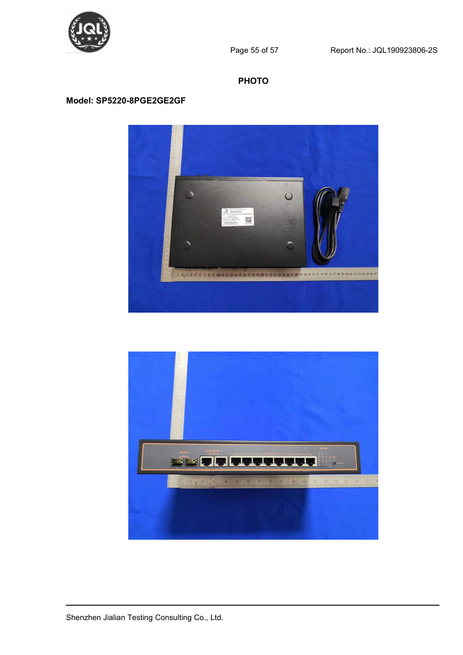

### **PHOTO**

# **Model: SP5220-8PGE2GE2GF**



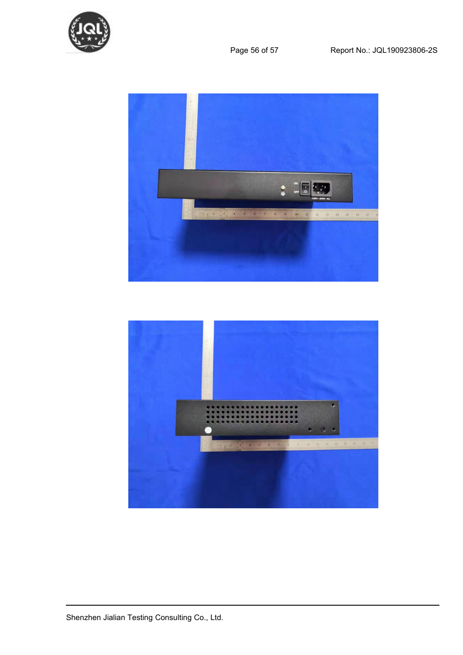